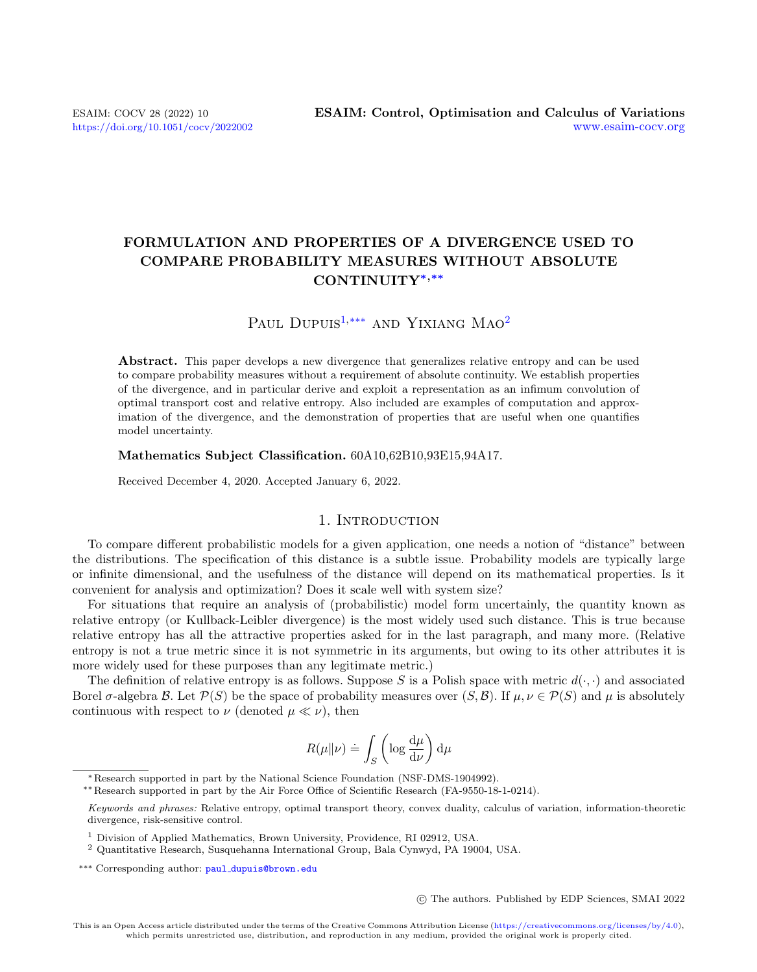# FORMULATION AND PROPERTIES OF A DIVERGENCE USED TO COMPARE PROBABILITY MEASURES WITHOUT ABSOLUTE CONTINUITY∗,∗∗

# PAUL DUPUIS<sup>[1,](#page-0-0)[\\*\\*\\*](#page-0-1)</sup> AND YIXIANG MAO<sup>[2](#page-0-2)</sup>

Abstract. This paper develops a new divergence that generalizes relative entropy and can be used to compare probability measures without a requirement of absolute continuity. We establish properties of the divergence, and in particular derive and exploit a representation as an infimum convolution of optimal transport cost and relative entropy. Also included are examples of computation and approximation of the divergence, and the demonstration of properties that are useful when one quantifies model uncertainty.

#### Mathematics Subject Classification. 60A10,62B10,93E15,94A17.

Received December 4, 2020. Accepted January 6, 2022.

# 1. INTRODUCTION

To compare different probabilistic models for a given application, one needs a notion of "distance" between the distributions. The specification of this distance is a subtle issue. Probability models are typically large or infinite dimensional, and the usefulness of the distance will depend on its mathematical properties. Is it convenient for analysis and optimization? Does it scale well with system size?

For situations that require an analysis of (probabilistic) model form uncertainly, the quantity known as relative entropy (or Kullback-Leibler divergence) is the most widely used such distance. This is true because relative entropy has all the attractive properties asked for in the last paragraph, and many more. (Relative entropy is not a true metric since it is not symmetric in its arguments, but owing to its other attributes it is more widely used for these purposes than any legitimate metric.)

The definition of relative entropy is as follows. Suppose S is a Polish space with metric  $d(\cdot, \cdot)$  and associated Borel σ-algebra B. Let  $\mathcal{P}(S)$  be the space of probability measures over  $(S, \mathcal{B})$ . If  $\mu, \nu \in \mathcal{P}(S)$  and  $\mu$  is absolutely continuous with respect to  $\nu$  (denoted  $\mu \ll \nu$ ), then

$$
R(\mu\|\nu) \doteq \int_S \left(\log \frac{\mathrm{d}\mu}{\mathrm{d}\nu}\right) \mathrm{d}\mu
$$

∗∗Research supported in part by the Air Force Office of Scientific Research (FA-9550-18-1-0214).

c The authors. Published by EDP Sciences, SMAI 2022

<sup>∗</sup>Research supported in part by the National Science Foundation (NSF-DMS-1904992).

<span id="page-0-1"></span>Keywords and phrases: Relative entropy, optimal transport theory, convex duality, calculus of variation, information-theoretic divergence, risk-sensitive control.

<span id="page-0-0"></span><sup>1</sup> Division of Applied Mathematics, Brown University, Providence, RI 02912, USA.

<span id="page-0-2"></span><sup>2</sup> Quantitative Research, Susquehanna International Group, Bala Cynwyd, PA 19004, USA.

<sup>\*\*\*</sup> Corresponding author: paul\_[dupuis@brown.edu](mailto:paul\protect _dupuis@brown.edu)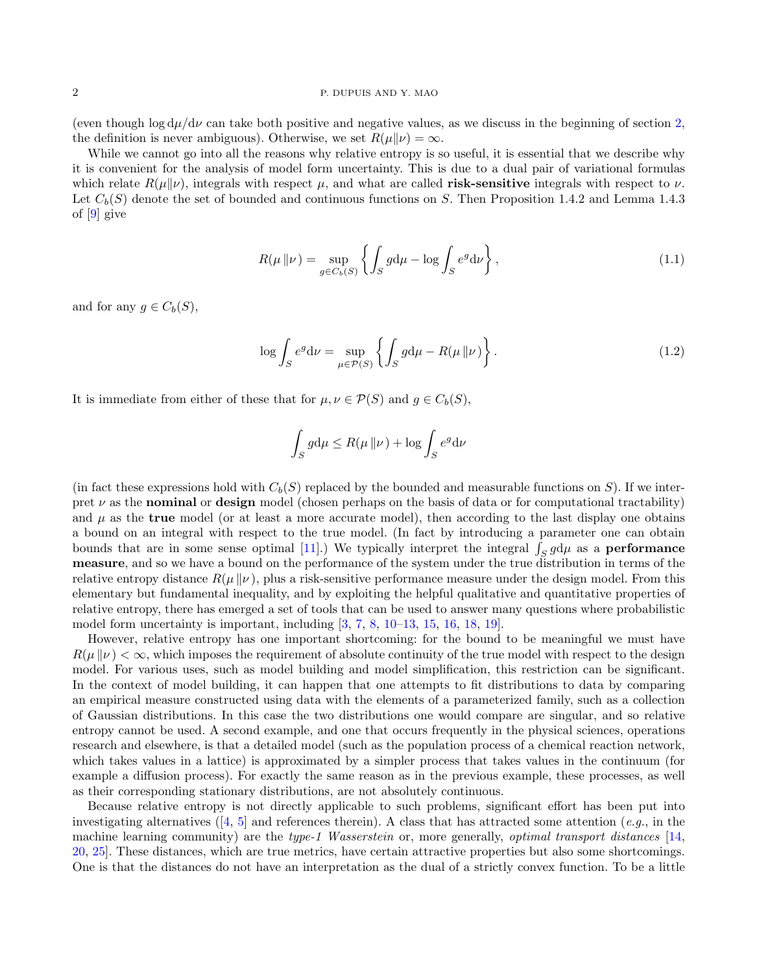#### 2 P. DUPUIS AND Y. MAO

(even though  $\log d\mu/d\nu$  can take both positive and negative values, as we discuss in the beginning of section [2,](#page-3-0) the definition is never ambiguous). Otherwise, we set  $R(\mu||\nu) = \infty$ .

While we cannot go into all the reasons why relative entropy is so useful, it is essential that we describe why it is convenient for the analysis of model form uncertainty. This is due to a dual pair of variational formulas which relate  $R(\mu||\nu)$ , integrals with respect  $\mu$ , and what are called **risk-sensitive** integrals with respect to  $\nu$ . Let  $C_b(S)$  denote the set of bounded and continuous functions on S. Then Proposition 1.4.2 and Lemma 1.4.3 of [\[9\]](#page-36-0) give

<span id="page-1-1"></span>
$$
R(\mu \| \nu) = \sup_{g \in C_b(S)} \left\{ \int_S g \mathrm{d}\mu - \log \int_S e^g \mathrm{d}\nu \right\},\tag{1.1}
$$

and for any  $q \in C_b(S)$ ,

$$
\log \int_{S} e^{g} \, \mathrm{d}\nu = \sup_{\mu \in \mathcal{P}(S)} \left\{ \int_{S} g \, \mathrm{d}\mu - R(\mu \, \| \nu) \right\}.
$$
 (1.2)

It is immediate from either of these that for  $\mu, \nu \in \mathcal{P}(S)$  and  $g \in C_b(S)$ ,

<span id="page-1-0"></span>
$$
\int_{S} g d\mu \le R(\mu \| \nu) + \log \int_{S} e^{g} d\nu
$$

(in fact these expressions hold with  $C_b(S)$  replaced by the bounded and measurable functions on S). If we interpret  $\nu$  as the **nominal** or design model (chosen perhaps on the basis of data or for computational tractability) and  $\mu$  as the **true** model (or at least a more accurate model), then according to the last display one obtains a bound on an integral with respect to the true model. (In fact by introducing a parameter one can obtain bounds that are in some sense optimal [\[11\]](#page-36-1).) We typically interpret the integral  $\int_S g d\mu$  as a **performance** measure, and so we have a bound on the performance of the system under the true distribution in terms of the relative entropy distance  $R(\mu \| \nu)$ , plus a risk-sensitive performance measure under the design model. From this elementary but fundamental inequality, and by exploiting the helpful qualitative and quantitative properties of relative entropy, there has emerged a set of tools that can be used to answer many questions where probabilistic model form uncertainty is important, including [\[3,](#page-36-2) [7,](#page-36-3) [8,](#page-36-4) [10–](#page-36-5)[13,](#page-36-6) [15,](#page-36-7) [16,](#page-36-8) [18,](#page-36-9) [19\]](#page-36-10).

However, relative entropy has one important shortcoming: for the bound to be meaningful we must have  $R(\mu||\nu) < \infty$ , which imposes the requirement of absolute continuity of the true model with respect to the design model. For various uses, such as model building and model simplification, this restriction can be significant. In the context of model building, it can happen that one attempts to fit distributions to data by comparing an empirical measure constructed using data with the elements of a parameterized family, such as a collection of Gaussian distributions. In this case the two distributions one would compare are singular, and so relative entropy cannot be used. A second example, and one that occurs frequently in the physical sciences, operations research and elsewhere, is that a detailed model (such as the population process of a chemical reaction network, which takes values in a lattice) is approximated by a simpler process that takes values in the continuum (for example a diffusion process). For exactly the same reason as in the previous example, these processes, as well as their corresponding stationary distributions, are not absolutely continuous.

Because relative entropy is not directly applicable to such problems, significant effort has been put into investigatingalternatives ([\[4,](#page-36-11) [5\]](#page-36-12) and references therein). A class that has attracted some attention (e.g., in the machine learning community) are the type-1 Wasserstein or, more generally, *optimal transport distances* [\[14,](#page-36-13) [20,](#page-36-14) [25\]](#page-37-0). These distances, which are true metrics, have certain attractive properties but also some shortcomings. One is that the distances do not have an interpretation as the dual of a strictly convex function. To be a little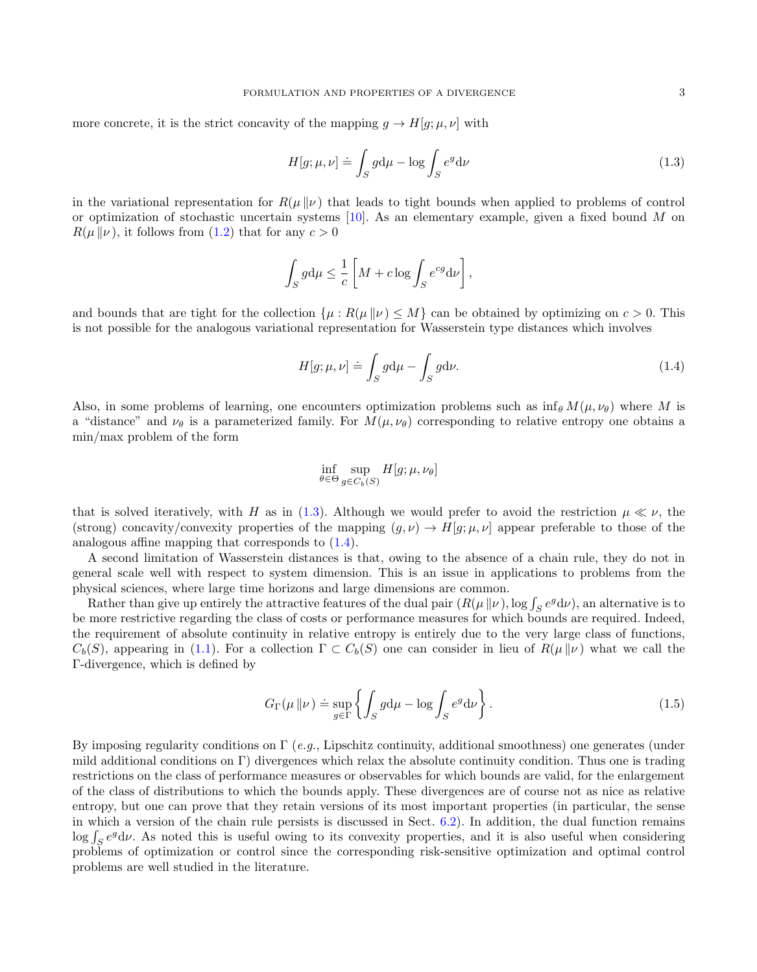more concrete, it is the strict concavity of the mapping  $g \to H[g; \mu, \nu]$  with

<span id="page-2-0"></span>
$$
H[g; \mu, \nu] \doteq \int_{S} g \mathrm{d}\mu - \log \int_{S} e^{g} \mathrm{d}\nu \tag{1.3}
$$

in the variational representation for  $R(\mu||\nu)$  that leads to tight bounds when applied to problems of control or optimization of stochastic uncertain systems  $[10]$ . As an elementary example, given a fixed bound M on  $R(\mu \| \nu)$ , it follows from [\(1.2\)](#page-1-0) that for any  $c > 0$ 

$$
\int_{S} g d\mu \leq \frac{1}{c} \left[ M + c \log \int_{S} e^{cg} d\nu \right],
$$

and bounds that are tight for the collection  $\{\mu : R(\mu \| \nu) \leq M\}$  can be obtained by optimizing on  $c > 0$ . This is not possible for the analogous variational representation for Wasserstein type distances which involves

<span id="page-2-1"></span>
$$
H[g; \mu, \nu] \doteq \int_{S} g d\mu - \int_{S} g d\nu. \tag{1.4}
$$

Also, in some problems of learning, one encounters optimization problems such as  $\inf_{\theta} M(\mu, \nu_{\theta})$  where M is a "distance" and  $\nu_{\theta}$  is a parameterized family. For  $M(\mu, \nu_{\theta})$  corresponding to relative entropy one obtains a min/max problem of the form

$$
\inf_{\theta \in \Theta} \sup_{g \in C_b(S)} H[g; \mu, \nu_{\theta}]
$$

that is solved iteratively, with H as in [\(1.3\)](#page-2-0). Although we would prefer to avoid the restriction  $\mu \ll \nu$ , the (strong) concavity/convexity properties of the mapping  $(q, \nu) \rightarrow H[q; \mu, \nu]$  appear preferable to those of the analogous affine mapping that corresponds to [\(1.4\)](#page-2-1).

A second limitation of Wasserstein distances is that, owing to the absence of a chain rule, they do not in general scale well with respect to system dimension. This is an issue in applications to problems from the physical sciences, where large time horizons and large dimensions are common.

Rather than give up entirely the attractive features of the dual pair  $(R(\mu \| \nu), \log \int_S e^g d\nu)$ , an alternative is to be more restrictive regarding the class of costs or performance measures for which bounds are required. Indeed, the requirement of absolute continuity in relative entropy is entirely due to the very large class of functions,  $C_b(S)$ , appearing in [\(1.1\)](#page-1-1). For a collection  $\Gamma \subset C_b(S)$  one can consider in lieu of  $R(\mu || \nu)$  what we call the Γ-divergence, which is defined by

<span id="page-2-2"></span>
$$
G_{\Gamma}(\mu \| \nu) \doteq \sup_{g \in \Gamma} \left\{ \int_{S} g d\mu - \log \int_{S} e^{g} d\nu \right\}.
$$
 (1.5)

By imposing regularity conditions on  $\Gamma$  (e.g., Lipschitz continuity, additional smoothness) one generates (under mild additional conditions on Γ) divergences which relax the absolute continuity condition. Thus one is trading restrictions on the class of performance measures or observables for which bounds are valid, for the enlargement of the class of distributions to which the bounds apply. These divergences are of course not as nice as relative entropy, but one can prove that they retain versions of its most important properties (in particular, the sense in which a version of the chain rule persists is discussed in Sect.  $6.2$ ). In addition, the dual function remains  $\log \int_S e^g d\nu$ . As noted this is useful owing to its convexity properties, and it is also useful when considering problems of optimization or control since the corresponding risk-sensitive optimization and optimal control problems are well studied in the literature.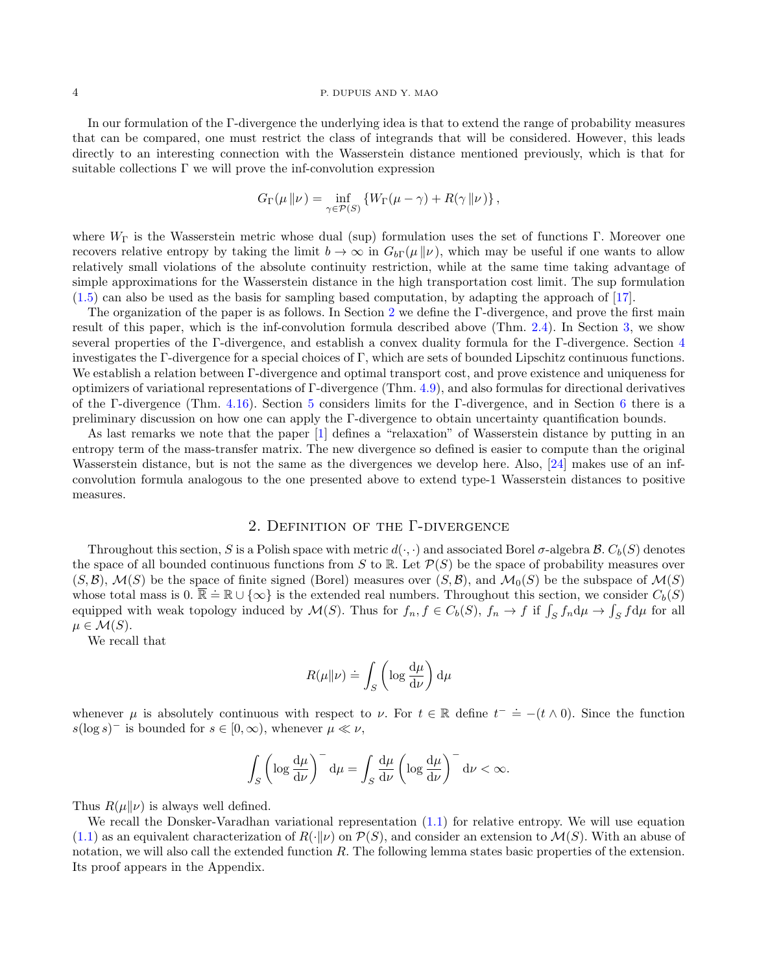#### 4 P. DUPUIS AND Y. MAO

In our formulation of the Γ-divergence the underlying idea is that to extend the range of probability measures that can be compared, one must restrict the class of integrands that will be considered. However, this leads directly to an interesting connection with the Wasserstein distance mentioned previously, which is that for suitable collections Γ we will prove the inf-convolution expression

$$
G_{\Gamma}(\mu \| \nu) = \inf_{\gamma \in \mathcal{P}(S)} \left\{ W_{\Gamma}(\mu - \gamma) + R(\gamma \| \nu) \right\},\,
$$

where  $W_{\Gamma}$  is the Wasserstein metric whose dual (sup) formulation uses the set of functions Γ. Moreover one recovers relative entropy by taking the limit  $b \to \infty$  in  $G_{b\Gamma}(\mu \| \nu)$ , which may be useful if one wants to allow relatively small violations of the absolute continuity restriction, while at the same time taking advantage of simple approximations for the Wasserstein distance in the high transportation cost limit. The sup formulation [\(1.5\)](#page-2-2) can also be used as the basis for sampling based computation, by adapting the approach of [\[17\]](#page-36-15).

The organization of the paper is as follows. In Section [2](#page-3-0) we define the Γ-divergence, and prove the first main result of this paper, which is the inf-convolution formula described above (Thm. [2.4\)](#page-4-0). In Section [3,](#page-7-0) we show several properties of the Γ-divergence, and establish a convex duality formula for the Γ-divergence. Section [4](#page-11-0) investigates the Γ-divergence for a special choices of Γ, which are sets of bounded Lipschitz continuous functions. We establish a relation between Γ-divergence and optimal transport cost, and prove existence and uniqueness for optimizers of variational representations of Γ-divergence (Thm. [4.9\)](#page-14-0), and also formulas for directional derivatives of the Γ-divergence (Thm. [4.16\)](#page-19-0). Section [5](#page-23-0) considers limits for the Γ-divergence, and in Section [6](#page-28-0) there is a preliminary discussion on how one can apply the Γ-divergence to obtain uncertainty quantification bounds.

As last remarks we note that the paper [\[1\]](#page-36-16) defines a "relaxation" of Wasserstein distance by putting in an entropy term of the mass-transfer matrix. The new divergence so defined is easier to compute than the original Wasserstein distance, but is not the same as the divergences we develop here. Also, [\[24\]](#page-37-1) makes use of an infconvolution formula analogous to the one presented above to extend type-1 Wasserstein distances to positive measures.

## 2. Definition of the Γ-divergence

<span id="page-3-0"></span>Throughout this section, S is a Polish space with metric  $d(\cdot, \cdot)$  and associated Borel  $\sigma$ -algebra  $\mathcal{B}$ .  $C_b(S)$  denotes the space of all bounded continuous functions from S to R. Let  $\mathcal{P}(S)$  be the space of probability measures over  $(S,\mathcal{B})$ ,  $\mathcal{M}(S)$  be the space of finite signed (Borel) measures over  $(S,\mathcal{B})$ , and  $\mathcal{M}_0(S)$  be the subspace of  $\mathcal{M}(S)$ whose total mass is  $0. \overline{\mathbb{R}} \doteq \mathbb{R} \cup {\infty}$  is the extended real numbers. Throughout this section, we consider  $C_b(S)$ equipped with weak topology induced by  $\mathcal{M}(S)$ . Thus for  $f_n, f \in C_b(S)$ ,  $f_n \to f$  if  $\int_S f_n d\mu \to \int_S f d\mu$  for all  $\mu \in \mathcal{M}(S)$ .

We recall that

$$
R(\mu\|\nu) \doteq \int_S \left(\log \frac{\mathrm{d}\mu}{\mathrm{d}\nu}\right) \mathrm{d}\mu
$$

whenever  $\mu$  is absolutely continuous with respect to  $\nu$ . For  $t \in \mathbb{R}$  define  $t^- = -(t \wedge 0)$ . Since the function  $s(\log s)^{-1}$  is bounded for  $s \in [0, \infty)$ , whenever  $\mu \ll \nu$ ,

$$
\int_{S} \left( \log \frac{d\mu}{d\nu} \right)^{-} d\mu = \int_{S} \frac{d\mu}{d\nu} \left( \log \frac{d\mu}{d\nu} \right)^{-} d\nu < \infty.
$$

Thus  $R(\mu||\nu)$  is always well defined.

We recall the Donsker-Varadhan variational representation  $(1.1)$  for relative entropy. We will use equation [\(1.1\)](#page-1-1) as an equivalent characterization of  $R(\cdot|\nu)$  on  $\mathcal{P}(S)$ , and consider an extension to  $\mathcal{M}(S)$ . With an abuse of notation, we will also call the extended function R. The following lemma states basic properties of the extension. Its proof appears in the Appendix.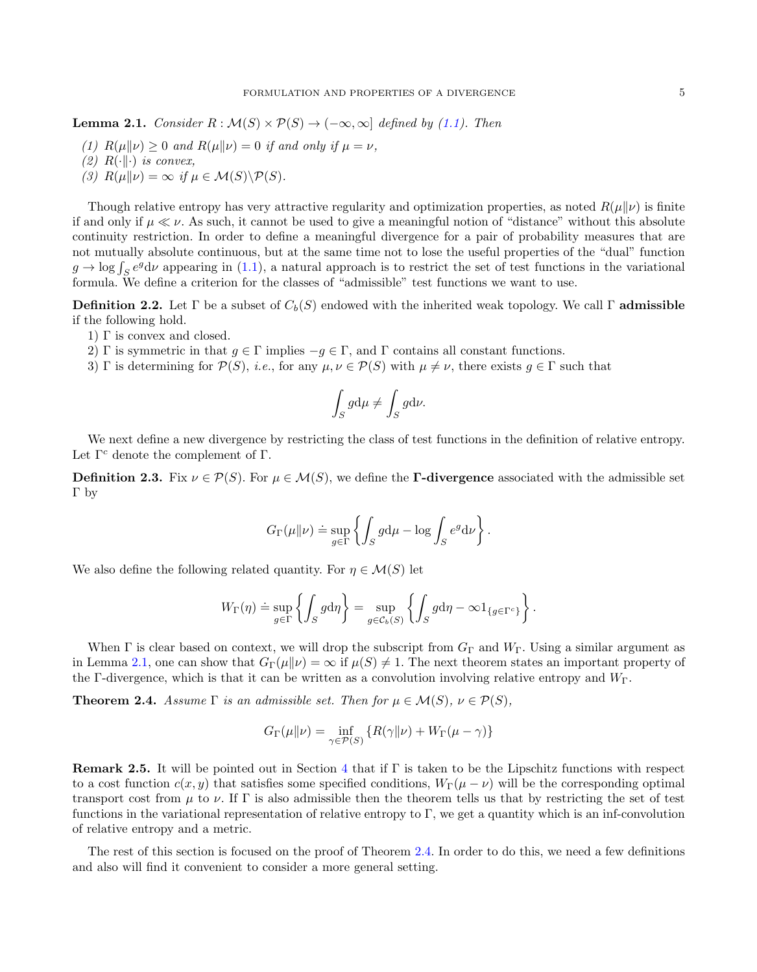<span id="page-4-1"></span>**Lemma 2.1.** Consider  $R : \mathcal{M}(S) \times \mathcal{P}(S) \rightarrow (-\infty, \infty]$  defined by [\(1.1\)](#page-1-1). Then

- (1)  $R(\mu||\nu) > 0$  and  $R(\mu||\nu) = 0$  if and only if  $\mu = \nu$ ,
- (2)  $R(\cdot||\cdot)$  is convex,
- (3)  $R(\mu||\nu) = \infty$  if  $\mu \in \mathcal{M}(S) \backslash \mathcal{P}(S)$ .

Though relative entropy has very attractive regularity and optimization properties, as noted  $R(\mu||\nu)$  is finite if and only if  $\mu \ll \nu$ . As such, it cannot be used to give a meaningful notion of "distance" without this absolute continuity restriction. In order to define a meaningful divergence for a pair of probability measures that are not mutually absolute continuous, but at the same time not to lose the useful properties of the "dual" function  $g \to \log \int_S e^g d\nu$  appearing in [\(1.1\)](#page-1-1), a natural approach is to restrict the set of test functions in the variational formula. We define a criterion for the classes of "admissible" test functions we want to use.

<span id="page-4-3"></span>**Definition 2.2.** Let Γ be a subset of  $C_b(S)$  endowed with the inherited weak topology. We call Γ admissible if the following hold.

- 1) Γ is convex and closed.
- 2) Γ is symmetric in that  $g \in \Gamma$  implies  $-g \in \Gamma$ , and  $\Gamma$  contains all constant functions.
- 3) Γ is determining for  $\mathcal{P}(S)$ , i.e., for any  $\mu, \nu \in \mathcal{P}(S)$  with  $\mu \neq \nu$ , there exists  $g \in \Gamma$  such that

$$
\int_{S} g d\mu \neq \int_{S} g d\nu.
$$

We next define a new divergence by restricting the class of test functions in the definition of relative entropy. Let  $\Gamma^c$  denote the complement of  $\Gamma$ .

<span id="page-4-2"></span>**Definition 2.3.** Fix  $\nu \in \mathcal{P}(S)$ . For  $\mu \in \mathcal{M}(S)$ , we define the **Γ-divergence** associated with the admissible set Γ by

$$
G_{\Gamma}(\mu\|\nu) \doteq \sup_{g \in \Gamma} \left\{ \int_{S} g d\mu - \log \int_{S} e^{g} d\nu \right\}.
$$

We also define the following related quantity. For  $\eta \in \mathcal{M}(S)$  let

$$
W_{\Gamma}(\eta) \doteq \sup_{g \in \Gamma} \left\{ \int_{S} g \mathrm{d}\eta \right\} = \sup_{g \in \mathcal{C}_{b}(S)} \left\{ \int_{S} g \mathrm{d}\eta - \infty \mathbf{1}_{\{g \in \Gamma^{c}\}} \right\}.
$$

When  $\Gamma$  is clear based on context, we will drop the subscript from  $G_{\Gamma}$  and  $W_{\Gamma}$ . Using a similar argument as in Lemma [2.1,](#page-4-1) one can show that  $G_{\Gamma}(\mu||\nu) = \infty$  if  $\mu(S) \neq 1$ . The next theorem states an important property of the Γ-divergence, which is that it can be written as a convolution involving relative entropy and  $W_{\Gamma}$ .

<span id="page-4-0"></span>**Theorem 2.4.** Assume  $\Gamma$  is an admissible set. Then for  $\mu \in \mathcal{M}(S)$ ,  $\nu \in \mathcal{P}(S)$ ,

$$
G_{\Gamma}(\mu\|\nu)=\inf_{\gamma\in\mathcal{P}(S)}\left\{R(\gamma\|\nu)+W_{\Gamma}(\mu-\gamma)\right\}
$$

**Remark 2.5.** It will be pointed out in Section [4](#page-11-0) that if  $\Gamma$  is taken to be the Lipschitz functions with respect to a cost function  $c(x, y)$  that satisfies some specified conditions,  $W_{\Gamma}(\mu - \nu)$  will be the corresponding optimal transport cost from  $\mu$  to  $\nu$ . If  $\Gamma$  is also admissible then the theorem tells us that by restricting the set of test functions in the variational representation of relative entropy to Γ, we get a quantity which is an inf-convolution of relative entropy and a metric.

The rest of this section is focused on the proof of Theorem [2.4.](#page-4-0) In order to do this, we need a few definitions and also will find it convenient to consider a more general setting.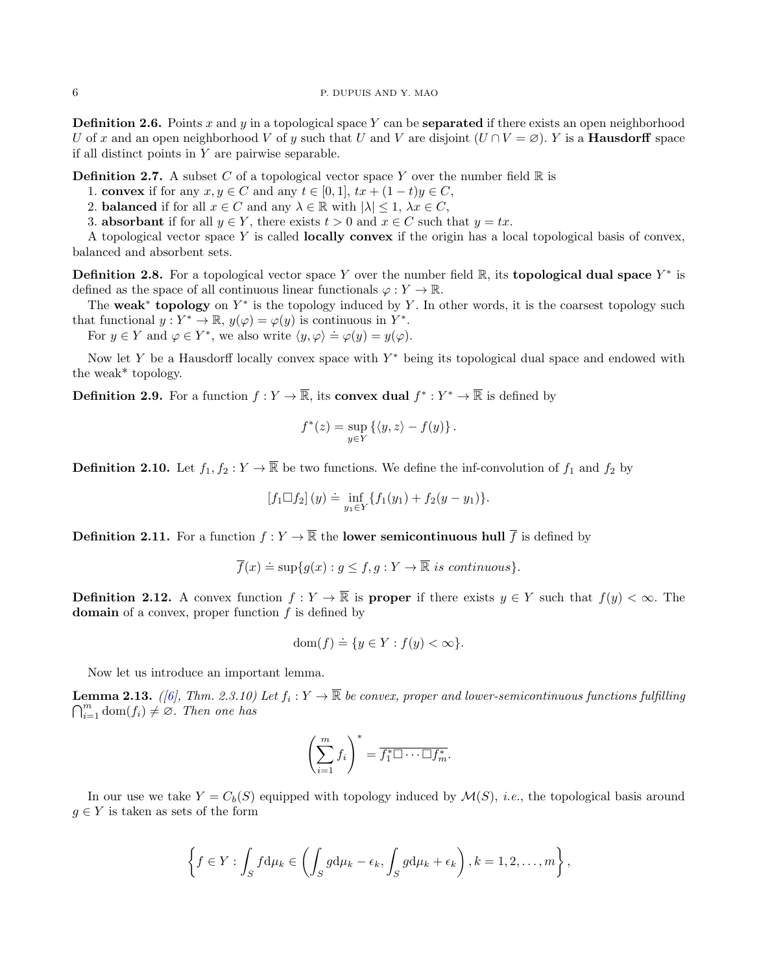**Definition 2.6.** Points x and y in a topological space Y can be **separated** if there exists an open neighborhood U of x and an open neighborhood V of y such that U and V are disjoint  $(U \cap V = \emptyset)$ . Y is a **Hausdorff** space if all distinct points in  $Y$  are pairwise separable.

**Definition 2.7.** A subset C of a topological vector space Y over the number field  $\mathbb{R}$  is

- 1. convex if for any  $x, y \in C$  and any  $t \in [0, 1]$ ,  $tx + (1 t)y \in C$ ,
- 2. **balanced** if for all  $x \in C$  and any  $\lambda \in \mathbb{R}$  with  $|\lambda| \leq 1$ ,  $\lambda x \in C$ ,
- 3. **absorbant** if for all  $y \in Y$ , there exists  $t > 0$  and  $x \in C$  such that  $y = tx$ .

A topological vector space  $Y$  is called **locally convex** if the origin has a local topological basis of convex, balanced and absorbent sets.

**Definition 2.8.** For a topological vector space Y over the number field  $\mathbb{R}$ , its **topological dual space**  $Y^*$  is defined as the space of all continuous linear functionals  $\varphi: Y \to \mathbb{R}$ .

The weak<sup>\*</sup> topology on  $Y^*$  is the topology induced by Y. In other words, it is the coarsest topology such that functional  $y: Y^* \to \mathbb{R}, y(\varphi) = \varphi(y)$  is continuous in  $Y^*$ .

For  $y \in Y$  and  $\varphi \in Y^*$ , we also write  $\langle y, \varphi \rangle = \varphi(y) = y(\varphi)$ .

Now let Y be a Hausdorff locally convex space with  $Y^*$  being its topological dual space and endowed with the weak\* topology.

**Definition 2.9.** For a function  $f: Y \to \overline{\mathbb{R}}$ , its **convex dual**  $f^*: Y^* \to \overline{\mathbb{R}}$  is defined by

$$
f^*(z) = \sup_{y \in Y} \left\{ \langle y, z \rangle - f(y) \right\}.
$$

**Definition 2.10.** Let  $f_1, f_2 : Y \to \overline{\mathbb{R}}$  be two functions. We define the inf-convolution of  $f_1$  and  $f_2$  by

$$
[f_1 \Box f_2](y) \doteq \inf_{y_1 \in Y} \{f_1(y_1) + f_2(y - y_1)\}.
$$

**Definition 2.11.** For a function  $f: Y \to \overline{\mathbb{R}}$  the **lower semicontinuous hull**  $\overline{f}$  is defined by

$$
\overline{f}(x) \doteq \sup\{g(x) : g \le f, g : Y \to \overline{\mathbb{R}} \text{ is continuous}\}.
$$

**Definition 2.12.** A convex function  $f: Y \to \mathbb{R}$  is **proper** if there exists  $y \in Y$  such that  $f(y) < \infty$ . The domain of a convex, proper function  $f$  is defined by

$$
\text{dom}(f) \doteq \{ y \in Y : f(y) < \infty \}.
$$

Now let us introduce an important lemma.

<span id="page-5-0"></span>**Lemma 2.13.** ([\[6\]](#page-36-17), Thm. 2.3.10) Let  $f_i: Y \to \overline{\mathbb{R}}$  be convex, proper and lower-semicontinuous functions fulfilling  $\bigcap_{i=1}^m \text{dom}(f_i) \neq \emptyset$ . Then one has

$$
\left(\sum_{i=1}^m f_i\right)^* = \overline{f_1^*\square\cdots\square f_m^*}.
$$

In our use we take  $Y = C_b(S)$  equipped with topology induced by  $\mathcal{M}(S)$ , *i.e.*, the topological basis around  $g \in Y$  is taken as sets of the form

$$
\left\{f \in Y : \int_{S} f d\mu_{k} \in \left(\int_{S} g d\mu_{k} - \epsilon_{k}, \int_{S} g d\mu_{k} + \epsilon_{k}\right), k = 1, 2, \ldots, m\right\},\
$$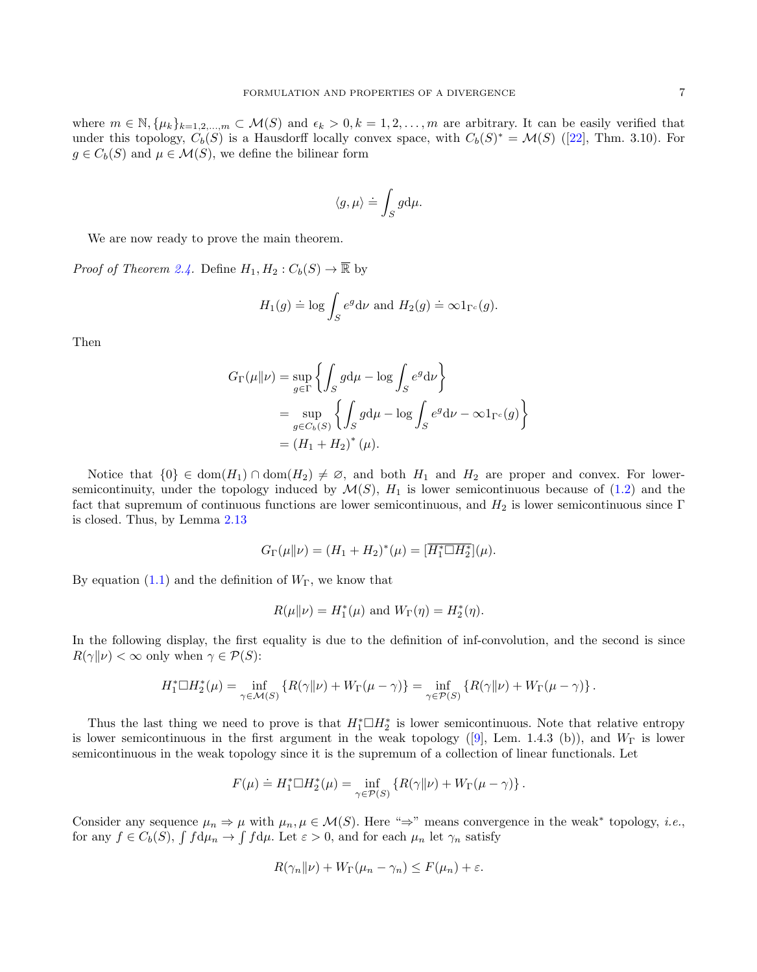where  $m \in \mathbb{N}, \{\mu_k\}_{k=1,2,\dots,m} \subset \mathcal{M}(S)$  and  $\epsilon_k > 0, k = 1,2,\dots,m$  are arbitrary. It can be easily verified that underthis topology,  $C_b(S)$  is a Hausdorff locally convex space, with  $C_b(S)^* = \mathcal{M}(S)$  ([\[22\]](#page-37-2), Thm. 3.10). For  $g \in C_b(S)$  and  $\mu \in \mathcal{M}(S)$ , we define the bilinear form

$$
\langle g, \mu \rangle \doteq \int_S g \mathrm{d} \mu.
$$

We are now ready to prove the main theorem.

*Proof of Theorem [2.4.](#page-4-0)* Define  $H_1, H_2 : C_b(S) \to \overline{\mathbb{R}}$  by

$$
H_1(g) \doteq \log \int_S e^g d\nu
$$
 and  $H_2(g) \doteq \infty 1_{\Gamma^c}(g)$ .

Then

$$
G_{\Gamma}(\mu \| \nu) = \sup_{g \in \Gamma} \left\{ \int_{S} g d\mu - \log \int_{S} e^{g} d\nu \right\}
$$
  
= 
$$
\sup_{g \in C_b(S)} \left\{ \int_{S} g d\mu - \log \int_{S} e^{g} d\nu - \infty 1_{\Gamma^c}(g) \right\}
$$
  
= 
$$
(H_1 + H_2)^*(\mu).
$$

Notice that  $\{0\} \in \text{dom}(H_1) \cap \text{dom}(H_2) \neq \emptyset$ , and both  $H_1$  and  $H_2$  are proper and convex. For lowersemicontinuity, under the topology induced by  $\mathcal{M}(S)$ ,  $H_1$  is lower semicontinuous because of [\(1.2\)](#page-1-0) and the fact that supremum of continuous functions are lower semicontinuous, and  $H_2$  is lower semicontinuous since Γ is closed. Thus, by Lemma [2.13](#page-5-0)

$$
G_{\Gamma}(\mu \| \nu) = (H_1 + H_2)^*(\mu) = \overline{[H_1^* \Box H_2^*]}(\mu).
$$

By equation  $(1.1)$  and the definition of  $W_{\Gamma}$ , we know that

$$
R(\mu||\nu) = H_1^*(\mu)
$$
 and  $W_{\Gamma}(\eta) = H_2^*(\eta)$ .

In the following display, the first equality is due to the definition of inf-convolution, and the second is since  $R(\gamma||\nu) < \infty$  only when  $\gamma \in \mathcal{P}(S)$ :

$$
H_1^* \Box H_2^*(\mu) = \inf_{\gamma \in \mathcal{M}(S)} \left\{ R(\gamma \| \nu) + W_{\Gamma}(\mu - \gamma) \right\} = \inf_{\gamma \in \mathcal{P}(S)} \left\{ R(\gamma \| \nu) + W_{\Gamma}(\mu - \gamma) \right\}.
$$

Thus the last thing we need to prove is that  $H_1^* \Box H_2^*$  is lower semicontinuous. Note that relative entropy islower semicontinuous in the first argument in the weak topology ([\[9\]](#page-36-0), Lem. 1.4.3 (b)), and  $W_{\Gamma}$  is lower semicontinuous in the weak topology since it is the supremum of a collection of linear functionals. Let

$$
F(\mu) \doteq H_1^* \Box H_2^*(\mu) = \inf_{\gamma \in \mathcal{P}(S)} \left\{ R(\gamma || \nu) + W_{\Gamma}(\mu - \gamma) \right\}.
$$

Consider any sequence  $\mu_n \Rightarrow \mu$  with  $\mu_n, \mu \in \mathcal{M}(S)$ . Here " $\Rightarrow$ " means convergence in the weak\* topology, *i.e.*, for any  $f \in C_b(S)$ ,  $\int f d\mu_n \to \int f d\mu$ . Let  $\varepsilon > 0$ , and for each  $\mu_n$  let  $\gamma_n$  satisfy

$$
R(\gamma_n \| \nu) + W_{\Gamma}(\mu_n - \gamma_n) \le F(\mu_n) + \varepsilon.
$$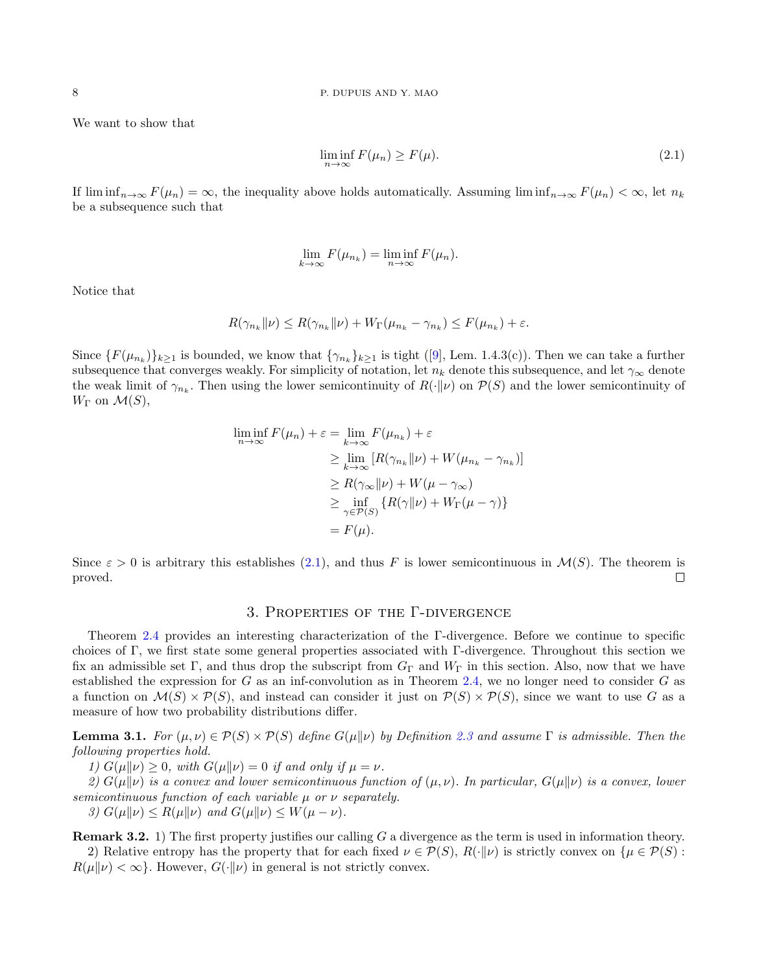We want to show that

<span id="page-7-1"></span>
$$
\liminf_{n \to \infty} F(\mu_n) \ge F(\mu). \tag{2.1}
$$

If  $\liminf_{n\to\infty}F(\mu_n)=\infty$ , the inequality above holds automatically. Assuming  $\liminf_{n\to\infty}F(\mu_n)<\infty$ , let  $n_k$ be a subsequence such that

$$
\lim_{k \to \infty} F(\mu_{n_k}) = \liminf_{n \to \infty} F(\mu_n).
$$

Notice that

$$
R(\gamma_{n_k} \|\nu) \le R(\gamma_{n_k} \|\nu) + W_{\Gamma}(\mu_{n_k} - \gamma_{n_k}) \le F(\mu_{n_k}) + \varepsilon.
$$

Since $\{F(\mu_{n_k})\}_{k\geq 1}$  is bounded, we know that  $\{\gamma_{n_k}\}_{k\geq 1}$  is tight ([\[9\]](#page-36-0), Lem. 1.4.3(c)). Then we can take a further subsequence that converges weakly. For simplicity of notation, let  $n_k$  denote this subsequence, and let  $\gamma_\infty$  denote the weak limit of  $\gamma_{n_k}$ . Then using the lower semicontinuity of  $R(\cdot|\nu)$  on  $\mathcal{P}(S)$  and the lower semicontinuity of  $W_{\Gamma}$  on  $\mathcal{M}(S)$ ,

$$
\liminf_{n \to \infty} F(\mu_n) + \varepsilon = \lim_{k \to \infty} F(\mu_{n_k}) + \varepsilon
$$
  
\n
$$
\geq \lim_{k \to \infty} [R(\gamma_{n_k} || \nu) + W(\mu_{n_k} - \gamma_{n_k})]
$$
  
\n
$$
\geq R(\gamma_{\infty} || \nu) + W(\mu - \gamma_{\infty})
$$
  
\n
$$
\geq \inf_{\gamma \in \mathcal{P}(S)} \{ R(\gamma || \nu) + W_{\Gamma}(\mu - \gamma) \}
$$
  
\n
$$
= F(\mu).
$$

Since  $\varepsilon > 0$  is arbitrary this establishes [\(2.1\)](#page-7-1), and thus F is lower semicontinuous in  $\mathcal{M}(S)$ . The theorem is proved.  $\Box$ 

#### 3. Properties of the Γ-divergence

<span id="page-7-0"></span>Theorem [2.4](#page-4-0) provides an interesting characterization of the Γ-divergence. Before we continue to specific choices of Γ, we first state some general properties associated with Γ-divergence. Throughout this section we fix an admissible set Γ, and thus drop the subscript from  $G_{\Gamma}$  and  $W_{\Gamma}$  in this section. Also, now that we have established the expression for  $G$  as an inf-convolution as in Theorem [2.4,](#page-4-0) we no longer need to consider  $G$  as a function on  $\mathcal{M}(S) \times \mathcal{P}(S)$ , and instead can consider it just on  $\mathcal{P}(S) \times \mathcal{P}(S)$ , since we want to use G as a measure of how two probability distributions differ.

<span id="page-7-2"></span>**Lemma 3.1.** For  $(\mu, \nu) \in \mathcal{P}(S) \times \mathcal{P}(S)$  define  $G(\mu||\nu)$  by Definition [2.3](#page-4-2) and assume  $\Gamma$  is admissible. Then the following properties hold.

1)  $G(\mu||\nu) \geq 0$ , with  $G(\mu||\nu) = 0$  if and only if  $\mu = \nu$ .

2)  $G(\mu||\nu)$  is a convex and lower semicontinuous function of  $(\mu, \nu)$ . In particular,  $G(\mu||\nu)$  is a convex, lower semicontinuous function of each variable  $\mu$  or  $\nu$  separately.

3)  $G(\mu||\nu) \le R(\mu||\nu)$  and  $G(\mu||\nu) \le W(\mu - \nu)$ .

**Remark 3.2.** 1) The first property justifies our calling  $G$  a divergence as the term is used in information theory. 2) Relative entropy has the property that for each fixed  $\nu \in \mathcal{P}(S), R(\cdot|\nu)$  is strictly convex on  $\{\mu \in \mathcal{P}(S):$  $R(\mu|\nu) < \infty$ . However,  $G(\cdot|\nu)$  in general is not strictly convex.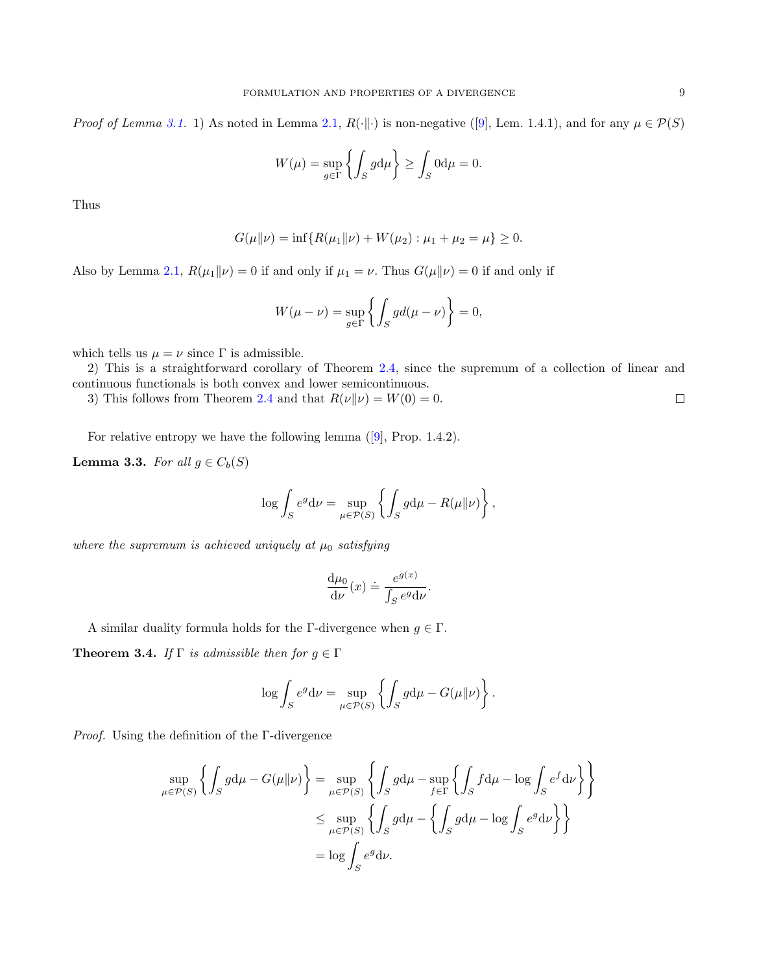*Proof of Lemma [3.1.](#page-7-2)* 1) As noted in Lemma [2.1,](#page-4-1) $R(\cdot|\cdot)$  is non-negative ([\[9\]](#page-36-0), Lem. 1.4.1), and for any  $\mu \in \mathcal{P}(S)$ 

$$
W(\mu) = \sup_{g \in \Gamma} \left\{ \int_{S} g \mathrm{d}\mu \right\} \ge \int_{S} 0 \mathrm{d}\mu = 0.
$$

Thus

$$
G(\mu\|\nu) = \inf\{R(\mu_1\|\nu) + W(\mu_2) : \mu_1 + \mu_2 = \mu\} \ge 0.
$$

Also by Lemma [2.1,](#page-4-1)  $R(\mu_1\|\nu) = 0$  if and only if  $\mu_1 = \nu$ . Thus  $G(\mu\|\nu) = 0$  if and only if

$$
W(\mu - \nu) = \sup_{g \in \Gamma} \left\{ \int_{S} g d(\mu - \nu) \right\} = 0,
$$

which tells us  $\mu = \nu$  since  $\Gamma$  is admissible.

2) This is a straightforward corollary of Theorem [2.4,](#page-4-0) since the supremum of a collection of linear and continuous functionals is both convex and lower semicontinuous.

3) This follows from Theorem [2.4](#page-4-0) and that  $R(\nu||\nu) = W(0) = 0$ .  $\Box$ 

For relative entropy we have the following lemma([\[9\]](#page-36-0), Prop. 1.4.2).

<span id="page-8-0"></span>**Lemma 3.3.** For all  $g \in C_b(S)$ 

$$
\log \int_{S} e^{g} d\nu = \sup_{\mu \in \mathcal{P}(S)} \left\{ \int_{S} g d\mu - R(\mu \| \nu) \right\},\,
$$

where the supremum is achieved uniquely at  $\mu_0$  satisfying

$$
\frac{\mathrm{d}\mu_0}{\mathrm{d}\nu}(x) \doteq \frac{e^{g(x)}}{\int_S e^g \mathrm{d}\nu}.
$$

A similar duality formula holds for the Γ-divergence when  $g \in \Gamma$ .

<span id="page-8-1"></span>**Theorem 3.4.** If  $\Gamma$  is admissible then for  $g \in \Gamma$ 

$$
\log \int_{S} e^{g} d\nu = \sup_{\mu \in \mathcal{P}(S)} \left\{ \int_{S} g d\mu - G(\mu \| \nu) \right\}.
$$

Proof. Using the definition of the Γ-divergence

$$
\sup_{\mu \in \mathcal{P}(S)} \left\{ \int_{S} g d\mu - G(\mu \| \nu) \right\} = \sup_{\mu \in \mathcal{P}(S)} \left\{ \int_{S} g d\mu - \sup_{f \in \Gamma} \left\{ \int_{S} f d\mu - \log \int_{S} e^{f} d\nu \right\} \right\}
$$
  

$$
\leq \sup_{\mu \in \mathcal{P}(S)} \left\{ \int_{S} g d\mu - \left\{ \int_{S} g d\mu - \log \int_{S} e^{g} d\nu \right\} \right\}
$$
  

$$
= \log \int_{S} e^{g} d\nu.
$$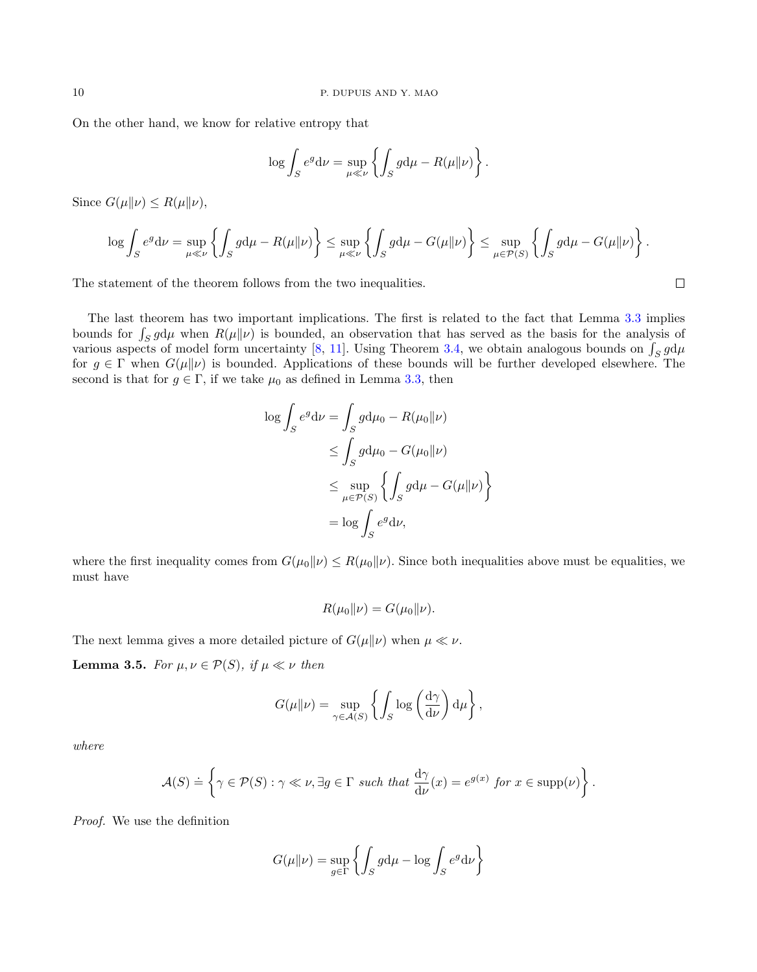On the other hand, we know for relative entropy that

$$
\log \int_{S} e^{g} d\nu = \sup_{\mu \ll \nu} \left\{ \int_{S} g d\mu - R(\mu \| \nu) \right\}.
$$

Since  $G(\mu||\nu) \leq R(\mu||\nu)$ ,

$$
\log \int_{S} e^{g} d\nu = \sup_{\mu \ll \nu} \left\{ \int_{S} g d\mu - R(\mu \| \nu) \right\} \leq \sup_{\mu \ll \nu} \left\{ \int_{S} g d\mu - G(\mu \| \nu) \right\} \leq \sup_{\mu \in \mathcal{P}(S)} \left\{ \int_{S} g d\mu - G(\mu \| \nu) \right\}.
$$

The statement of the theorem follows from the two inequalities.

The last theorem has two important implications. The first is related to the fact that Lemma [3.3](#page-8-0) implies bounds for  $\int_S g d\mu$  when  $R(\mu||\nu)$  is bounded, an observation that has served as the basis for the analysis of various aspects of model form uncertainty [\[8,](#page-36-4) [11\]](#page-36-1). Using Theorem [3.4,](#page-8-1) we obtain analogous bounds on  $\int_S g d\mu$ for  $g \in \Gamma$  when  $G(\mu||\nu)$  is bounded. Applications of these bounds will be further developed elsewhere. The second is that for  $g \in \Gamma$ , if we take  $\mu_0$  as defined in Lemma [3.3,](#page-8-0) then

$$
\log \int_{S} e^{g} d\nu = \int_{S} g d\mu_{0} - R(\mu_{0} || \nu)
$$
  
\n
$$
\leq \int_{S} g d\mu_{0} - G(\mu_{0} || \nu)
$$
  
\n
$$
\leq \sup_{\mu \in \mathcal{P}(S)} \left\{ \int_{S} g d\mu - G(\mu || \nu) \right\}
$$
  
\n
$$
= \log \int_{S} e^{g} d\nu,
$$

where the first inequality comes from  $G(\mu_0\|\nu) \le R(\mu_0\|\nu)$ . Since both inequalities above must be equalities, we must have

$$
R(\mu_0 \| \nu) = G(\mu_0 \| \nu).
$$

The next lemma gives a more detailed picture of  $G(\mu||\nu)$  when  $\mu \ll \nu$ .

**Lemma 3.5.** For  $\mu, \nu \in \mathcal{P}(S)$ , if  $\mu \ll \nu$  then

$$
G(\mu||\nu) = \sup_{\gamma \in \mathcal{A}(S)} \left\{ \int_S \log \left( \frac{d\gamma}{d\nu} \right) d\mu \right\},\,
$$

where

$$
\mathcal{A}(S) \doteq \left\{ \gamma \in \mathcal{P}(S) : \gamma \ll \nu, \exists g \in \Gamma \text{ such that } \frac{d\gamma}{d\nu}(x) = e^{g(x)} \text{ for } x \in \text{supp}(\nu) \right\}.
$$

Proof. We use the definition

$$
G(\mu||\nu) = \sup_{g \in \Gamma} \left\{ \int_{S} g d\mu - \log \int_{S} e^{g} d\nu \right\}
$$

 $\Box$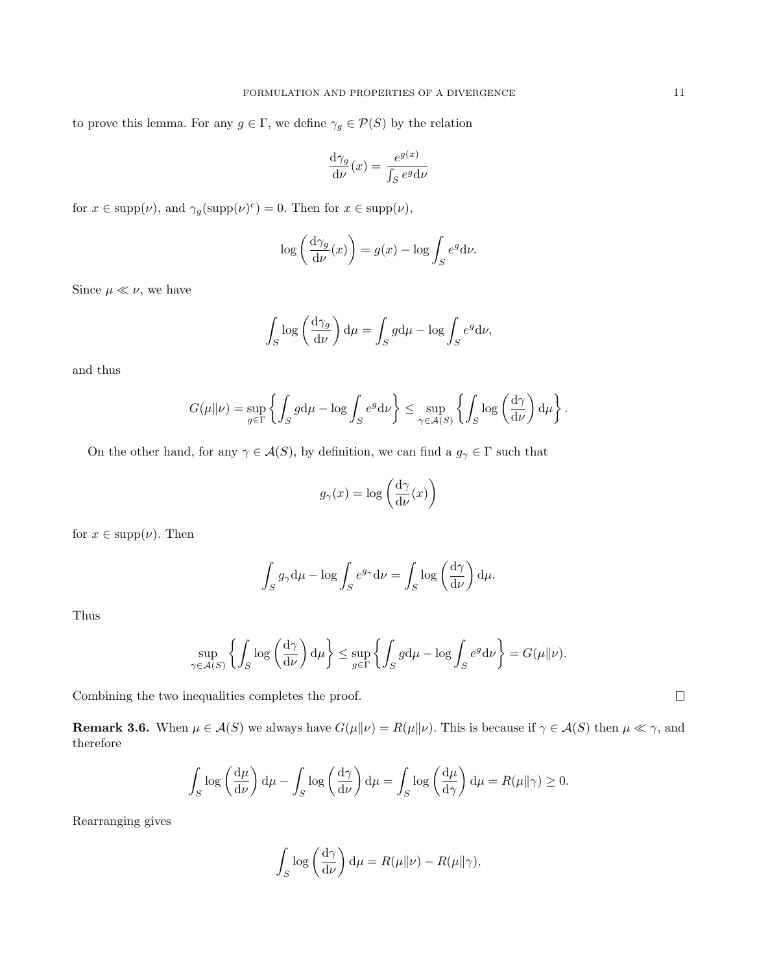to prove this lemma. For any  $g\in \Gamma,$  we define  $\gamma_g\in \mathcal{P}(S)$  by the relation

$$
\frac{\mathrm{d}\gamma_g}{\mathrm{d}\nu}(x) = \frac{e^{g(x)}}{\int_S e^g \mathrm{d}\nu}
$$

for  $x \in \text{supp}(\nu)$ , and  $\gamma_g(\text{supp}(\nu)^c) = 0$ . Then for  $x \in \text{supp}(\nu)$ ,

$$
\log\left(\frac{d\gamma_g}{d\nu}(x)\right) = g(x) - \log \int_S e^g d\nu.
$$

Since  $\mu \ll \nu$ , we have

$$
\int_{S} \log \left( \frac{d\gamma_g}{d\nu} \right) d\mu = \int_{S} g d\mu - \log \int_{S} e^g d\nu,
$$

and thus

$$
G(\mu\|\nu) = \sup_{g \in \Gamma} \left\{ \int_S g d\mu - \log \int_S e^g d\nu \right\} \le \sup_{\gamma \in \mathcal{A}(S)} \left\{ \int_S \log \left( \frac{d\gamma}{d\nu} \right) d\mu \right\}.
$$

On the other hand, for any  $\gamma\in\mathcal{A}(S),$  by definition, we can find a  $g_\gamma\in\Gamma$  such that

$$
g_{\gamma}(x) = \log\left(\frac{\mathrm{d}\gamma}{\mathrm{d}\nu}(x)\right)
$$

for  $x \in \text{supp}(\nu)$ . Then

$$
\int_{S} g_{\gamma} d\mu - \log \int_{S} e^{g_{\gamma}} d\nu = \int_{S} \log \left( \frac{d\gamma}{d\nu} \right) d\mu.
$$

Thus

$$
\sup_{\gamma \in \mathcal{A}(S)} \left\{ \int_S \log \left( \frac{d\gamma}{d\nu} \right) d\mu \right\} \le \sup_{g \in \Gamma} \left\{ \int_S g d\mu - \log \int_S e^g d\nu \right\} = G(\mu \| \nu).
$$

Combining the two inequalities completes the proof.

**Remark 3.6.** When  $\mu \in \mathcal{A}(S)$  we always have  $G(\mu \| \nu) = R(\mu \| \nu)$ . This is because if  $\gamma \in \mathcal{A}(S)$  then  $\mu \ll \gamma$ , and therefore

$$
\int_{S} \log \left(\frac{d\mu}{d\nu}\right) d\mu - \int_{S} \log \left(\frac{d\gamma}{d\nu}\right) d\mu = \int_{S} \log \left(\frac{d\mu}{d\gamma}\right) d\mu = R(\mu \|\gamma) \ge 0.
$$

Rearranging gives

$$
\int_{S} \log \left( \frac{d\gamma}{d\nu} \right) d\mu = R(\mu \| \nu) - R(\mu \| \gamma),
$$

 $\Box$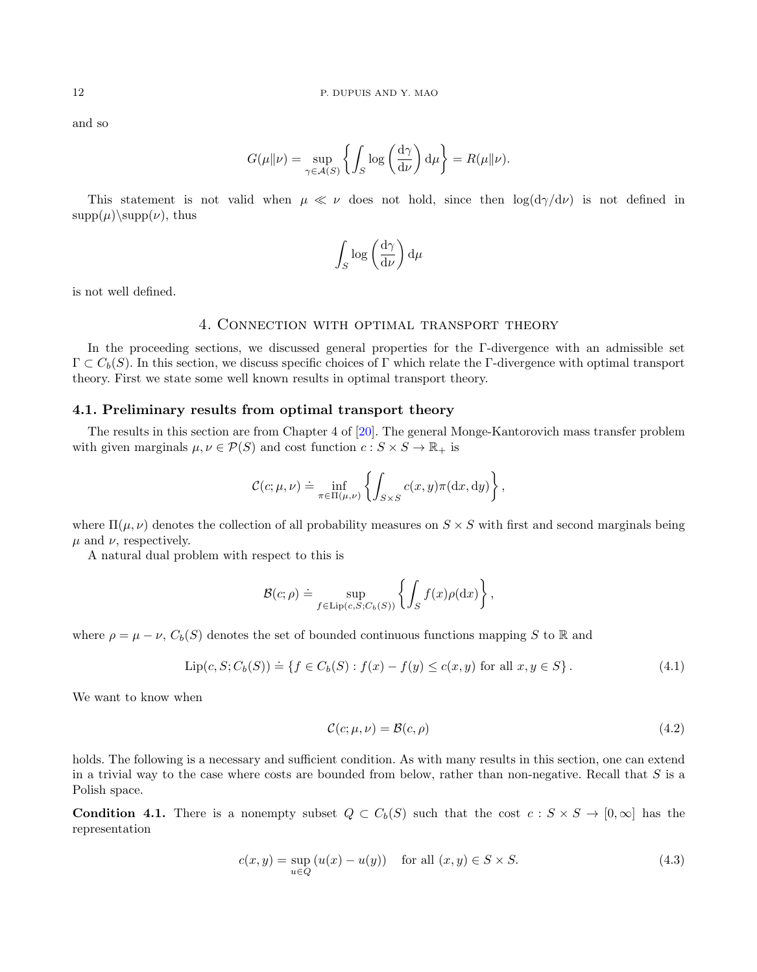and so

$$
G(\mu||\nu) = \sup_{\gamma \in \mathcal{A}(S)} \left\{ \int_S \log \left( \frac{d\gamma}{d\nu} \right) d\mu \right\} = R(\mu||\nu).
$$

This statement is not valid when  $\mu \ll \nu$  does not hold, since then  $\log(d\gamma/d\nu)$  is not defined in  $\text{supp}(\mu)\$ supp $(\nu)$ , thus

$$
\int_{S} \log \left(\frac{\mathrm{d}\gamma}{\mathrm{d}\nu}\right) \mathrm{d}\mu
$$

<span id="page-11-0"></span>is not well defined.

## 4. Connection with optimal transport theory

In the proceeding sections, we discussed general properties for the Γ-divergence with an admissible set  $\Gamma \subset C_b(S)$ . In this section, we discuss specific choices of Γ which relate the Γ-divergence with optimal transport theory. First we state some well known results in optimal transport theory.

# 4.1. Preliminary results from optimal transport theory

The results in this section are from Chapter 4 of [\[20\]](#page-36-14). The general Monge-Kantorovich mass transfer problem with given marginals  $\mu, \nu \in \mathcal{P}(S)$  and cost function  $c : S \times S \to \mathbb{R}_+$  is

$$
\mathcal{C}(c; \mu, \nu) \doteq \inf_{\pi \in \Pi(\mu, \nu)} \left\{ \int_{S \times S} c(x, y) \pi(\mathrm{d}x, \mathrm{d}y) \right\},\,
$$

where  $\Pi(\mu, \nu)$  denotes the collection of all probability measures on  $S \times S$  with first and second marginals being  $\mu$  and  $\nu$ , respectively.

A natural dual problem with respect to this is

$$
\mathcal{B}(c;\rho) \doteq \sup_{f \in \text{Lip}(c,S;C_b(S))} \left\{ \int_S f(x) \rho(\mathrm{d}x) \right\},\,
$$

where  $\rho = \mu - \nu$ ,  $C_b(S)$  denotes the set of bounded continuous functions mapping S to R and

$$
\text{Lip}(c, S; C_b(S)) \doteq \{ f \in C_b(S) : f(x) - f(y) \le c(x, y) \text{ for all } x, y \in S \}. \tag{4.1}
$$

We want to know when

<span id="page-11-4"></span><span id="page-11-2"></span>
$$
\mathcal{C}(c; \mu, \nu) = \mathcal{B}(c, \rho) \tag{4.2}
$$

holds. The following is a necessary and sufficient condition. As with many results in this section, one can extend in a trivial way to the case where costs are bounded from below, rather than non-negative. Recall that S is a Polish space.

<span id="page-11-1"></span>**Condition 4.1.** There is a nonempty subset  $Q \subset C_b(S)$  such that the cost  $c : S \times S \to [0, \infty]$  has the representation

<span id="page-11-3"></span>
$$
c(x, y) = \sup_{u \in Q} (u(x) - u(y)) \quad \text{for all } (x, y) \in S \times S.
$$
 (4.3)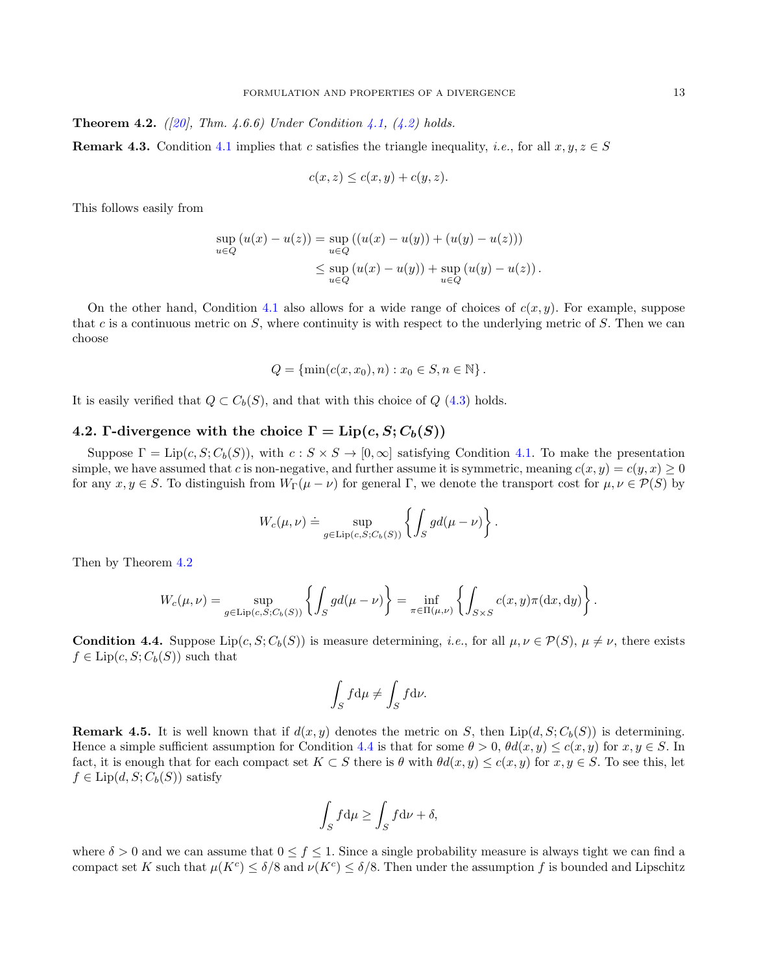<span id="page-12-0"></span>**Theorem 4.2.** ([\[20\]](#page-36-14), Thm. 4.6.6) Under Condition [4.1,](#page-11-1) [\(4.2\)](#page-11-2) holds. **Remark 4.3.** Condition [4.1](#page-11-1) implies that c satisfies the triangle inequality, *i.e.*, for all  $x, y, z \in S$ 

$$
c(x, z) \le c(x, y) + c(y, z).
$$

This follows easily from

$$
\sup_{u \in Q} (u(x) - u(z)) = \sup_{u \in Q} ((u(x) - u(y)) + (u(y) - u(z)))
$$
  

$$
\leq \sup_{u \in Q} (u(x) - u(y)) + \sup_{u \in Q} (u(y) - u(z)).
$$

On the other hand, Condition [4.1](#page-11-1) also allows for a wide range of choices of  $c(x, y)$ . For example, suppose that c is a continuous metric on  $S$ , where continuity is with respect to the underlying metric of  $S$ . Then we can choose

$$
Q = \{ \min(c(x, x_0), n) : x_0 \in S, n \in \mathbb{N} \}.
$$

It is easily verified that  $Q \subset C_b(S)$ , and that with this choice of  $Q$  [\(4.3\)](#page-11-3) holds.

# 4.2. Γ-divergence with the choice  $\Gamma = \text{Lip}(c, S; C_b(S))$

Suppose  $\Gamma = \text{Lip}(c, S; C_b(S))$ , with  $c : S \times S \to [0, \infty]$  satisfying Condition [4.1.](#page-11-1) To make the presentation simple, we have assumed that c is non-negative, and further assume it is symmetric, meaning  $c(x, y) = c(y, x) \ge 0$ for any  $x, y \in S$ . To distinguish from  $W_{\Gamma}(\mu - \nu)$  for general  $\Gamma$ , we denote the transport cost for  $\mu, \nu \in \mathcal{P}(S)$  by

$$
W_c(\mu,\nu) \doteq \sup_{g \in \text{Lip}(c,S;C_b(S))} \left\{ \int_S g d(\mu - \nu) \right\}.
$$

Then by Theorem [4.2](#page-12-0)

$$
W_c(\mu,\nu) = \sup_{g \in \text{Lip}(c,S;C_b(S))} \left\{ \int_S g d(\mu - \nu) \right\} = \inf_{\pi \in \Pi(\mu,\nu)} \left\{ \int_{S \times S} c(x,y) \pi(\mathrm{d}x,\mathrm{d}y) \right\}.
$$

<span id="page-12-1"></span>**Condition 4.4.** Suppose  $\text{Lip}(c, S; C_b(S))$  is measure determining, i.e., for all  $\mu, \nu \in \mathcal{P}(S), \mu \neq \nu$ , there exists  $f \in \text{Lip}(c, S; C_b(S))$  such that

$$
\int_{S} f d\mu \neq \int_{S} f d\nu.
$$

**Remark 4.5.** It is well known that if  $d(x, y)$  denotes the metric on S, then Lip( $d, S; C_b(S)$ ) is determining. Hence a simple sufficient assumption for Condition [4.4](#page-12-1) is that for some  $\theta > 0$ ,  $\theta d(x, y) \leq c(x, y)$  for  $x, y \in S$ . In fact, it is enough that for each compact set  $K \subset S$  there is  $\theta$  with  $\theta d(x, y) \leq c(x, y)$  for  $x, y \in S$ . To see this, let  $f \in \text{Lip}(d, S; C_b(S))$  satisfy

$$
\int_{S} f d\mu \ge \int_{S} f d\nu + \delta,
$$

where  $\delta > 0$  and we can assume that  $0 \le f \le 1$ . Since a single probability measure is always tight we can find a compact set K such that  $\mu(K^c) \le \delta/8$  and  $\nu(K^c) \le \delta/8$ . Then under the assumption f is bounded and Lipschitz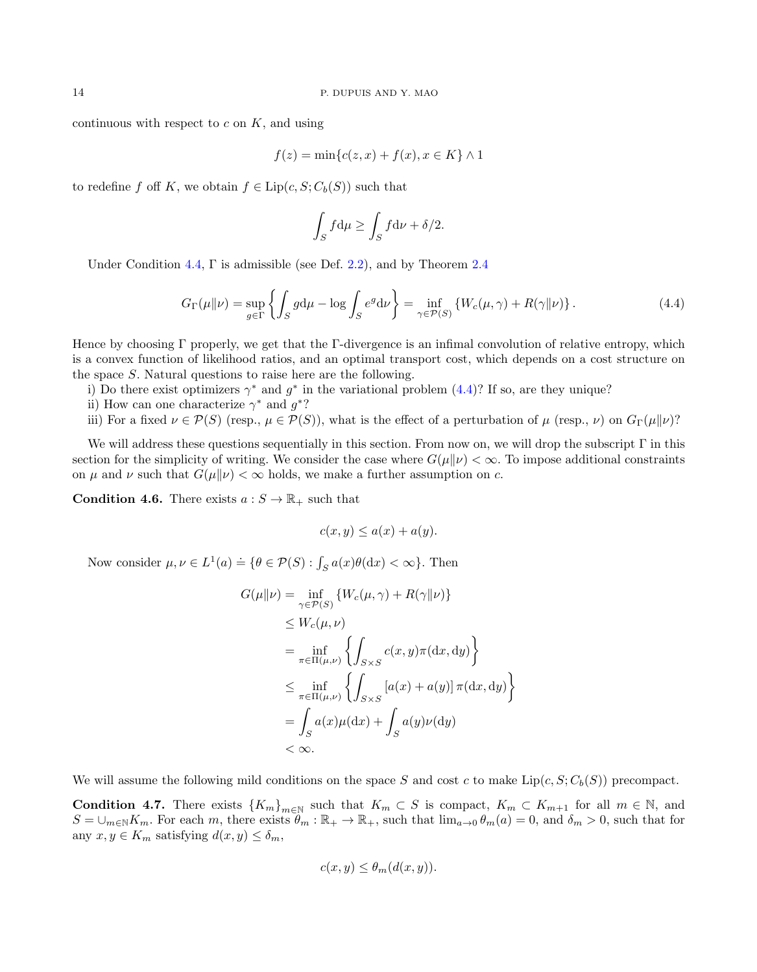continuous with respect to  $c$  on  $K$ , and using

$$
f(z) = \min\{c(z, x) + f(x), x \in K\} \wedge 1
$$

to redefine f off K, we obtain  $f \in \text{Lip}(c, S; C_b(S))$  such that

$$
\int_{S} f d\mu \ge \int_{S} f d\nu + \delta/2.
$$

Under Condition [4.4,](#page-12-1)  $\Gamma$  is admissible (see Def. [2.2\)](#page-4-3), and by Theorem [2.4](#page-4-0)

<span id="page-13-0"></span>
$$
G_{\Gamma}(\mu \| \nu) = \sup_{g \in \Gamma} \left\{ \int_{S} g d\mu - \log \int_{S} e^{g} d\nu \right\} = \inf_{\gamma \in \mathcal{P}(S)} \left\{ W_c(\mu, \gamma) + R(\gamma \| \nu) \right\}. \tag{4.4}
$$

Hence by choosing Γ properly, we get that the Γ-divergence is an infimal convolution of relative entropy, which is a convex function of likelihood ratios, and an optimal transport cost, which depends on a cost structure on the space S. Natural questions to raise here are the following.

i) Do there exist optimizers  $\gamma^*$  and  $g^*$  in the variational problem [\(4.4\)](#page-13-0)? If so, are they unique?

- ii) How can one characterize  $\gamma^*$  and  $g^*$ ?
- iii) For a fixed  $\nu \in \mathcal{P}(S)$  (resp.,  $\mu \in \mathcal{P}(S)$ ), what is the effect of a perturbation of  $\mu$  (resp.,  $\nu$ ) on  $G_{\Gamma}(\mu||\nu)$ ?

We will address these questions sequentially in this section. From now on, we will drop the subscript Γ in this section for the simplicity of writing. We consider the case where  $G(\mu||\nu) < \infty$ . To impose additional constraints on  $\mu$  and  $\nu$  such that  $G(\mu||\nu) < \infty$  holds, we make a further assumption on c.

<span id="page-13-1"></span>**Condition 4.6.** There exists  $a: S \to \mathbb{R}_+$  such that

$$
c(x, y) \le a(x) + a(y).
$$

Now consider  $\mu, \nu \in L^1(a) \doteq \{ \theta \in \mathcal{P}(S) : \int_S a(x) \theta(\mathrm{d}x) < \infty \}.$  Then

$$
G(\mu||\nu) = \inf_{\gamma \in \mathcal{P}(S)} \{W_c(\mu, \gamma) + R(\gamma||\nu)\}
$$
  
\n
$$
\leq W_c(\mu, \nu)
$$
  
\n
$$
= \inf_{\pi \in \Pi(\mu, \nu)} \left\{ \int_{S \times S} c(x, y)\pi(\mathrm{d}x, \mathrm{d}y) \right\}
$$
  
\n
$$
\leq \inf_{\pi \in \Pi(\mu, \nu)} \left\{ \int_{S \times S} [a(x) + a(y)]\pi(\mathrm{d}x, \mathrm{d}y) \right\}
$$
  
\n
$$
= \int_S a(x)\mu(\mathrm{d}x) + \int_S a(y)\nu(\mathrm{d}y)
$$
  
\n
$$
< \infty.
$$

We will assume the following mild conditions on the space S and cost c to make  $Lip(c, S; C_b(S))$  precompact.

<span id="page-13-2"></span>**Condition 4.7.** There exists  ${K_m}_{m \in \mathbb{N}}$  such that  $K_m \subset S$  is compact,  $K_m \subset K_{m+1}$  for all  $m \in \mathbb{N}$ , and  $S = \bigcup_{m \in \mathbb{N}} K_m$ . For each m, there exists  $\hat{\theta}_m : \mathbb{R}_+ \to \mathbb{R}_+$ , such that  $\lim_{a \to 0} \theta_m(a) = 0$ , and  $\delta_m > 0$ , such that for any  $x, y \in K_m$  satisfying  $d(x, y) \leq \delta_m$ ,

$$
c(x, y) \le \theta_m(d(x, y)).
$$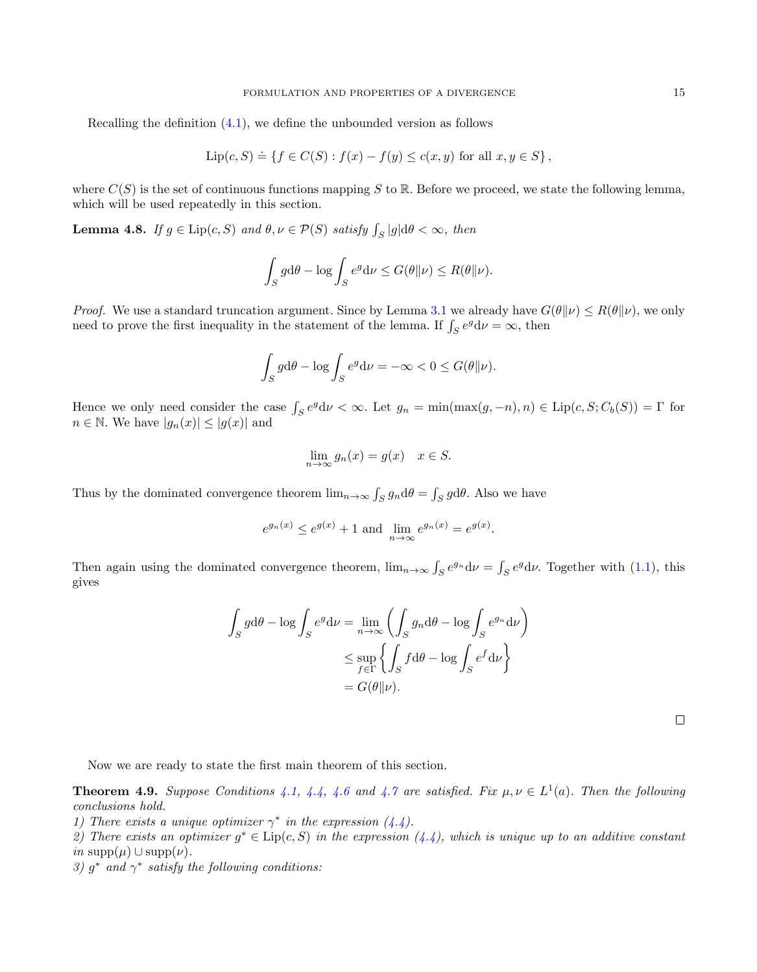Recalling the definition [\(4.1\)](#page-11-4), we define the unbounded version as follows

$$
Lip(c, S) \doteq \{ f \in C(S) : f(x) - f(y) \le c(x, y) \text{ for all } x, y \in S \},
$$

where  $C(S)$  is the set of continuous functions mapping S to R. Before we proceed, we state the following lemma, which will be used repeatedly in this section.

<span id="page-14-1"></span>**Lemma 4.8.** If  $g \in \text{Lip}(c, S)$  and  $\theta, \nu \in \mathcal{P}(S)$  satisfy  $\int_S |g| d\theta < \infty$ , then

$$
\int_{S} g d\theta - \log \int_{S} e^{g} d\nu \le G(\theta \| \nu) \le R(\theta \| \nu).
$$

*Proof.* We use a standard truncation argument. Since by Lemma [3.1](#page-7-2) we already have  $G(\theta||\nu) \leq R(\theta||\nu)$ , we only need to prove the first inequality in the statement of the lemma. If  $\int_{S} e^{g} d\nu = \infty$ , then

$$
\int_{S} g d\theta - \log \int_{S} e^{g} d\nu = -\infty < 0 \le G(\theta \| \nu).
$$

Hence we only need consider the case  $\int_S e^g d\nu < \infty$ . Let  $g_n = \min(\max(g, -n), n) \in \text{Lip}(c, S; C_b(S)) = \Gamma$  for  $n \in \mathbb{N}$ . We have  $|g_n(x)| \leq |g(x)|$  and

$$
\lim_{n \to \infty} g_n(x) = g(x) \quad x \in S.
$$

Thus by the dominated convergence theorem  $\lim_{n\to\infty} \int_S g_n d\theta = \int_S g d\theta$ . Also we have

$$
e^{g_n(x)} \le e^{g(x)} + 1
$$
 and  $\lim_{n \to \infty} e^{g_n(x)} = e^{g(x)}$ .

Then again using the dominated convergence theorem,  $\lim_{n\to\infty} \int_S e^{g_n} d\nu = \int_S e^g d\nu$ . Together with [\(1.1\)](#page-1-1), this gives

$$
\int_{S} g d\theta - \log \int_{S} e^{g} d\nu = \lim_{n \to \infty} \left( \int_{S} g_{n} d\theta - \log \int_{S} e^{g_{n}} d\nu \right)
$$

$$
\leq \sup_{f \in \Gamma} \left\{ \int_{S} f d\theta - \log \int_{S} e^{f} d\nu \right\}
$$

$$
= G(\theta \| \nu).
$$

 $\Box$ 

Now we are ready to state the first main theorem of this section.

<span id="page-14-0"></span>**Theorem 4.9.** Suppose Conditions [4.1,](#page-11-1) [4.4,](#page-12-1) [4.6](#page-13-1) and [4.7](#page-13-2) are satisfied. Fix  $\mu, \nu \in L^1(a)$ . Then the following conclusions hold.

1) There exists a unique optimizer  $\gamma^*$  in the expression [\(4.4\)](#page-13-0).

2) There exists an optimizer  $g^* \in \text{Lip}(c, S)$  in the expression  $(4.4)$ , which is unique up to an additive constant in supp $(\mu)$  ∪ supp $(\nu)$ .

3)  $g^*$  and  $\gamma^*$  satisfy the following conditions: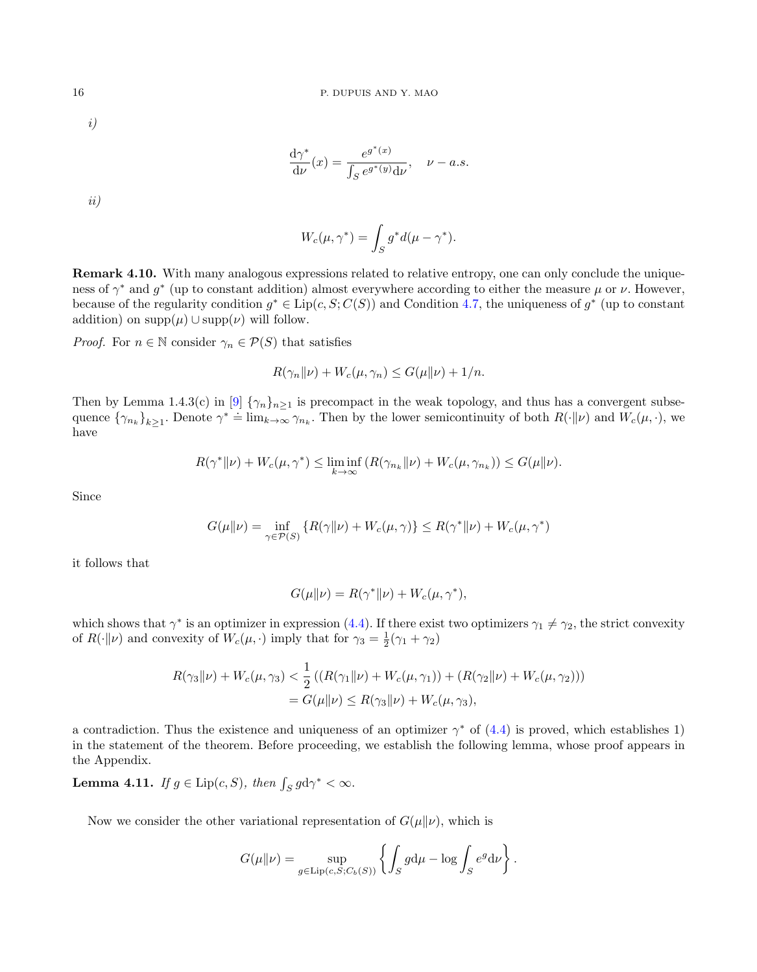i)

$$
\frac{d\gamma^*}{d\nu}(x) = \frac{e^{g^*(x)}}{\int_S e^{g^*(y)}d\nu}, \quad \nu - a.s.
$$

ii)

$$
W_c(\mu, \gamma^*) = \int_S g^* d(\mu - \gamma^*).
$$

Remark 4.10. With many analogous expressions related to relative entropy, one can only conclude the uniqueness of  $\gamma^*$  and  $g^*$  (up to constant addition) almost everywhere according to either the measure  $\mu$  or  $\nu$ . However, because of the regularity condition  $g^* \in \text{Lip}(c, S; C(S))$  and Condition [4.7,](#page-13-2) the uniqueness of  $g^*$  (up to constant addition) on  $\text{supp}(\mu) \cup \text{supp}(\nu)$  will follow.

*Proof.* For  $n \in \mathbb{N}$  consider  $\gamma_n \in \mathcal{P}(S)$  that satisfies

$$
R(\gamma_n \| \nu) + W_c(\mu, \gamma_n) \le G(\mu \| \nu) + 1/n.
$$

Then by Lemma 1.4.3(c) in [\[9\]](#page-36-0)  $\{\gamma_n\}_{n\geq 1}$  is precompact in the weak topology, and thus has a convergent subsequence  $\{\gamma_{n_k}\}_{k\geq 1}$ . Denote  $\gamma^* = \lim_{k\to\infty} \gamma_{n_k}$ . Then by the lower semicontinuity of both  $R(\cdot|\nu)$  and  $W_c(\mu, \cdot)$ , we have

$$
R(\gamma^* \| \nu) + W_c(\mu, \gamma^*) \le \liminf_{k \to \infty} (R(\gamma_{n_k} \| \nu) + W_c(\mu, \gamma_{n_k})) \le G(\mu \| \nu).
$$

Since

$$
G(\mu||\nu) = \inf_{\gamma \in \mathcal{P}(S)} \left\{ R(\gamma||\nu) + W_c(\mu, \gamma) \right\} \le R(\gamma^*||\nu) + W_c(\mu, \gamma^*)
$$

it follows that

$$
G(\mu\|\nu) = R(\gamma^*\|\nu) + W_c(\mu, \gamma^*),
$$

which shows that  $\gamma^*$  is an optimizer in expression [\(4.4\)](#page-13-0). If there exist two optimizers  $\gamma_1 \neq \gamma_2$ , the strict convexity of  $R(\cdot||\nu)$  and convexity of  $W_c(\mu, \cdot)$  imply that for  $\gamma_3 = \frac{1}{2}(\gamma_1 + \gamma_2)$ 

$$
R(\gamma_3 \|\nu) + W_c(\mu, \gamma_3) < \frac{1}{2} \left( (R(\gamma_1 \|\nu) + W_c(\mu, \gamma_1)) + (R(\gamma_2 \|\nu) + W_c(\mu, \gamma_2)) \right) \\ = G(\mu \|\nu) \le R(\gamma_3 \|\nu) + W_c(\mu, \gamma_3),
$$

a contradiction. Thus the existence and uniqueness of an optimizer  $\gamma^*$  of [\(4.4\)](#page-13-0) is proved, which establishes 1) in the statement of the theorem. Before proceeding, we establish the following lemma, whose proof appears in the Appendix.

<span id="page-15-0"></span>**Lemma 4.11.** If  $g \in \text{Lip}(c, S)$ , then  $\int_S g \, d\gamma^* < \infty$ .

Now we consider the other variational representation of  $G(\mu||\nu)$ , which is

$$
G(\mu\|\nu) = \sup_{g \in \text{Lip}(c, S; C_b(S))} \left\{ \int_S g d\mu - \log \int_S e^g d\nu \right\}.
$$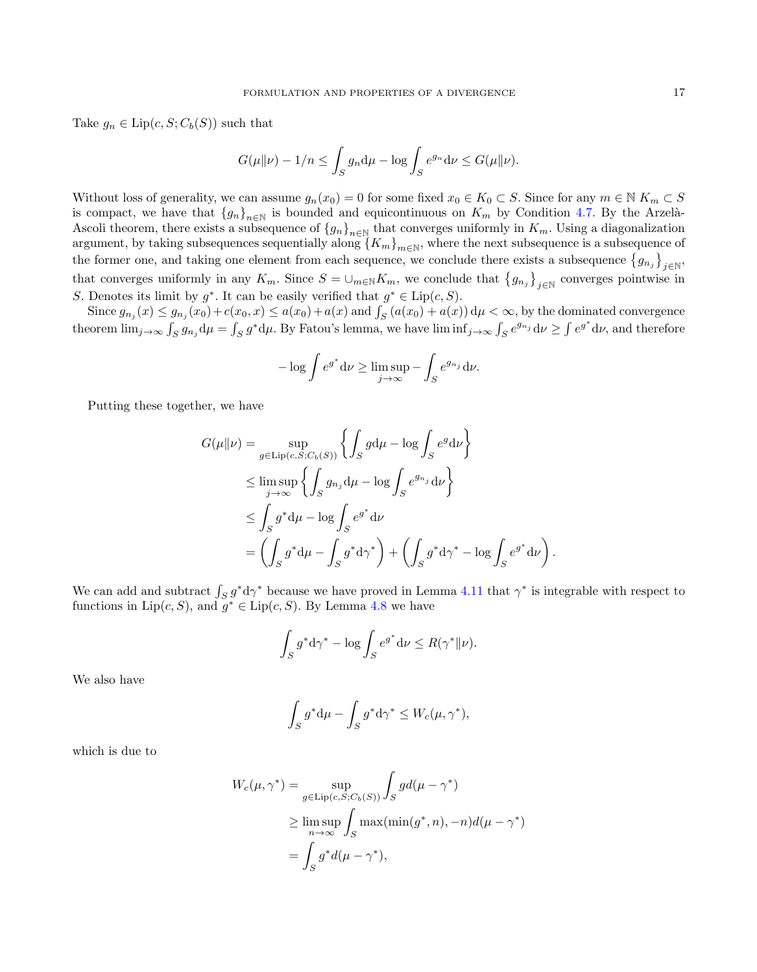Take  $g_n \in \text{Lip}(c, S; C_b(S))$  such that

$$
G(\mu\|\nu) - 1/n \le \int_S g_n \, \mathrm{d}\mu - \log \int_S e^{g_n} \, \mathrm{d}\nu \le G(\mu\|\nu).
$$

Without loss of generality, we can assume  $g_n(x_0) = 0$  for some fixed  $x_0 \in K_0 \subset S$ . Since for any  $m \in \mathbb{N}$   $K_m \subset S$ is compact, we have that  ${g_n}_{n\in\mathbb{N}}$  is bounded and equicontinuous on  $K_m$  by Condition [4.7.](#page-13-2) By the Arzelà-Ascoli theorem, there exists a subsequence of  ${g_n}_{n\in\mathbb{N}}$  that converges uniformly in  $K_m$ . Using a diagonalization argument, by taking subsequences sequentially along  ${K_m}_{m\in\mathbb{N}}$ , where the next subsequence is a subsequence of the former one, and taking one element from each sequence, we conclude there exists a subsequence  ${g_{n_j}}_{j \in \mathbb{N}}$ that converges uniformly in any  $K_m$ . Since  $S = \cup_{m \in \mathbb{N}} K_m$ , we conclude that  $\{g_{n_j}\}_{j \in \mathbb{N}}$  converges pointwise in S. Denotes its limit by  $g^*$ . It can be easily verified that  $g^* \in \text{Lip}(c, S)$ .

Since  $g_{n_j}(x) \le g_{n_j}(x_0) + c(x_0, x) \le a(x_0) + a(x)$  and  $\int_S (a(x_0) + a(x)) d\mu < \infty$ , by the dominated convergence theorem  $\lim_{j\to\infty} \int_S g_{n_j} d\mu = \int_S g^* d\mu$ . By Fatou's lemma, we have  $\liminf_{j\to\infty} \int_S e^{g_{n_j}} d\nu \ge \int e^{g^*} d\nu$ , and therefore

$$
-\log \int e^{g^*} d\nu \ge \limsup_{j \to \infty} -\int_S e^{g_{n_j}} d\nu.
$$

Putting these together, we have

$$
G(\mu||\nu) = \sup_{g \in \text{Lip}(c, S; C_b(S))} \left\{ \int_S g d\mu - \log \int_S e^g d\nu \right\}
$$
  
\n
$$
\leq \limsup_{j \to \infty} \left\{ \int_S g_{n_j} d\mu - \log \int_S e^{g_{n_j}} d\nu \right\}
$$
  
\n
$$
\leq \int_S g^* d\mu - \log \int_S e^{g^*} d\nu
$$
  
\n
$$
= \left( \int_S g^* d\mu - \int_S g^* d\gamma^* \right) + \left( \int_S g^* d\gamma^* - \log \int_S e^{g^*} d\nu \right).
$$

We can add and subtract  $\int_S g^* d\gamma^*$  because we have proved in Lemma [4.11](#page-15-0) that  $\gamma^*$  is integrable with respect to functions in  $\text{Lip}(c, S)$ , and  $g^* \in \text{Lip}(c, S)$ . By Lemma [4.8](#page-14-1) we have

$$
\int_{S} g^* \mathrm{d} \gamma^* - \log \int_{S} e^{g^*} \mathrm{d} \nu \leq R(\gamma^* \| \nu).
$$

We also have

$$
\int_{S} g^* \mathrm{d}\mu - \int_{S} g^* \mathrm{d}\gamma^* \le W_c(\mu, \gamma^*),
$$

which is due to

$$
W_c(\mu, \gamma^*) = \sup_{g \in \text{Lip}(c, S; C_b(S))} \int_S g d(\mu - \gamma^*)
$$
  
\n
$$
\geq \limsup_{n \to \infty} \int_S \max(\min(g^*, n), -n) d(\mu - \gamma^*)
$$
  
\n
$$
= \int_S g^* d(\mu - \gamma^*),
$$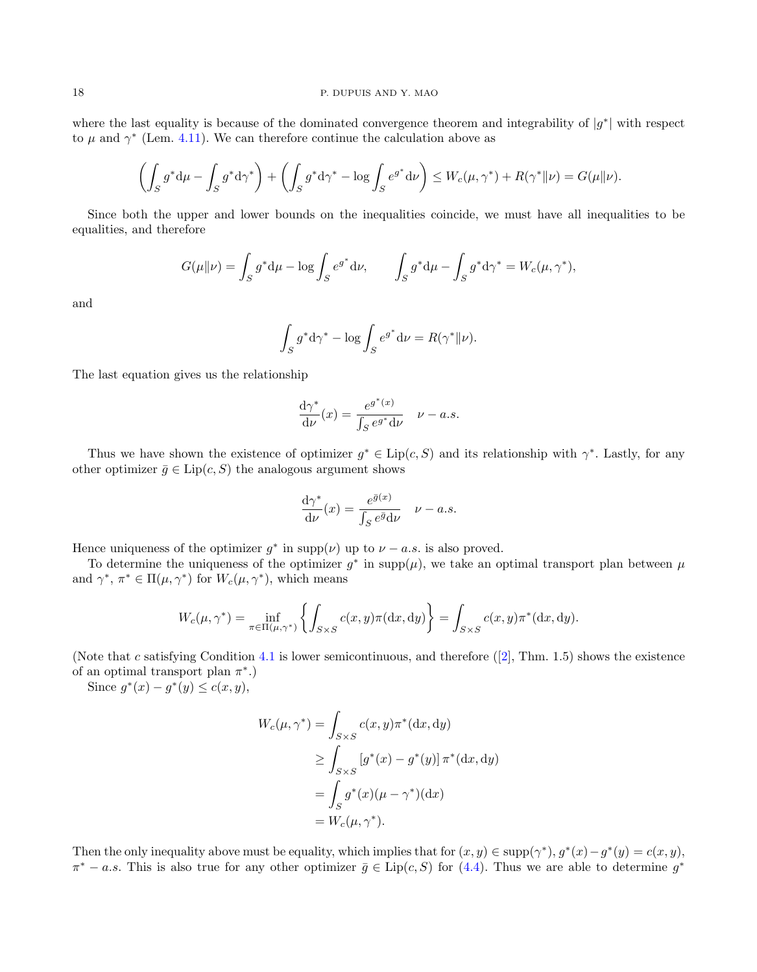#### 18 P. DUPUIS AND Y. MAO

where the last equality is because of the dominated convergence theorem and integrability of  $|g^*|$  with respect to  $\mu$  and  $\gamma^*$  (Lem. [4.11\)](#page-15-0). We can therefore continue the calculation above as

$$
\left(\int_{S} g^* \mathrm{d}\mu - \int_{S} g^* \mathrm{d}\gamma^*\right) + \left(\int_{S} g^* \mathrm{d}\gamma^* - \log \int_{S} e^{g^*} \mathrm{d}\nu\right) \le W_c(\mu, \gamma^*) + R(\gamma^* \|\nu) = G(\mu\|\nu).
$$

Since both the upper and lower bounds on the inequalities coincide, we must have all inequalities to be equalities, and therefore

$$
G(\mu\|\nu) = \int_S g^* \mathrm{d}\mu - \log \int_S e^{g^*} \mathrm{d}\nu, \qquad \int_S g^* \mathrm{d}\mu - \int_S g^* \mathrm{d}\gamma^* = W_c(\mu, \gamma^*),
$$

and

$$
\int_{S} g^* \mathrm{d}\gamma^* - \log \int_{S} e^{g^*} \mathrm{d}\nu = R(\gamma^* || \nu).
$$

The last equation gives us the relationship

$$
\frac{d\gamma^*}{d\nu}(x) = \frac{e^{g^*(x)}}{\int_S e^{g^*}d\nu} \quad \nu - a.s.
$$

Thus we have shown the existence of optimizer  $g^* \in Lip(c, S)$  and its relationship with  $\gamma^*$ . Lastly, for any other optimizer  $\bar{g} \in \text{Lip}(c, S)$  the analogous argument shows

$$
\frac{\mathrm{d}\gamma^*}{\mathrm{d}\nu}(x) = \frac{e^{\bar{g}(x)}}{\int_S e^{\bar{g}}\mathrm{d}\nu} \quad \nu - a.s.
$$

Hence uniqueness of the optimizer  $g^*$  in supp $(\nu)$  up to  $\nu - a.s.$  is also proved.

To determine the uniqueness of the optimizer  $g^*$  in supp $(\mu)$ , we take an optimal transport plan between  $\mu$ and  $\gamma^*, \pi^* \in \Pi(\mu, \gamma^*)$  for  $W_c(\mu, \gamma^*)$ , which means

$$
W_c(\mu, \gamma^*) = \inf_{\pi \in \Pi(\mu, \gamma^*)} \left\{ \int_{S \times S} c(x, y) \pi(\mathrm{d}x, \mathrm{d}y) \right\} = \int_{S \times S} c(x, y) \pi^*(\mathrm{d}x, \mathrm{d}y).
$$

(Note that c satisfying Condition [4.1](#page-11-1)is lower semicontinuous, and therefore  $(2]$ , Thm. 1.5) shows the existence of an optimal transport plan  $\pi^*$ .)

Since  $g^*(x) - g^*(y) \le c(x, y)$ ,

$$
W_c(\mu, \gamma^*) = \int_{S \times S} c(x, y) \pi^* (\mathrm{d}x, \mathrm{d}y)
$$
  
\n
$$
\geq \int_{S \times S} [g^*(x) - g^*(y)] \pi^* (\mathrm{d}x, \mathrm{d}y)
$$
  
\n
$$
= \int_S g^*(x) (\mu - \gamma^*) (\mathrm{d}x)
$$
  
\n
$$
= W_c(\mu, \gamma^*).
$$

Then the only inequality above must be equality, which implies that for  $(x, y) \in \text{supp}(\gamma^*)$ ,  $g^*(x) - g^*(y) = c(x, y)$ ,  $\pi^* - a.s.$  This is also true for any other optimizer  $\bar{g} \in \text{Lip}(c, S)$  for [\(4.4\)](#page-13-0). Thus we are able to determine  $g^*$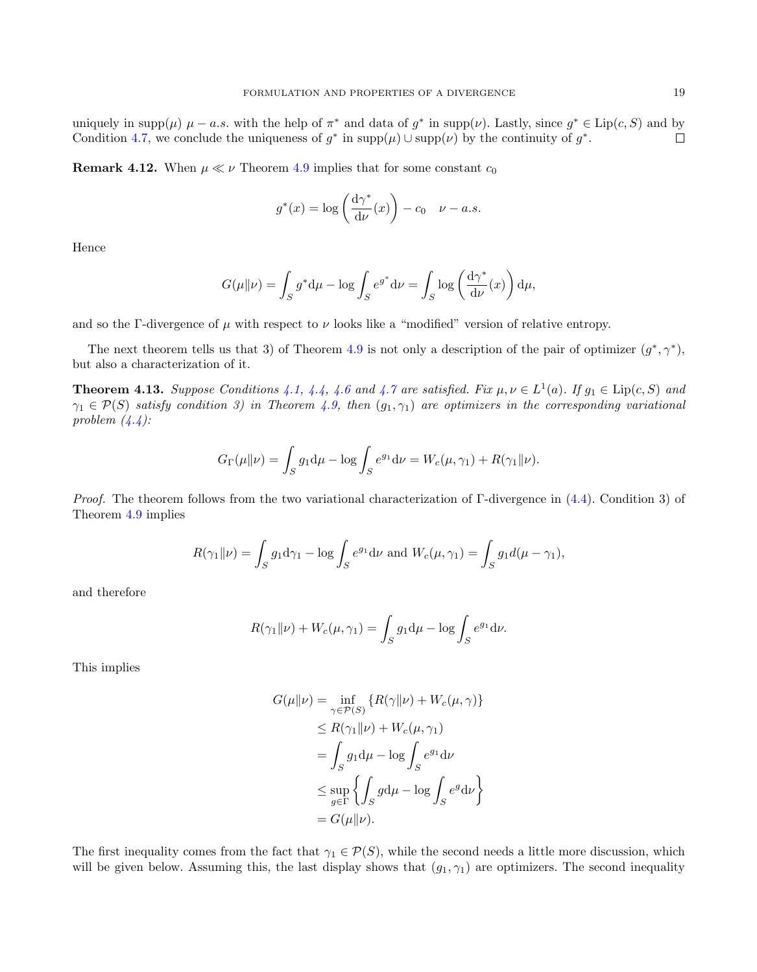uniquely in supp( $\mu$ )  $\mu - a.s.$  with the help of  $\pi^*$  and data of  $g^*$  in supp( $\nu$ ). Lastly, since  $g^* \in Lip(c, S)$  and by Condition [4.7,](#page-13-2) we conclude the uniqueness of  $g^*$  in  $\text{supp}(\mu) \cup \text{supp}(\nu)$  by the continuity of  $g^*$ .  $\Box$ 

**Remark 4.12.** When  $\mu \ll \nu$  Theorem [4.9](#page-14-0) implies that for some constant  $c_0$ 

$$
g^*(x) = \log\left(\frac{d\gamma^*}{d\nu}(x)\right) - c_0 \quad \nu - a.s.
$$

Hence

$$
G(\mu\|\nu) = \int_S g^* \mathrm{d}\mu - \log \int_S e^{g^*} \mathrm{d}\nu = \int_S \log \left(\frac{\mathrm{d}\gamma^*}{\mathrm{d}\nu}(x)\right) \mathrm{d}\mu,
$$

and so the Γ-divergence of  $\mu$  with respect to  $\nu$  looks like a "modified" version of relative entropy.

The next theorem tells us that 3) of Theorem [4.9](#page-14-0) is not only a description of the pair of optimizer  $(g^*, \gamma^*)$ , but also a characterization of it.

<span id="page-18-0"></span>**Theorem 4.13.** Suppose Conditions [4.1,](#page-11-1) [4.4,](#page-12-1) [4.6](#page-13-1) and [4.7](#page-13-2) are satisfied. Fix  $\mu, \nu \in L^1(a)$ . If  $g_1 \in \text{Lip}(c, S)$  and  $\gamma_1 \in \mathcal{P}(S)$  satisfy condition 3) in Theorem [4.9,](#page-14-0) then  $(g_1, \gamma_1)$  are optimizers in the corresponding variational problem  $(4.4)$ :

$$
G_{\Gamma}(\mu\|\nu) = \int_{S} g_1 \mathrm{d}\mu - \log \int_{S} e^{g_1} \mathrm{d}\nu = W_c(\mu, \gamma_1) + R(\gamma_1\|\nu).
$$

Proof. The theorem follows from the two variational characterization of Γ-divergence in [\(4.4\)](#page-13-0). Condition 3) of Theorem [4.9](#page-14-0) implies

$$
R(\gamma_1 \| \nu) = \int_S g_1 \mathrm{d}\gamma_1 - \log \int_S e^{g_1} \mathrm{d}\nu \text{ and } W_c(\mu, \gamma_1) = \int_S g_1 d(\mu - \gamma_1),
$$

and therefore

$$
R(\gamma_1 \| \nu) + W_c(\mu, \gamma_1) = \int_S g_1 \mathrm{d}\mu - \log \int_S e^{g_1} \mathrm{d}\nu.
$$

This implies

$$
G(\mu||\nu) = \inf_{\gamma \in \mathcal{P}(S)} \{ R(\gamma||\nu) + W_c(\mu, \gamma) \}
$$
  
\n
$$
\leq R(\gamma_1||\nu) + W_c(\mu, \gamma_1)
$$
  
\n
$$
= \int_S g_1 d\mu - \log \int_S e^{g_1} d\nu
$$
  
\n
$$
\leq \sup_{g \in \Gamma} \{ \int_S g d\mu - \log \int_S e^{g} d\nu \}
$$
  
\n
$$
= G(\mu||\nu).
$$

The first inequality comes from the fact that  $\gamma_1 \in \mathcal{P}(S)$ , while the second needs a little more discussion, which will be given below. Assuming this, the last display shows that  $(g_1, \gamma_1)$  are optimizers. The second inequality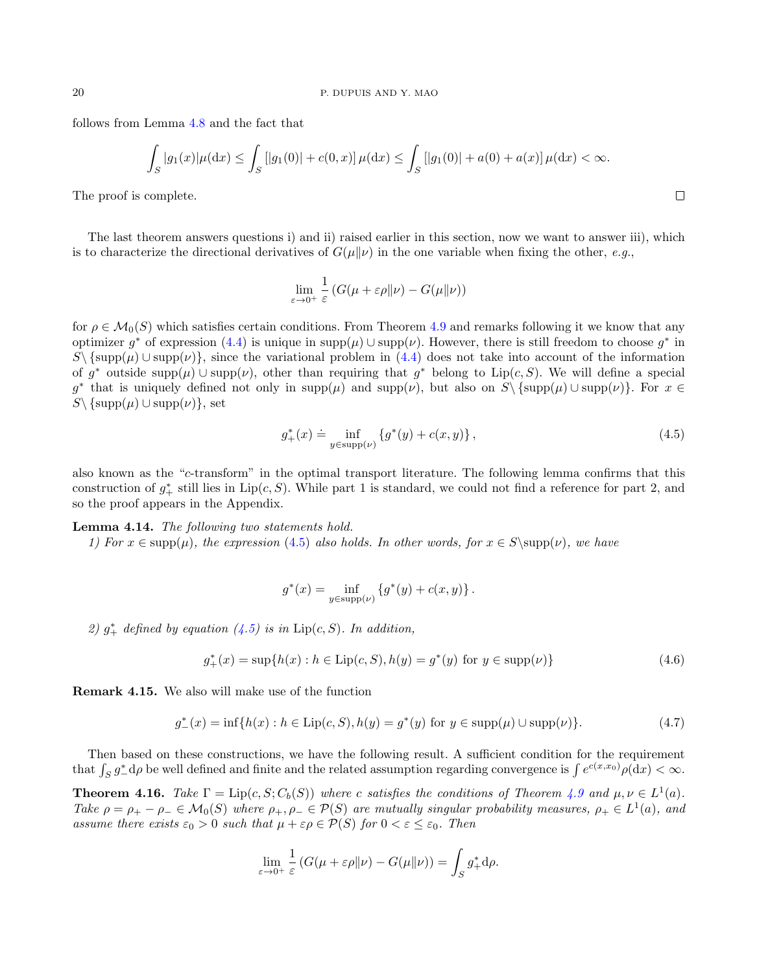follows from Lemma [4.8](#page-14-1) and the fact that

$$
\int_{S} |g_1(x)| \mu(\mathrm{d}x) \le \int_{S} |[g_1(0)| + c(0, x)] \mu(\mathrm{d}x) \le \int_{S} |[g_1(0)| + a(0) + a(x)] \mu(\mathrm{d}x) < \infty.
$$

The proof is complete.

The last theorem answers questions i) and ii) raised earlier in this section, now we want to answer iii), which is to characterize the directional derivatives of  $G(\mu||\nu)$  in the one variable when fixing the other, e.g.,

$$
\lim_{\varepsilon \to 0^+} \frac{1}{\varepsilon} \left( G(\mu + \varepsilon \rho \| \nu) - G(\mu \| \nu) \right)
$$

for  $\rho \in \mathcal{M}_0(S)$  which satisfies certain conditions. From Theorem [4.9](#page-14-0) and remarks following it we know that any optimizer  $g^*$  of expression [\(4.4\)](#page-13-0) is unique in  $\text{supp}(\mu) \cup \text{supp}(\nu)$ . However, there is still freedom to choose  $g^*$  in  $S\backslash \{\text{supp}(\mu) \cup \text{supp}(\nu)\}\$ , since the variational problem in [\(4.4\)](#page-13-0) does not take into account of the information of g<sup>\*</sup> outside supp $(\mu) \cup \text{supp}(\nu)$ , other than requiring that g<sup>\*</sup> belong to Lip(c, S). We will define a special g<sup>\*</sup> that is uniquely defined not only in supp( $\mu$ ) and supp( $\nu$ ), but also on  $S \setminus {\text{supp}}(\mu) \cup \text{supp}(\nu)$ . For  $x \in$  $S\backslash \{\text{supp}(\mu) \cup \text{supp}(\nu)\},\$ 

$$
g_{+}^{*}(x) \doteq \inf_{y \in \text{supp}(\nu)} \left\{ g^{*}(y) + c(x, y) \right\},\tag{4.5}
$$

also known as the "c-transform" in the optimal transport literature. The following lemma confirms that this construction of  $g^*_{+}$  still lies in Lip(c, S). While part 1 is standard, we could not find a reference for part 2, and so the proof appears in the Appendix.

<span id="page-19-4"></span>Lemma 4.14. The following two statements hold.

1) For  $x \in \text{supp}(\mu)$ , the expression [\(4](#page-19-1).5) also holds. In other words, for  $x \in S \setminus \text{supp}(\nu)$ , we have

<span id="page-19-3"></span><span id="page-19-2"></span>
$$
g^*(x) = \inf_{y \in \text{supp}(\nu)} \left\{ g^*(y) + c(x, y) \right\}.
$$

2)  $g^*_{+}$  defined by equation [\(4.5\)](#page-19-1) is in  $Lip(c, S)$ . In addition,

$$
g_{+}^{*}(x) = \sup\{h(x) : h \in \text{Lip}(c, S), h(y) = g^{*}(y) \text{ for } y \in \text{supp}(\nu)\}\
$$
\n(4.6)

Remark 4.15. We also will make use of the function

$$
g_{-}^{*}(x) = \inf\{h(x) : h \in \text{Lip}(c, S), h(y) = g^{*}(y) \text{ for } y \in \text{supp}(\mu) \cup \text{supp}(\nu)\}.
$$
 (4.7)

Then based on these constructions, we have the following result. A sufficient condition for the requirement that  $\int_S g^*_- d\rho$  be well defined and finite and the related assumption regarding convergence is  $\int e^{c(x,x_0)} \rho(dx) < \infty$ .

<span id="page-19-0"></span>**Theorem 4.16.** Take  $\Gamma = \text{Lip}(c, S; C_b(S))$  where c satisfies the conditions of Theorem [4.9](#page-14-0) and  $\mu, \nu \in L^1(a)$ . Take  $\rho = \rho_+ - \rho_- \in \mathcal{M}_0(S)$  where  $\rho_+, \rho_- \in \mathcal{P}(S)$  are mutually singular probability measures,  $\rho_+ \in L^1(a)$ , and assume there exists  $\varepsilon_0 > 0$  such that  $\mu + \varepsilon \rho \in \mathcal{P}(S)$  for  $0 < \varepsilon \leq \varepsilon_0$ . Then

$$
\lim_{\varepsilon \to 0^+} \frac{1}{\varepsilon} \left( G(\mu + \varepsilon \rho || \nu) - G(\mu || \nu) \right) = \int_S g_+^* d\rho.
$$

<span id="page-19-1"></span>
$$
\Box
$$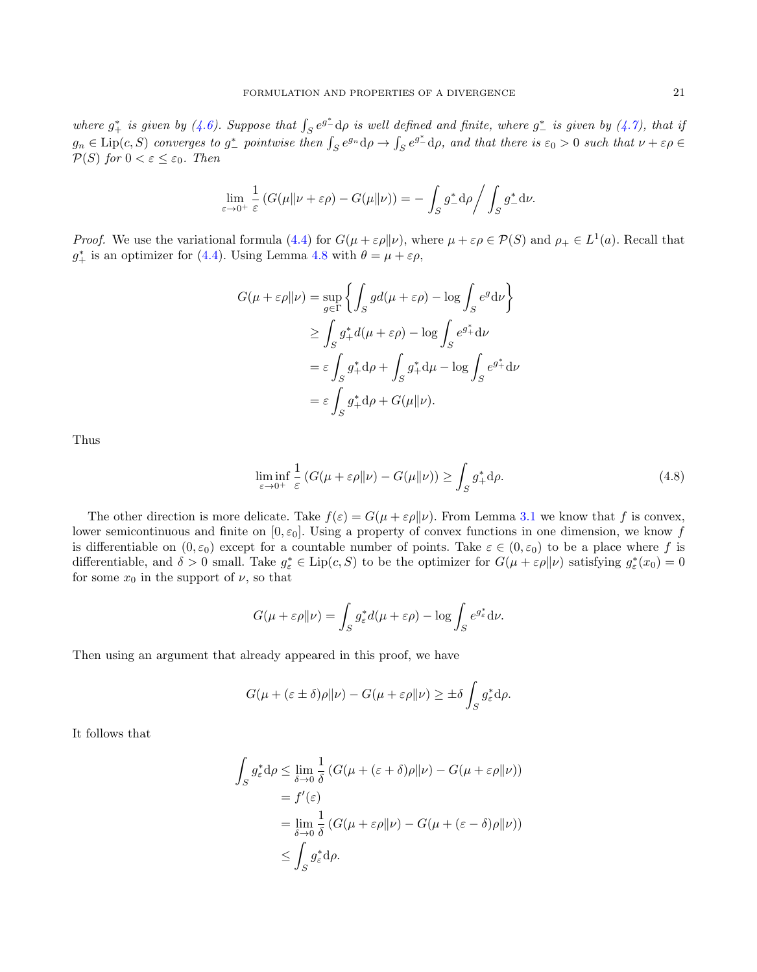where  $g^*_{+}$  is given by [\(4.6\)](#page-19-2). Suppose that  $\int_{S} e^{g^*_{-}} d\rho$  is well defined and finite, where  $g^*_{-}$  is given by [\(4.7\)](#page-19-3), that is  $g_n \in \text{Lip}(c, S)$  converges to  $g^*_-$  pointwise then  $\int_S e^{g_n} d\rho \to \int_S e^{g^*_-} d\rho$ , and that there is  $\varepsilon_0 > 0$  such that  $\nu + \varepsilon \rho \in$  $\mathcal{P}(S)$  for  $0 < \varepsilon \leq \varepsilon_0$ . Then

$$
\lim_{\varepsilon \to 0^+} \frac{1}{\varepsilon} \left( G(\mu \| \nu + \varepsilon \rho) - G(\mu \| \nu) \right) = - \int_S g_-^* d\rho \bigg/ \int_S g_-^* d\nu.
$$

*Proof.* We use the variational formula [\(4.4\)](#page-13-0) for  $G(\mu + \varepsilon \rho || \nu)$ , where  $\mu + \varepsilon \rho \in \mathcal{P}(S)$  and  $\rho_+ \in L^1(a)$ . Recall that  $g_{+}^{*}$  is an optimizer for [\(4.4\)](#page-13-0). Using Lemma [4.8](#page-14-1) with  $\theta = \mu + \varepsilon \rho$ ,

$$
G(\mu + \varepsilon \rho \|\nu) = \sup_{g \in \Gamma} \left\{ \int_{S} g d(\mu + \varepsilon \rho) - \log \int_{S} e^{g} d\nu \right\}
$$
  
\n
$$
\geq \int_{S} g_{+}^{*} d(\mu + \varepsilon \rho) - \log \int_{S} e^{g_{+}^{*}} d\nu
$$
  
\n
$$
= \varepsilon \int_{S} g_{+}^{*} d\rho + \int_{S} g_{+}^{*} d\mu - \log \int_{S} e^{g_{+}^{*}} d\nu
$$
  
\n
$$
= \varepsilon \int_{S} g_{+}^{*} d\rho + G(\mu \|\nu).
$$

Thus

<span id="page-20-0"></span>
$$
\liminf_{\varepsilon \to 0^+} \frac{1}{\varepsilon} \left( G(\mu + \varepsilon \rho \| \nu) - G(\mu \| \nu) \right) \ge \int_S g_+^* \mathrm{d}\rho. \tag{4.8}
$$

The other direction is more delicate. Take  $f(\varepsilon) = G(\mu + \varepsilon \rho || \nu)$ . From Lemma [3.1](#page-7-2) we know that f is convex, lower semicontinuous and finite on  $[0, \varepsilon_0]$ . Using a property of convex functions in one dimension, we know f is differentiable on  $(0, \varepsilon_0)$  except for a countable number of points. Take  $\varepsilon \in (0, \varepsilon_0)$  to be a place where f is differentiable, and  $\delta > 0$  small. Take  $g_{\varepsilon}^* \in \text{Lip}(c, S)$  to be the optimizer for  $G(\mu + \varepsilon \rho || \nu)$  satisfying  $g_{\varepsilon}^*(x_0) = 0$ for some  $x_0$  in the support of  $\nu$ , so that

$$
G(\mu + \varepsilon \rho || \nu) = \int_S g_{\varepsilon}^* d(\mu + \varepsilon \rho) - \log \int_S e^{g_{\varepsilon}^*} d\nu.
$$

Then using an argument that already appeared in this proof, we have

$$
G(\mu + (\varepsilon \pm \delta)\rho \|\nu) - G(\mu + \varepsilon \rho \|\nu) \ge \pm \delta \int_S g_{\varepsilon}^* d\rho.
$$

It follows that

$$
\int_{S} g_{\varepsilon}^{*} d\rho \leq \lim_{\delta \to 0} \frac{1}{\delta} \left( G(\mu + (\varepsilon + \delta)\rho \|\nu) - G(\mu + \varepsilon\rho \|\nu) \right)
$$
  
=  $f'(\varepsilon)$   
=  $\lim_{\delta \to 0} \frac{1}{\delta} \left( G(\mu + \varepsilon\rho \|\nu) - G(\mu + (\varepsilon - \delta)\rho \|\nu) \right)$   
 $\leq \int_{S} g_{\varepsilon}^{*} d\rho.$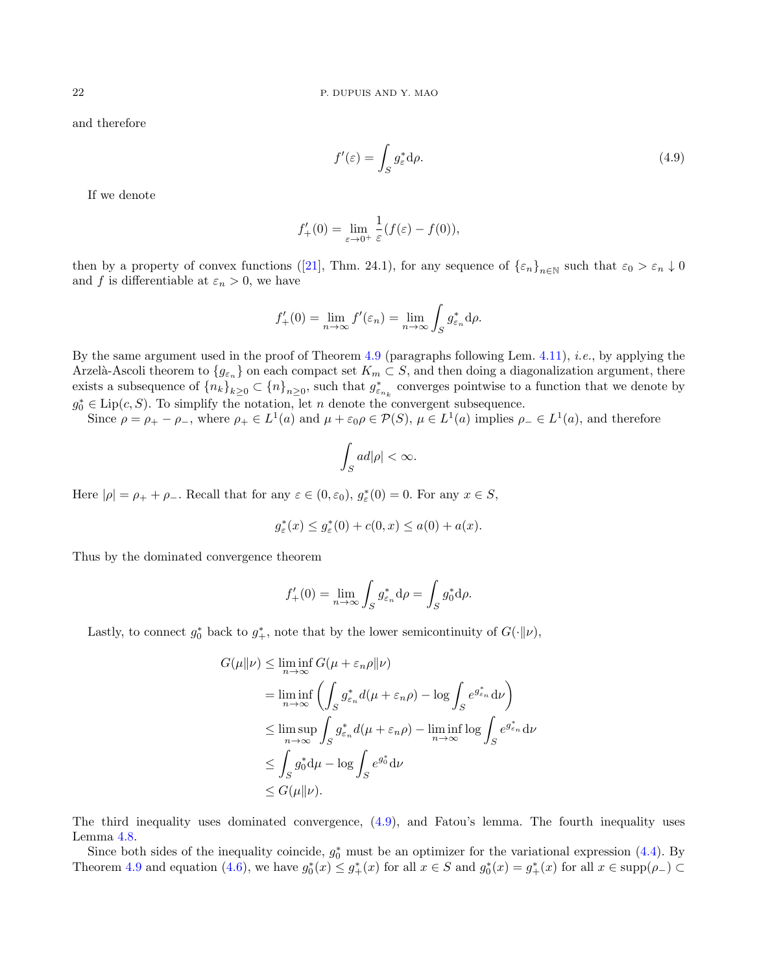and therefore

<span id="page-21-0"></span>
$$
f'(\varepsilon) = \int_{S} g_{\varepsilon}^{*} \mathrm{d}\rho. \tag{4.9}
$$

If we denote

$$
f'_{+}(0) = \lim_{\varepsilon \to 0^{+}} \frac{1}{\varepsilon} (f(\varepsilon) - f(0)),
$$

thenby a property of convex functions ([\[21\]](#page-37-3), Thm. 24.1), for any sequence of  $\{\varepsilon_n\}_{n\in\mathbb{N}}$  such that  $\varepsilon_0 > \varepsilon_n \downarrow 0$ and f is differentiable at  $\varepsilon_n > 0$ , we have

$$
f'_{+}(0) = \lim_{n \to \infty} f'(\varepsilon_n) = \lim_{n \to \infty} \int_{S} g_{\varepsilon_n}^{*} d\rho.
$$

By the same argument used in the proof of Theorem [4.9](#page-14-0) (paragraphs following Lem. [4.11\)](#page-15-0), i.e., by applying the Arzelà-Ascoli theorem to  ${g_{\varepsilon_n}}$  on each compact set  $K_m\subset S$ , and then doing a diagonalization argument, there exists a subsequence of  $\{n_k\}_{k\geq 0} \subset \{n\}_{n\geq 0}$ , such that  $g_{\varepsilon_{n_k}}^*$  converges pointwise to a function that we denote by  $g_0^* \in \text{Lip}(c, S)$ . To simplify the notation, let n denote the convergent subsequence.

Since  $\rho = \rho_+ - \rho_-,$  where  $\rho_+ \in L^1(a)$  and  $\mu + \varepsilon_0 \rho \in \mathcal{P}(S)$ ,  $\mu \in L^1(a)$  implies  $\rho_- \in L^1(a)$ , and therefore

$$
\int_{S} ad|\rho| < \infty.
$$

Here  $|\rho| = \rho_+ + \rho_-$ . Recall that for any  $\varepsilon \in (0, \varepsilon_0)$ ,  $g_{\varepsilon}^*(0) = 0$ . For any  $x \in S$ ,

$$
g_{\varepsilon}^*(x) \le g_{\varepsilon}^*(0) + c(0, x) \le a(0) + a(x).
$$

Thus by the dominated convergence theorem

$$
f'_{+}(0) = \lim_{n \to \infty} \int_{S} g_{\varepsilon_n}^{*} d\rho = \int_{S} g_{0}^{*} d\rho.
$$

Lastly, to connect  $g_0^*$  back to  $g_+^*$ , note that by the lower semicontinuity of  $G(\cdot||\nu)$ ,

$$
G(\mu||\nu) \leq \liminf_{n \to \infty} G(\mu + \varepsilon_n \rho || \nu)
$$
  
= 
$$
\liminf_{n \to \infty} \left( \int_S g_{\varepsilon_n}^* d(\mu + \varepsilon_n \rho) - \log \int_S e^{g_{\varepsilon_n}^*} d\nu \right)
$$
  

$$
\leq \limsup_{n \to \infty} \int_S g_{\varepsilon_n}^* d(\mu + \varepsilon_n \rho) - \liminf_{n \to \infty} \log \int_S e^{g_{\varepsilon_n}^*} d\nu
$$
  

$$
\leq \int_S g_0^* d\mu - \log \int_S e^{g_0^*} d\nu
$$
  

$$
\leq G(\mu || \nu).
$$

The third inequality uses dominated convergence, [\(4.9\)](#page-21-0), and Fatou's lemma. The fourth inequality uses Lemma [4.8.](#page-14-1)

Since both sides of the inequality coincide,  $g_0^*$  must be an optimizer for the variational expression [\(4.4\)](#page-13-0). By Theorem [4.9](#page-14-0) and equation [\(4.6\)](#page-19-2), we have  $g_0^*(x) \leq g_+^*(x)$  for all  $x \in S$  and  $g_0^*(x) = g_+^*(x)$  for all  $x \in \text{supp}(\rho_-) \subset$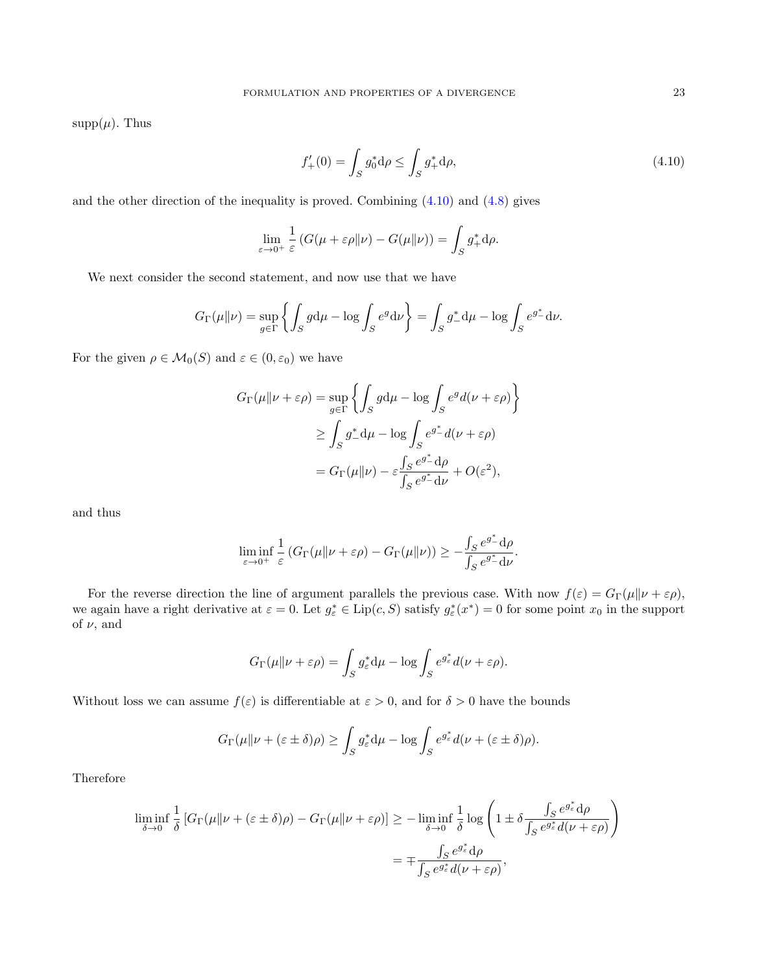$supp(\mu)$ . Thus

<span id="page-22-0"></span>
$$
f'_{+}(0) = \int_{S} g_0^* \mathrm{d}\rho \le \int_{S} g_+^* \mathrm{d}\rho,\tag{4.10}
$$

and the other direction of the inequality is proved. Combining  $(4.10)$  and  $(4.8)$  gives

$$
\lim_{\varepsilon \to 0^+} \frac{1}{\varepsilon} \left( G(\mu + \varepsilon \rho || \nu) - G(\mu || \nu) \right) = \int_S g_+^* d\rho.
$$

We next consider the second statement, and now use that we have

$$
G_{\Gamma}(\mu\|\nu) = \sup_{g \in \Gamma} \left\{ \int_{S} g d\mu - \log \int_{S} e^{g} d\nu \right\} = \int_{S} g_{-}^{*} d\mu - \log \int_{S} e^{g_{-}^{*}} d\nu.
$$

For the given  $\rho \in \mathcal{M}_0(S)$  and  $\varepsilon \in (0, \varepsilon_0)$  we have

$$
G_{\Gamma}(\mu \| \nu + \varepsilon \rho) = \sup_{g \in \Gamma} \left\{ \int_{S} g d\mu - \log \int_{S} e^{g} d(\nu + \varepsilon \rho) \right\}
$$
  
\n
$$
\geq \int_{S} g_{-}^{*} d\mu - \log \int_{S} e^{g_{-}^{*}} d(\nu + \varepsilon \rho)
$$
  
\n
$$
= G_{\Gamma}(\mu \| \nu) - \varepsilon \frac{\int_{S} e^{g_{-}^{*}} d\rho}{\int_{S} e^{g_{-}^{*}} d\nu} + O(\varepsilon^{2}),
$$

and thus

$$
\liminf_{\varepsilon\to 0^+}\frac{1}{\varepsilon}\left(G_\Gamma(\mu\|\nu+\varepsilon\rho)-G_\Gamma(\mu\|\nu)\right)\geq -\frac{\int_S e^{g^*}\mathrm{d}\rho}{\int_S e^{g^*}\mathrm{d}\nu}.
$$

For the reverse direction the line of argument parallels the previous case. With now  $f(\varepsilon) = G_{\Gamma}(\mu||\nu + \varepsilon \rho)$ , we again have a right derivative at  $\varepsilon = 0$ . Let  $g_{\varepsilon}^* \in \text{Lip}(c, S)$  satisfy  $g_{\varepsilon}^*(x^*) = 0$  for some point  $x_0$  in the support of  $\nu$ , and

$$
G_{\Gamma}(\mu\|\nu+\varepsilon\rho)=\int_{S}g_{\varepsilon}^{*}\mathrm{d}\mu-\log\int_{S}e^{g_{\varepsilon}^{*}}d(\nu+\varepsilon\rho).
$$

Without loss we can assume  $f(\varepsilon)$  is differentiable at  $\varepsilon > 0$ , and for  $\delta > 0$  have the bounds

$$
G_{\Gamma}(\mu\|\nu + (\varepsilon \pm \delta)\rho) \ge \int_{S} g_{\varepsilon}^* d\mu - \log \int_{S} e^{g_{\varepsilon}^*} d(\nu + (\varepsilon \pm \delta)\rho).
$$

Therefore

$$
\liminf_{\delta \to 0} \frac{1}{\delta} \left[ G_{\Gamma}(\mu \| \nu + (\varepsilon \pm \delta) \rho) - G_{\Gamma}(\mu \| \nu + \varepsilon \rho) \right] \ge - \liminf_{\delta \to 0} \frac{1}{\delta} \log \left( 1 \pm \delta \frac{\int_S e^{g^*_{\varepsilon}} d\rho}{\int_S e^{g^*_{\varepsilon}} d(\nu + \varepsilon \rho)} \right)
$$
\n
$$
= \mp \frac{\int_S e^{g^*_{\varepsilon}} d\rho}{\int_S e^{g^*_{\varepsilon}} d(\nu + \varepsilon \rho)},
$$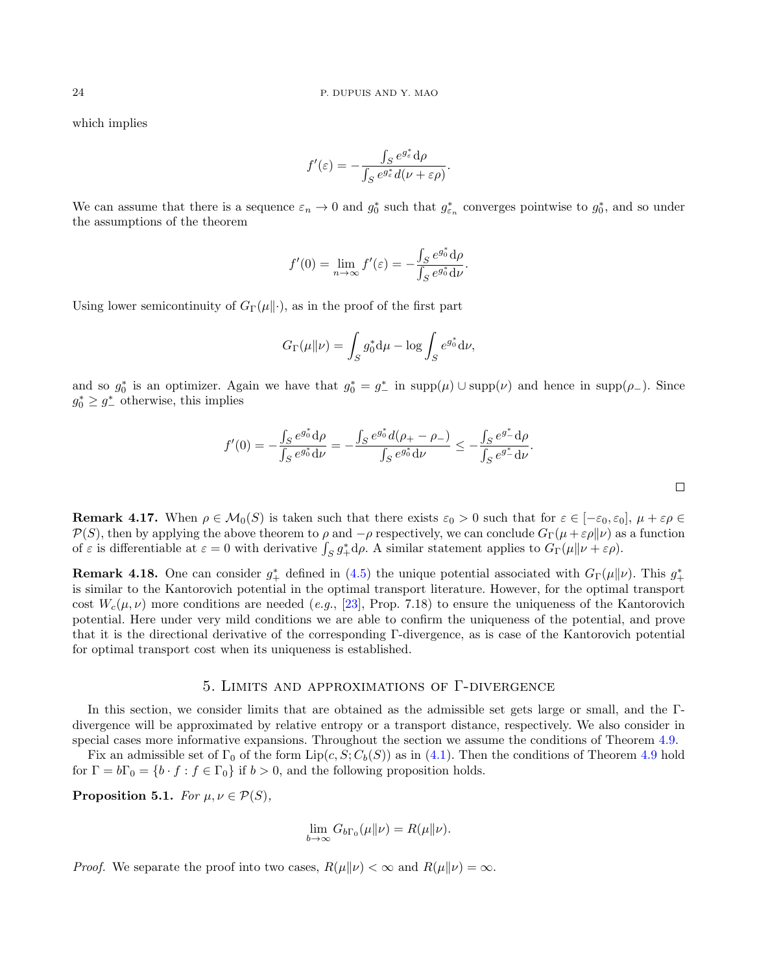which implies

$$
f'(\varepsilon) = -\frac{\int_S e^{g_{\varepsilon}^*} d\rho}{\int_S e^{g_{\varepsilon}^*} d(\nu + \varepsilon \rho)}.
$$

We can assume that there is a sequence  $\varepsilon_n \to 0$  and  $g_0^*$  such that  $g_{\varepsilon_n}^*$  converges pointwise to  $g_0^*$ , and so under the assumptions of the theorem

$$
f'(0) = \lim_{n \to \infty} f'(\varepsilon) = -\frac{\int_S e^{g_0^*} d\rho}{\int_S e^{g_0^*} d\nu}.
$$

Using lower semicontinuity of  $G_{\Gamma}(\mu\|\cdot)$ , as in the proof of the first part

$$
G_{\Gamma}(\mu\|\nu) = \int_{S} g_0^* \mathrm{d}\mu - \log \int_{S} e^{g_0^*} \mathrm{d}\nu,
$$

and so  $g_0^*$  is an optimizer. Again we have that  $g_0^* = g_-^*$  in  $\text{supp}(\mu) \cup \text{supp}(\nu)$  and hence in  $\text{supp}(\rho_-)$ . Since  $g_0^* \geq g_{-}^*$  otherwise, this implies

$$
f'(0) = -\frac{\int_S e^{g_0^*} d\rho}{\int_S e^{g_0^*} d\nu} = -\frac{\int_S e^{g_0^*} d(\rho_+ - \rho_-)}{\int_S e^{g_0^*} d\nu} \le -\frac{\int_S e^{g_-^*} d\rho}{\int_S e^{g_-^*} d\nu}.
$$

**Remark 4.17.** When  $\rho \in \mathcal{M}_0(S)$  is taken such that there exists  $\varepsilon_0 > 0$  such that for  $\varepsilon \in [-\varepsilon_0, \varepsilon_0], \mu + \varepsilon_0 \in$  $P(S)$ , then by applying the above theorem to  $\rho$  and  $-\rho$  respectively, we can conclude  $G_{\Gamma}(\mu+\varepsilon\rho\|\nu)$  as a function of  $\varepsilon$  is differentiable at  $\varepsilon = 0$  with derivative  $\int_S g_+^* d\rho$ . A similar statement applies to  $G_{\Gamma}(\mu \| \nu + \varepsilon \rho)$ .

**Remark 4.18.** One can consider  $g^*_{+}$  defined in [\(4.5\)](#page-19-1) the unique potential associated with  $G_{\Gamma}(\mu\|\nu)$ . This  $g^*_{+}$ is similar to the Kantorovich potential in the optimal transport literature. However, for the optimal transport cost  $W_c(\mu,\nu)$  more conditions are needed (e.g., [\[23\]](#page-37-4), Prop. 7.18) to ensure the uniqueness of the Kantorovich potential. Here under very mild conditions we are able to confirm the uniqueness of the potential, and prove that it is the directional derivative of the corresponding Γ-divergence, as is case of the Kantorovich potential for optimal transport cost when its uniqueness is established.

#### 5. Limits and approximations of Γ-divergence

<span id="page-23-0"></span>In this section, we consider limits that are obtained as the admissible set gets large or small, and the Γdivergence will be approximated by relative entropy or a transport distance, respectively. We also consider in special cases more informative expansions. Throughout the section we assume the conditions of Theorem [4.9.](#page-14-0)

Fix an admissible set of  $\Gamma_0$  of the form  $\text{Lip}(c, S; C_b(S))$  as in [\(4.1\)](#page-11-4). Then the conditions of Theorem [4.9](#page-14-0) hold for  $\Gamma = b\Gamma_0 = \{b \cdot f : f \in \Gamma_0\}$  if  $b > 0$ , and the following proposition holds.

<span id="page-23-1"></span>**Proposition 5.1.** For  $\mu, \nu \in \mathcal{P}(S)$ ,

$$
\lim_{b \to \infty} G_{b\Gamma_0}(\mu \| \nu) = R(\mu \| \nu).
$$

*Proof.* We separate the proof into two cases,  $R(\mu||\nu) < \infty$  and  $R(\mu||\nu) = \infty$ .

 $\Box$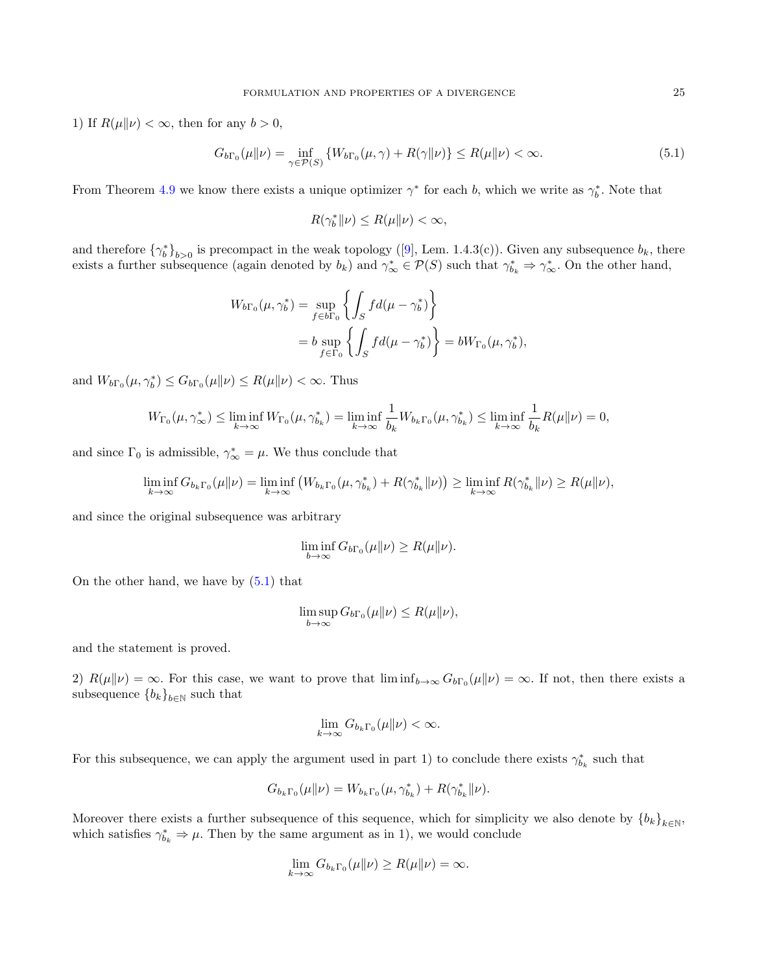1) If  $R(\mu||\nu) < \infty$ , then for any  $b > 0$ ,

$$
G_{b\Gamma_0}(\mu\|\nu) = \inf_{\gamma \in \mathcal{P}(S)} \left\{ W_{b\Gamma_0}(\mu, \gamma) + R(\gamma\|\nu) \right\} \le R(\mu\|\nu) < \infty. \tag{5.1}
$$

From Theorem [4.9](#page-14-0) we know there exists a unique optimizer  $\gamma^*$  for each b, which we write as  $\gamma_b^*$ . Note that

<span id="page-24-0"></span>
$$
R(\gamma_b^* \| \nu) \le R(\mu \| \nu) < \infty,
$$

andtherefore  ${\gamma_b^*}_{b>0}$  is precompact in the weak topology ([\[9\]](#page-36-0), Lem. 1.4.3(c)). Given any subsequence  $b_k$ , there exists a further subsequence (again denoted by  $b_k$ ) and  $\gamma^*_{\infty} \in \mathcal{P}(S)$  such that  $\gamma^*_{b_k} \Rightarrow \gamma^*_{\infty}$ . On the other hand,

$$
W_{b\Gamma_0}(\mu, \gamma_b^*) = \sup_{f \in b\Gamma_0} \left\{ \int_S f d(\mu - \gamma_b^*) \right\}
$$
  
=  $b \sup_{f \in \Gamma_0} \left\{ \int_S f d(\mu - \gamma_b^*) \right\} = bW_{\Gamma_0}(\mu, \gamma_b^*),$ 

and  $W_{b\Gamma_0}(\mu, \gamma_b^*) \leq G_{b\Gamma_0}(\mu \| \nu) \leq R(\mu \| \nu) < \infty$ . Thus

$$
W_{\Gamma_0}(\mu, \gamma_{\infty}^*) \leq \liminf_{k \to \infty} W_{\Gamma_0}(\mu, \gamma_{b_k}^*) = \liminf_{k \to \infty} \frac{1}{b_k} W_{b_k \Gamma_0}(\mu, \gamma_{b_k}^*) \leq \liminf_{k \to \infty} \frac{1}{b_k} R(\mu \| \nu) = 0,
$$

and since  $\Gamma_0$  is admissible,  $\gamma^*_{\infty} = \mu$ . We thus conclude that

$$
\liminf_{k\to\infty} G_{b_k\Gamma_0}(\mu\|\nu) = \liminf_{k\to\infty} \left( W_{b_k\Gamma_0}(\mu, \gamma_{b_k}^*) + R(\gamma_{b_k}^*\|\nu) \right) \ge \liminf_{k\to\infty} R(\gamma_{b_k}^*\|\nu) \ge R(\mu\|\nu),
$$

and since the original subsequence was arbitrary

$$
\liminf_{b \to \infty} G_{b\Gamma_0}(\mu \| \nu) \ge R(\mu \| \nu).
$$

On the other hand, we have by [\(5.1\)](#page-24-0) that

$$
\limsup_{b\to\infty} G_{b\Gamma_0}(\mu\|\nu) \le R(\mu\|\nu),
$$

and the statement is proved.

2)  $R(\mu||\nu) = \infty$ . For this case, we want to prove that  $\liminf_{b\to\infty} G_{b\Gamma_0}(\mu||\nu) = \infty$ . If not, then there exists a subsequence  ${b_k}_{k\in\mathbb{N}}$  such that

$$
\lim_{k\to\infty} G_{b_k\Gamma_0}(\mu\|\nu) < \infty.
$$

For this subsequence, we can apply the argument used in part 1) to conclude there exists  $\gamma_{b_k}^*$  such that

$$
G_{b_k\Gamma_0}(\mu\|\nu) = W_{b_k\Gamma_0}(\mu, \gamma_{b_k}^*) + R(\gamma_{b_k}^* \|\nu).
$$

Moreover there exists a further subsequence of this sequence, which for simplicity we also denote by  ${b_k}_{k\in\mathbb{N}}$ , which satisfies  $\gamma_{b_k}^* \Rightarrow \mu$ . Then by the same argument as in 1), we would conclude

$$
\lim_{k \to \infty} G_{b_k \Gamma_0}(\mu \| \nu) \ge R(\mu \| \nu) = \infty.
$$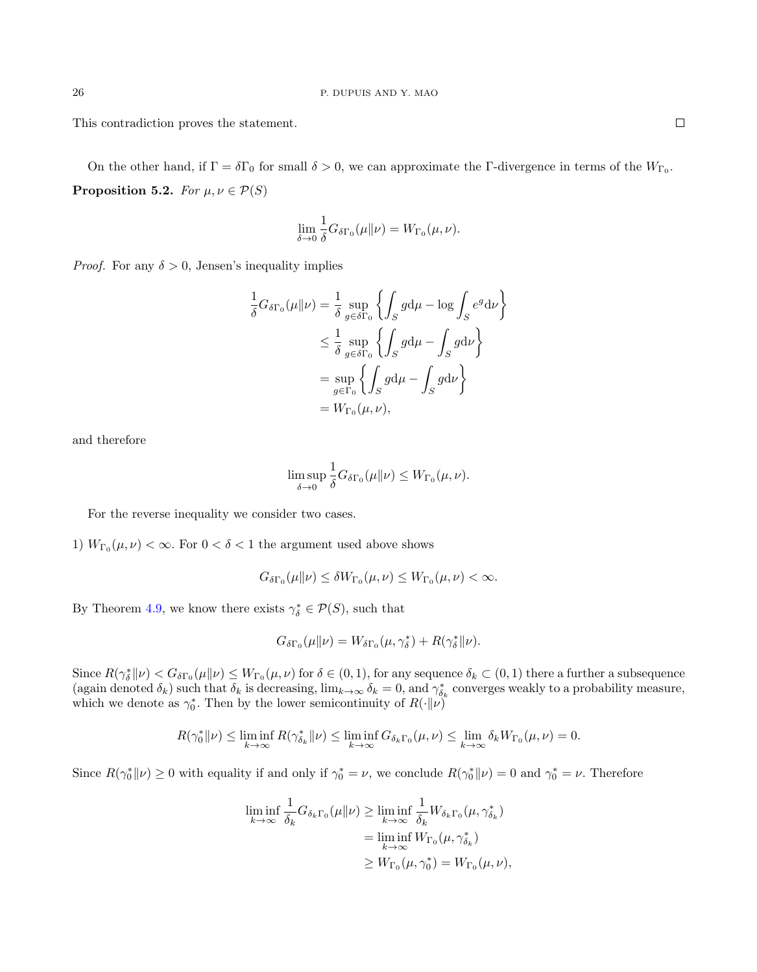This contradiction proves the statement.

On the other hand, if  $\Gamma = \delta \Gamma_0$  for small  $\delta > 0$ , we can approximate the Γ-divergence in terms of the  $W_{\Gamma_0}$ . **Proposition 5.2.** For  $\mu, \nu \in \mathcal{P}(S)$ 

$$
\lim_{\delta \to 0} \frac{1}{\delta} G_{\delta \Gamma_0}(\mu \| \nu) = W_{\Gamma_0}(\mu, \nu).
$$

*Proof.* For any  $\delta > 0$ , Jensen's inequality implies

$$
\frac{1}{\delta} G_{\delta\Gamma_0}(\mu \| \nu) = \frac{1}{\delta} \sup_{g \in \delta\Gamma_0} \left\{ \int_S g d\mu - \log \int_S e^g d\nu \right\}
$$
  

$$
\leq \frac{1}{\delta} \sup_{g \in \delta\Gamma_0} \left\{ \int_S g d\mu - \int_S g d\nu \right\}
$$
  

$$
= \sup_{g \in \Gamma_0} \left\{ \int_S g d\mu - \int_S g d\nu \right\}
$$
  

$$
= W_{\Gamma_0}(\mu, \nu),
$$

and therefore

$$
\limsup_{\delta \to 0} \frac{1}{\delta} G_{\delta \Gamma_0}(\mu \| \nu) \leq W_{\Gamma_0}(\mu, \nu).
$$

For the reverse inequality we consider two cases.

1)  $W_{\Gamma_0}(\mu, \nu) < \infty$ . For  $0 < \delta < 1$  the argument used above shows

$$
G_{\delta\Gamma_0}(\mu\|\nu) \le \delta W_{\Gamma_0}(\mu,\nu) \le W_{\Gamma_0}(\mu,\nu) < \infty.
$$

By Theorem [4.9,](#page-14-0) we know there exists  $\gamma_{\delta}^* \in \mathcal{P}(S)$ , such that

$$
G_{\delta\Gamma_0}(\mu\|\nu) = W_{\delta\Gamma_0}(\mu, \gamma_{\delta}^*) + R(\gamma_{\delta}^*\|\nu).
$$

Since  $R(\gamma_{\delta}^*||\nu) < G_{\delta\Gamma_0}(\mu||\nu) \leq W_{\Gamma_0}(\mu,\nu)$  for  $\delta \in (0,1)$ , for any sequence  $\delta_k \subset (0,1)$  there a further a subsequence (again denoted  $\delta_k$ ) such that  $\delta_k$  is decreasing,  $\lim_{k\to\infty} \delta_k = 0$ , and  $\gamma_{\delta_k}^*$  converges weakly to a probability measure, which we denote as  $\gamma_0^*$ . Then by the lower semicontinuity of  $R(\cdot|\nu)$ 

$$
R(\gamma_0^* \| \nu) \le \liminf_{k \to \infty} R(\gamma_{\delta_k}^* \| \nu) \le \liminf_{k \to \infty} G_{\delta_k \Gamma_0}(\mu, \nu) \le \lim_{k \to \infty} \delta_k W_{\Gamma_0}(\mu, \nu) = 0.
$$

Since  $R(\gamma_0^*||\nu) \ge 0$  with equality if and only if  $\gamma_0^* = \nu$ , we conclude  $R(\gamma_0^*||\nu) = 0$  and  $\gamma_0^* = \nu$ . Therefore

$$
\liminf_{k \to \infty} \frac{1}{\delta_k} G_{\delta_k \Gamma_0}(\mu \| \nu) \ge \liminf_{k \to \infty} \frac{1}{\delta_k} W_{\delta_k \Gamma_0}(\mu, \gamma_{\delta_k}^*)
$$
\n
$$
= \liminf_{k \to \infty} W_{\Gamma_0}(\mu, \gamma_{\delta_k}^*)
$$
\n
$$
\ge W_{\Gamma_0}(\mu, \gamma_0^*) = W_{\Gamma_0}(\mu, \nu),
$$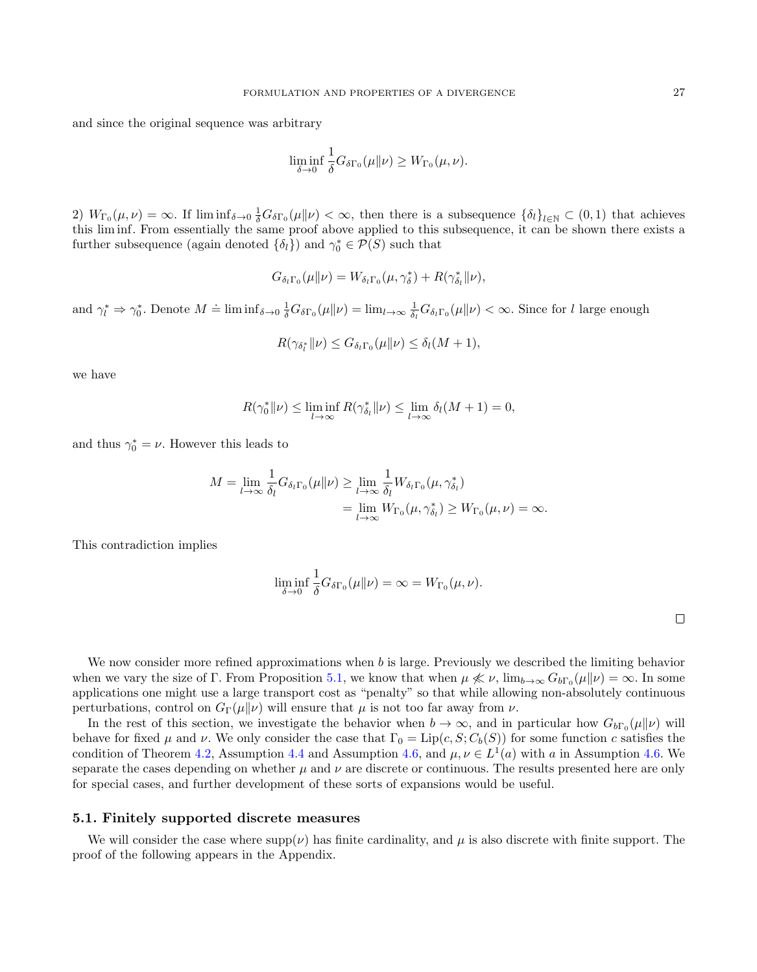and since the original sequence was arbitrary

$$
\liminf_{\delta \to 0} \frac{1}{\delta} G_{\delta \Gamma_0}(\mu \| \nu) \geq W_{\Gamma_0}(\mu, \nu).
$$

2)  $W_{\Gamma_0}(\mu, \nu) = \infty$ . If  $\liminf_{\delta \to 0} \frac{1}{\delta} G_{\delta \Gamma_0}(\mu \| \nu) < \infty$ , then there is a subsequence  $\{\delta_l\}_{l \in \mathbb{N}} \subset (0, 1)$  that achieves this lim inf. From essentially the same proof above applied to this subsequence, it can be shown there exists a further subsequence (again denoted  $\{\delta_l\}$ ) and  $\gamma_0^* \in \mathcal{P}(S)$  such that

$$
G_{\delta_l\Gamma_0}(\mu\|\nu) = W_{\delta_l\Gamma_0}(\mu, \gamma_{\delta}^*) + R(\gamma_{\delta_l}^* \|\nu),
$$

and  $\gamma_l^* \Rightarrow \gamma_0^*$ . Denote  $M \doteq \liminf_{\delta \to 0} \frac{1}{\delta} G_{\delta \Gamma_0}(\mu \| \nu) = \lim_{l \to \infty} \frac{1}{\delta_l} G_{\delta_l \Gamma_0}(\mu \| \nu) < \infty$ . Since for l large enough

$$
R(\gamma_{\delta_l^*} || \nu) \leq G_{\delta_l \Gamma_0}(\mu || \nu) \leq \delta_l(M+1),
$$

we have

$$
R(\gamma_0^* \| \nu) \le \liminf_{l \to \infty} R(\gamma_{\delta_l}^* \| \nu) \le \lim_{l \to \infty} \delta_l(M + 1) = 0,
$$

and thus  $\gamma_0^* = \nu$ . However this leads to

$$
M = \lim_{l \to \infty} \frac{1}{\delta_l} G_{\delta_l \Gamma_0}(\mu \| \nu) \ge \lim_{l \to \infty} \frac{1}{\delta_l} W_{\delta_l \Gamma_0}(\mu, \gamma_{\delta_l}^*)
$$
  
= 
$$
\lim_{l \to \infty} W_{\Gamma_0}(\mu, \gamma_{\delta_l}^*) \ge W_{\Gamma_0}(\mu, \nu) = \infty.
$$

This contradiction implies

$$
\liminf_{\delta \to 0} \frac{1}{\delta} G_{\delta \Gamma_0}(\mu \| \nu) = \infty = W_{\Gamma_0}(\mu, \nu).
$$

We now consider more refined approximations when  $b$  is large. Previously we described the limiting behavior when we vary the size of  $\Gamma$ . From Proposition [5.1,](#page-23-1) we know that when  $\mu \nless \nu$ ,  $\lim_{b\to\infty} G_{b\Gamma_0}(\mu\|\nu) = \infty$ . In some applications one might use a large transport cost as "penalty" so that while allowing non-absolutely continuous perturbations, control on  $G_{\Gamma}(\mu||\nu)$  will ensure that  $\mu$  is not too far away from  $\nu$ .

In the rest of this section, we investigate the behavior when  $b \to \infty$ , and in particular how  $G_{b\Gamma_0}(\mu||\nu)$  will behave for fixed  $\mu$  and  $\nu$ . We only consider the case that  $\Gamma_0 = \text{Lip}(c, S; C_b(S))$  for some function c satisfies the condition of Theorem [4.2,](#page-12-0) Assumption [4.4](#page-12-1) and Assumption [4.6,](#page-13-1) and  $\mu, \nu \in L^1(a)$  with a in Assumption [4.6.](#page-13-1) We separate the cases depending on whether  $\mu$  and  $\nu$  are discrete or continuous. The results presented here are only for special cases, and further development of these sorts of expansions would be useful.

#### 5.1. Finitely supported discrete measures

We will consider the case where supp( $\nu$ ) has finite cardinality, and  $\mu$  is also discrete with finite support. The proof of the following appears in the Appendix.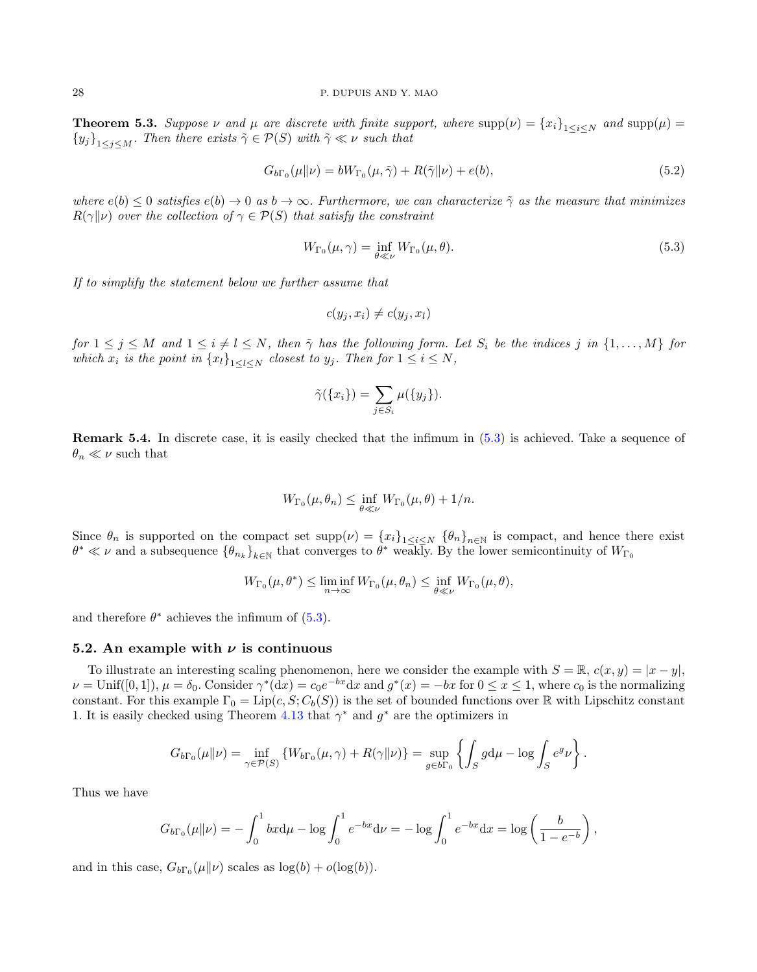<span id="page-27-1"></span>**Theorem 5.3.** Suppose  $\nu$  and  $\mu$  are discrete with finite support, where  $\text{supp}(\nu) = \{x_i\}_{1 \leq i \leq N}$  and  $\text{supp}(\mu) =$  ${y_j}_{1 \leq j \leq M}$ . Then there exists  $\tilde{\gamma} \in \mathcal{P}(S)$  with  $\tilde{\gamma} \ll \nu$  such that

<span id="page-27-2"></span>
$$
G_{b\Gamma_0}(\mu\|\nu) = bW_{\Gamma_0}(\mu, \tilde{\gamma}) + R(\tilde{\gamma}\|\nu) + e(b), \qquad (5.2)
$$

where  $e(b) \le 0$  satisfies  $e(b) \to 0$  as  $b \to \infty$ . Furthermore, we can characterize  $\tilde{\gamma}$  as the measure that minimizes  $R(\gamma||\nu)$  over the collection of  $\gamma \in \mathcal{P}(S)$  that satisfy the constraint

$$
W_{\Gamma_0}(\mu, \gamma) = \inf_{\theta \ll \nu} W_{\Gamma_0}(\mu, \theta). \tag{5.3}
$$

If to simplify the statement below we further assume that

<span id="page-27-0"></span>
$$
c(y_j, x_i) \neq c(y_j, x_l)
$$

for  $1 \leq j \leq M$  and  $1 \leq i \neq l \leq N$ , then  $\tilde{\gamma}$  has the following form. Let  $S_i$  be the indices j in  $\{1, \ldots, M\}$  for which  $x_i$  is the point in  $\{x_l\}_{1\leq l\leq N}$  closest to  $y_j$ . Then for  $1\leq i\leq N$ ,

$$
\tilde{\gamma}(\{x_i\}) = \sum_{j \in S_i} \mu(\{y_j\}).
$$

Remark 5.4. In discrete case, it is easily checked that the infimum in [\(5.3\)](#page-27-0) is achieved. Take a sequence of  $\theta_n \ll \nu$  such that

$$
W_{\Gamma_0}(\mu,\theta_n) \leq \inf_{\theta \ll \nu} W_{\Gamma_0}(\mu,\theta) + 1/n.
$$

Since  $\theta_n$  is supported on the compact set  $\text{supp}(\nu) = \{x_i\}_{1 \leq i \leq N}$   $\{\theta_n\}_{n \in \mathbb{N}}$  is compact, and hence there exist  $\theta^* \ll \nu$  and a subsequence  $\{\theta_{n_k}\}_{k\in\mathbb{N}}$  that converges to  $\theta^*$  weakly. By the lower semicontinuity of  $W_{\Gamma_0}$ 

$$
W_{\Gamma_0}(\mu, \theta^*) \leq \liminf_{n \to \infty} W_{\Gamma_0}(\mu, \theta_n) \leq \inf_{\theta \ll \nu} W_{\Gamma_0}(\mu, \theta),
$$

and therefore  $\theta^*$  achieves the infimum of  $(5.3)$ .

#### 5.2. An example with  $\nu$  is continuous

To illustrate an interesting scaling phenomenon, here we consider the example with  $S = \mathbb{R}$ ,  $c(x, y) = |x - y|$ ,  $\nu = \text{Unif}([0,1]), \mu = \delta_0.$  Consider  $\gamma^*(dx) = c_0 e^{-bx} dx$  and  $g^*(x) = -bx$  for  $0 \le x \le 1$ , where  $c_0$  is the normalizing constant. For this example  $\Gamma_0 = \text{Lip}(c, S; C_b(S))$  is the set of bounded functions over R with Lipschitz constant 1. It is easily checked using Theorem [4.13](#page-18-0) that  $\gamma^*$  and  $g^*$  are the optimizers in

$$
G_{b\Gamma_0}(\mu\|\nu) = \inf_{\gamma \in \mathcal{P}(S)} \left\{ W_{b\Gamma_0}(\mu, \gamma) + R(\gamma\|\nu) \right\} = \sup_{g \in b\Gamma_0} \left\{ \int_S g d\mu - \log \int_S e^g \nu \right\}.
$$

Thus we have

$$
G_{b\Gamma_0}(\mu\|\nu) = -\int_0^1 bx d\mu - \log \int_0^1 e^{-bx} d\nu = -\log \int_0^1 e^{-bx} dx = \log \left(\frac{b}{1 - e^{-b}}\right),
$$

and in this case,  $G_{b\Gamma_0}(\mu\|\nu)$  scales as  $\log(b) + o(\log(b)).$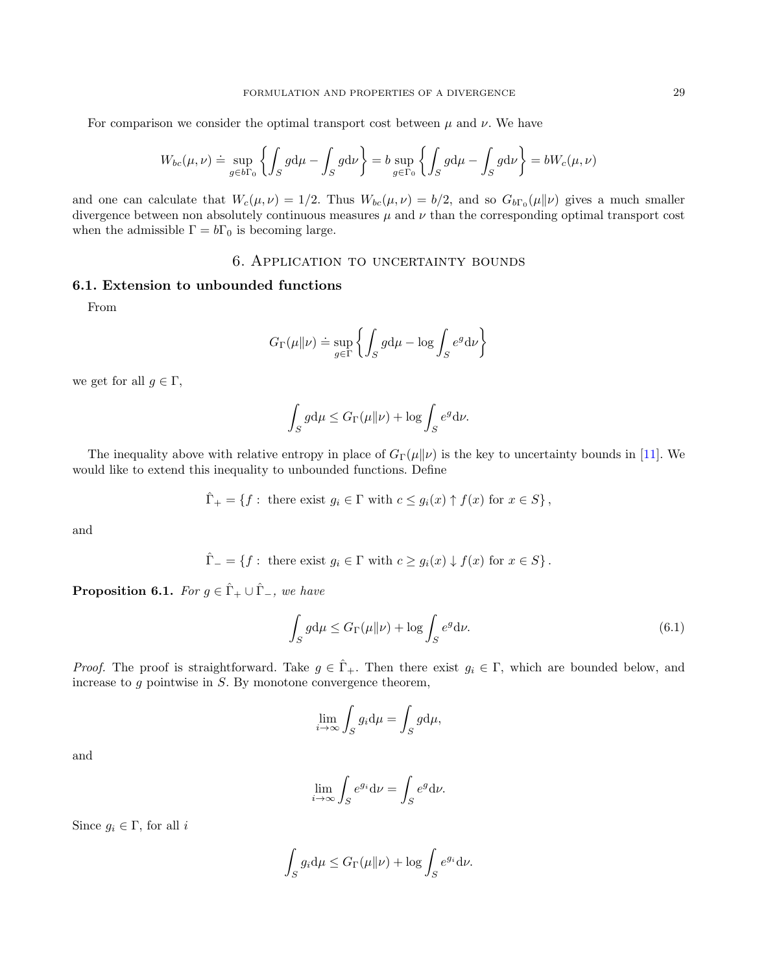For comparison we consider the optimal transport cost between  $\mu$  and  $\nu$ . We have

$$
W_{bc}(\mu,\nu) \doteq \sup_{g \in b\Gamma_0} \left\{ \int_S g d\mu - \int_S g d\nu \right\} = b \sup_{g \in \Gamma_0} \left\{ \int_S g d\mu - \int_S g d\nu \right\} = bW_c(\mu,\nu)
$$

and one can calculate that  $W_c(\mu, \nu) = 1/2$ . Thus  $W_{bc}(\mu, \nu) = b/2$ , and so  $G_{b\Gamma_0}(\mu||\nu)$  gives a much smaller divergence between non absolutely continuous measures  $\mu$  and  $\nu$  than the corresponding optimal transport cost when the admissible  $\Gamma = b\Gamma_0$  is becoming large.

# 6. Application to uncertainty bounds

# <span id="page-28-0"></span>6.1. Extension to unbounded functions

From

$$
G_{\Gamma}(\mu \| \nu) \doteq \sup_{g \in \Gamma} \left\{ \int_{S} g d\mu - \log \int_{S} e^{g} d\nu \right\}
$$

we get for all  $g \in \Gamma$ ,

$$
\int_{S} g d\mu \le G_{\Gamma}(\mu \| \nu) + \log \int_{S} e^{g} d\nu.
$$

The inequality above with relative entropy in place of  $G_{\Gamma}(\mu\|\nu)$  is the key to uncertainty bounds in [\[11\]](#page-36-1). We would like to extend this inequality to unbounded functions. Define

$$
\hat{\Gamma}_+ = \{ f : \text{ there exist } g_i \in \Gamma \text{ with } c \le g_i(x) \uparrow f(x) \text{ for } x \in S \},
$$

and

$$
\hat{\Gamma}_{-} = \{ f : \text{ there exist } g_i \in \Gamma \text{ with } c \ge g_i(x) \downarrow f(x) \text{ for } x \in S \}.
$$

**Proposition 6.1.** For  $g \in \hat{\Gamma}_+ \cup \hat{\Gamma}_-$ , we have

<span id="page-28-1"></span>
$$
\int_{S} g d\mu \le G_{\Gamma}(\mu \| \nu) + \log \int_{S} e^{g} d\nu. \tag{6.1}
$$

*Proof.* The proof is straightforward. Take  $g \in \hat{\Gamma}_+$ . Then there exist  $g_i \in \Gamma$ , which are bounded below, and increase to  $g$  pointwise in  $S$ . By monotone convergence theorem,

$$
\lim_{i \to \infty} \int_{S} g_i \mathrm{d}\mu = \int_{S} g \mathrm{d}\mu,
$$

and

$$
\lim_{i \to \infty} \int_S e^{g_i} \mathrm{d} \nu = \int_S e^g \mathrm{d} \nu.
$$

Since  $g_i \in \Gamma$ , for all i

$$
\int_{S} g_i d\mu \leq G_{\Gamma}(\mu \| \nu) + \log \int_{S} e^{g_i} d\nu.
$$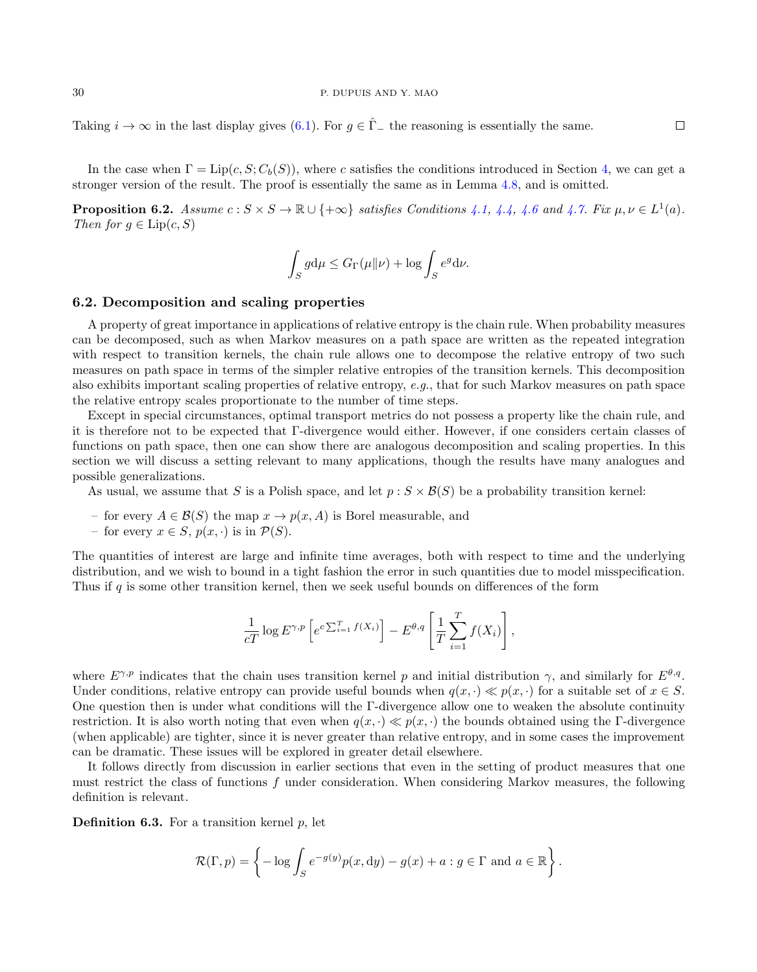$\Box$ 

Taking  $i \to \infty$  in the last display gives [\(6.1\)](#page-28-1). For  $q \in \hat{\Gamma}_-$  the reasoning is essentially the same.

In the case when  $\Gamma = \text{Lip}(c, S; C_b(S))$ , where c satisfies the conditions introduced in Section [4,](#page-11-0) we can get a stronger version of the result. The proof is essentially the same as in Lemma [4.8,](#page-14-1) and is omitted.

**Proposition 6.2.** Assume  $c: S \times S \to \mathbb{R} \cup \{+\infty\}$  satisfies Conditions [4.1,](#page-11-1) [4.4,](#page-12-1) [4.6](#page-13-1) and [4.7.](#page-13-2) Fix  $\mu, \nu \in L^1(a)$ . Then for  $g \in \text{Lip}(c, S)$ 

$$
\int_{S} g d\mu \leq G_{\Gamma}(\mu \| \nu) + \log \int_{S} e^{g} d\nu.
$$

#### <span id="page-29-0"></span>6.2. Decomposition and scaling properties

A property of great importance in applications of relative entropy is the chain rule. When probability measures can be decomposed, such as when Markov measures on a path space are written as the repeated integration with respect to transition kernels, the chain rule allows one to decompose the relative entropy of two such measures on path space in terms of the simpler relative entropies of the transition kernels. This decomposition also exhibits important scaling properties of relative entropy, e.g., that for such Markov measures on path space the relative entropy scales proportionate to the number of time steps.

Except in special circumstances, optimal transport metrics do not possess a property like the chain rule, and it is therefore not to be expected that Γ-divergence would either. However, if one considers certain classes of functions on path space, then one can show there are analogous decomposition and scaling properties. In this section we will discuss a setting relevant to many applications, though the results have many analogues and possible generalizations.

As usual, we assume that S is a Polish space, and let  $p : S \times \mathcal{B}(S)$  be a probability transition kernel:

- for every  $A \in \mathcal{B}(S)$  the map  $x \to p(x, A)$  is Borel measurable, and
- for every  $x \in S$ ,  $p(x, \cdot)$  is in  $\mathcal{P}(S)$ .

The quantities of interest are large and infinite time averages, both with respect to time and the underlying distribution, and we wish to bound in a tight fashion the error in such quantities due to model misspecification. Thus if q is some other transition kernel, then we seek useful bounds on differences of the form

$$
\frac{1}{cT} \log E^{\gamma, p} \left[ e^{c \sum_{i=1}^T f(X_i)} \right] - E^{\theta, q} \left[ \frac{1}{T} \sum_{i=1}^T f(X_i) \right],
$$

where  $E^{\gamma,p}$  indicates that the chain uses transition kernel p and initial distribution  $\gamma$ , and similarly for  $E^{\theta,q}$ . Under conditions, relative entropy can provide useful bounds when  $q(x, \cdot) \ll p(x, \cdot)$  for a suitable set of  $x \in S$ . One question then is under what conditions will the Γ-divergence allow one to weaken the absolute continuity restriction. It is also worth noting that even when  $q(x, \cdot) \ll p(x, \cdot)$  the bounds obtained using the Γ-divergence (when applicable) are tighter, since it is never greater than relative entropy, and in some cases the improvement can be dramatic. These issues will be explored in greater detail elsewhere.

It follows directly from discussion in earlier sections that even in the setting of product measures that one must restrict the class of functions f under consideration. When considering Markov measures, the following definition is relevant.

<span id="page-29-1"></span>**Definition 6.3.** For a transition kernel  $p$ , let

$$
\mathcal{R}(\Gamma, p) = \left\{-\log \int_{S} e^{-g(y)} p(x, dy) - g(x) + a : g \in \Gamma \text{ and } a \in \mathbb{R}\right\}.
$$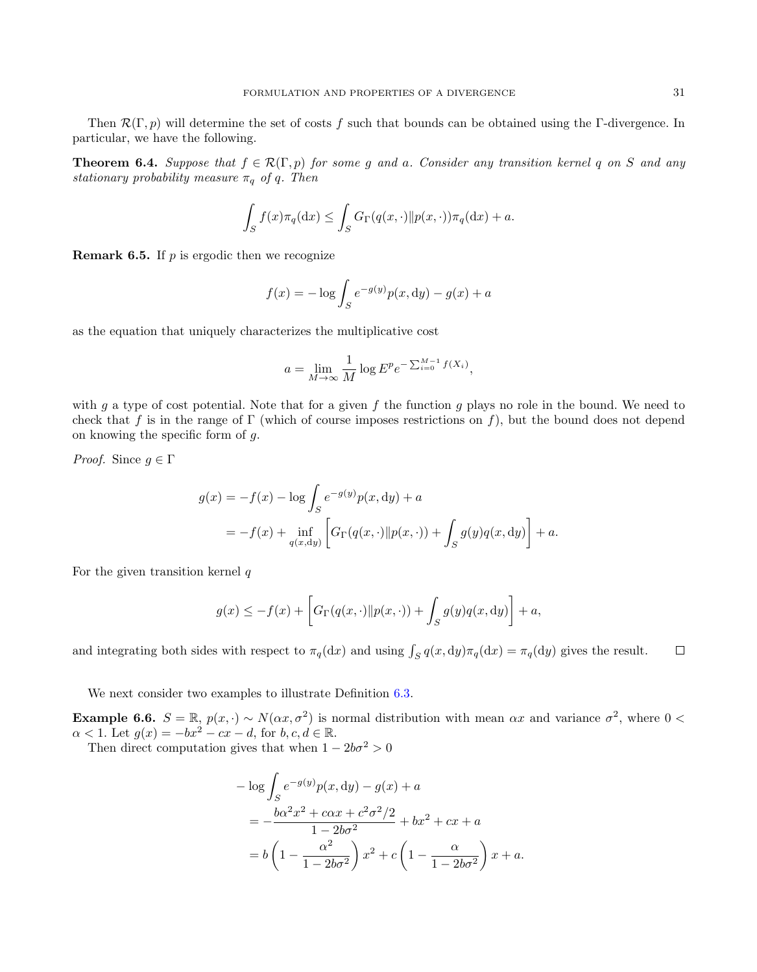Then  $\mathcal{R}(\Gamma, p)$  will determine the set of costs f such that bounds can be obtained using the Γ-divergence. In particular, we have the following.

<span id="page-30-0"></span>**Theorem 6.4.** Suppose that  $f \in \mathcal{R}(\Gamma, p)$  for some g and a. Consider any transition kernel q on S and any stationary probability measure  $\pi_q$  of q. Then

$$
\int_{S} f(x)\pi_q(\mathrm{d}x) \le \int_{S} G_{\Gamma}(q(x,\cdot) \| p(x,\cdot))\pi_q(\mathrm{d}x) + a.
$$

**Remark 6.5.** If  $p$  is ergodic then we recognize

$$
f(x) = -\log \int_{S} e^{-g(y)} p(x, dy) - g(x) + a
$$

as the equation that uniquely characterizes the multiplicative cost

$$
a = \lim_{M \to \infty} \frac{1}{M} \log E^p e^{-\sum_{i=0}^{M-1} f(X_i)},
$$

with g a type of cost potential. Note that for a given f the function g plays no role in the bound. We need to check that f is in the range of Γ (which of course imposes restrictions on f), but the bound does not depend on knowing the specific form of g.

*Proof.* Since  $g \in \Gamma$ 

$$
g(x) = -f(x) - \log \int_{S} e^{-g(y)} p(x, dy) + a
$$
  
=  $-f(x) + \inf_{q(x, dy)} \left[ G_{\Gamma}(q(x, \cdot) || p(x, \cdot)) + \int_{S} g(y) q(x, dy) \right] + a.$ 

For the given transition kernel  $q$ 

$$
g(x) \leq -f(x) + \left[ G_{\Gamma}(q(x, \cdot) || p(x, \cdot)) + \int_{S} g(y)q(x, \mathrm{d}y) \right] + a,
$$

and integrating both sides with respect to  $\pi_q(dx)$  and using  $\int_S q(x, dy)\pi_q(dx) = \pi_q(dy)$  gives the result.  $\Box$ 

We next consider two examples to illustrate Definition  $6.3$ .

**Example 6.6.**  $S = \mathbb{R}$ ,  $p(x, \cdot) \sim N(\alpha x, \sigma^2)$  is normal distribution with mean  $\alpha x$  and variance  $\sigma^2$ , where  $0 <$  $\alpha < 1$ . Let  $g(x) = -bx^2 - cx - d$ , for  $b, c, d \in \mathbb{R}$ .

Then direct computation gives that when  $1 - 2b\sigma^2 > 0$ 

$$
-\log \int_{S} e^{-g(y)} p(x, dy) - g(x) + a
$$
  
=  $-\frac{b\alpha^2 x^2 + c\alpha x + c^2 \sigma^2 / 2}{1 - 2b\sigma^2} + bx^2 + cx + a$   
=  $b \left(1 - \frac{\alpha^2}{1 - 2b\sigma^2}\right) x^2 + c \left(1 - \frac{\alpha}{1 - 2b\sigma^2}\right) x + a.$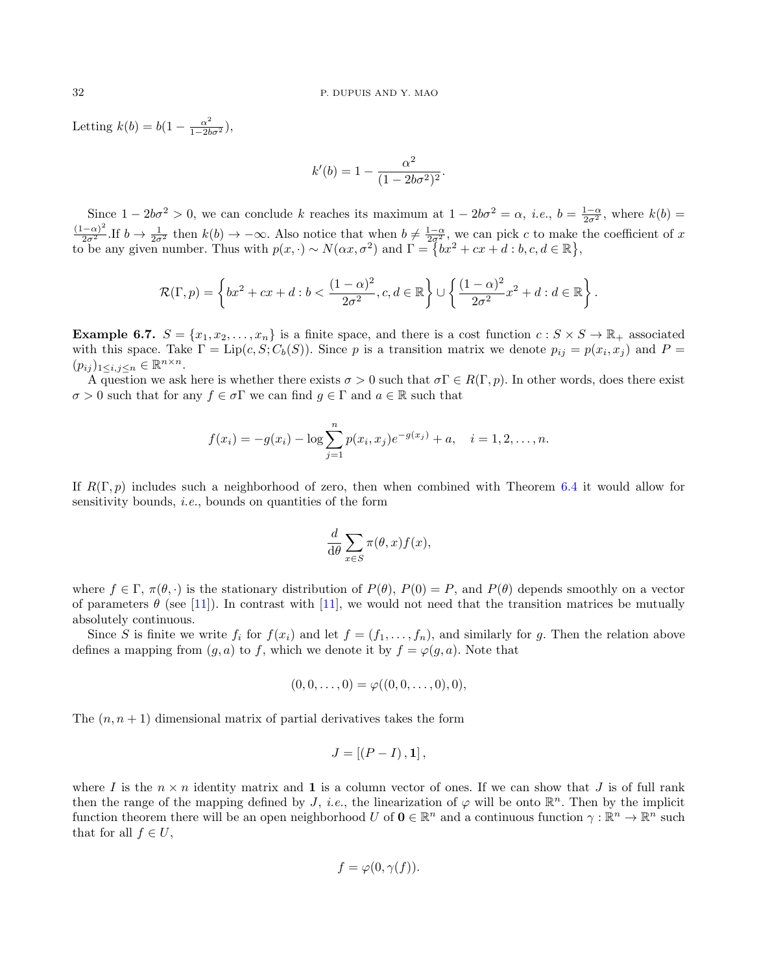Letting  $k(b) = b(1 - \frac{\alpha^2}{1 - 2b\sigma^2}),$ 

$$
k'(b) = 1 - \frac{\alpha^2}{(1 - 2b\sigma^2)^2}.
$$

Since  $1 - 2b\sigma^2 > 0$ , we can conclude k reaches its maximum at  $1 - 2b\sigma^2 = \alpha$ , *i.e.*,  $b = \frac{1-\alpha}{2\sigma^2}$ , where  $k(b) = \frac{(1-\alpha)^2}{2\sigma^2}$ . If  $b \to \frac{1}{2\sigma^2}$  then  $k(b) \to -\infty$ . Also notice that when  $b \neq \frac{1-\alpha}{2\sigma^2}$ , we ca to be any given number. Thus with  $p(x, \cdot) \sim N(\alpha x, \sigma^2)$  and  $\Gamma = \{bx^2 + cx + d : b, c, d \in \mathbb{R}\},\$ 

$$
\mathcal{R}(\Gamma, p) = \left\{ bx^2 + cx + d : b < \frac{(1-\alpha)^2}{2\sigma^2}, c, d \in \mathbb{R} \right\} \cup \left\{ \frac{(1-\alpha)^2}{2\sigma^2} x^2 + d : d \in \mathbb{R} \right\}.
$$

**Example 6.7.**  $S = \{x_1, x_2, \ldots, x_n\}$  is a finite space, and there is a cost function  $c : S \times S \to \mathbb{R}_+$  associated with this space. Take  $\Gamma = \text{Lip}(c, S; C_b(S))$ . Since p is a transition matrix we denote  $p_{ij} = p(x_i, x_j)$  and  $P =$  $(p_{ij})_{1\leq i,j\leq n}\in\mathbb{R}^{n\times n}.$ 

A question we ask here is whether there exists  $\sigma > 0$  such that  $\sigma \Gamma \in R(\Gamma, p)$ . In other words, does there exist  $\sigma > 0$  such that for any  $f \in \sigma \Gamma$  we can find  $q \in \Gamma$  and  $a \in \mathbb{R}$  such that

$$
f(x_i) = -g(x_i) - \log \sum_{j=1}^{n} p(x_i, x_j) e^{-g(x_j)} + a, \quad i = 1, 2, \dots, n.
$$

If  $R(\Gamma, p)$  includes such a neighborhood of zero, then when combined with Theorem [6.4](#page-30-0) it would allow for sensitivity bounds, *i.e.*, bounds on quantities of the form

$$
\frac{d}{d\theta} \sum_{x \in S} \pi(\theta, x) f(x),
$$

where  $f \in \Gamma$ ,  $\pi(\theta, \cdot)$  is the stationary distribution of  $P(\theta)$ ,  $P(0) = P$ , and  $P(\theta)$  depends smoothly on a vector of parameters  $\theta$  (see [\[11\]](#page-36-1)). In contrast with [11], we would not need that the transition matrices be mutually absolutely continuous.

Since S is finite we write  $f_i$  for  $f(x_i)$  and let  $f = (f_1, \ldots, f_n)$ , and similarly for g. Then the relation above defines a mapping from  $(g, a)$  to f, which we denote it by  $f = \varphi(g, a)$ . Note that

$$
(0,0,\ldots,0) = \varphi((0,0,\ldots,0),0),
$$

The  $(n, n + 1)$  dimensional matrix of partial derivatives takes the form

$$
J = \left[ \left( P - I \right), \mathbf{1} \right],
$$

where I is the  $n \times n$  identity matrix and 1 is a column vector of ones. If we can show that J is of full rank then the range of the mapping defined by J, i.e., the linearization of  $\varphi$  will be onto  $\mathbb{R}^n$ . Then by the implicit function theorem there will be an open neighborhood U of  $\mathbf{0} \in \mathbb{R}^n$  and a continuous function  $\gamma : \mathbb{R}^n \to \mathbb{R}^n$  such that for all  $f \in U$ ,

$$
f = \varphi(0, \gamma(f)).
$$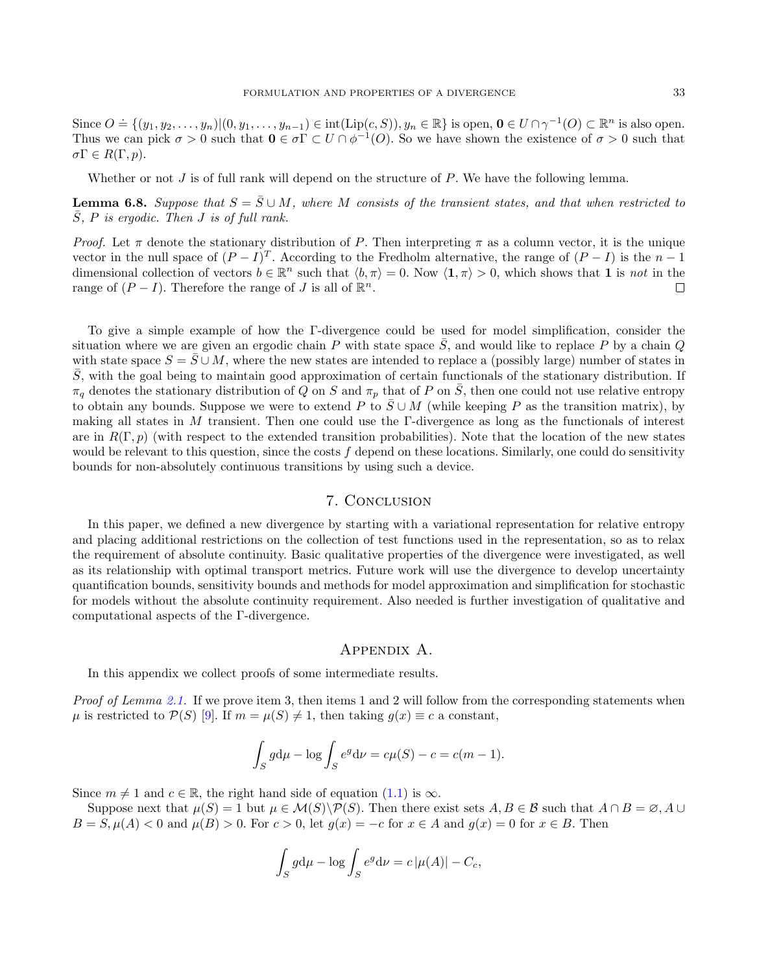Since  $O \doteq \{(y_1, y_2, \ldots, y_n) | (0, y_1, \ldots, y_{n-1}) \in \text{int}(\text{Lip}(c, S)), y_n \in \mathbb{R}\}$  is open,  $\mathbf{0} \in U \cap \gamma^{-1}(O) \subset \mathbb{R}^n$  is also open. Thus we can pick  $\sigma > 0$  such that  $\mathbf{0} \in \sigma \Gamma \subset U \cap \phi^{-1}(O)$ . So we have shown the existence of  $\sigma > 0$  such that  $\sigma \Gamma \in R(\Gamma, p).$ 

Whether or not  $J$  is of full rank will depend on the structure of  $P$ . We have the following lemma.

**Lemma 6.8.** Suppose that  $S = \overline{S} \cup M$ , where M consists of the transient states, and that when restricted to  $\bar{S}$ , P is ergodic. Then J is of full rank.

*Proof.* Let  $\pi$  denote the stationary distribution of P. Then interpreting  $\pi$  as a column vector, it is the unique vector in the null space of  $(P - I)^T$ . According to the Fredholm alternative, the range of  $(P - I)$  is the  $n - 1$ dimensional collection of vectors  $b \in \mathbb{R}^n$  such that  $\langle b, \pi \rangle = 0$ . Now  $\langle 1, \pi \rangle > 0$ , which shows that 1 is not in the range of  $(P - I)$ . Therefore the range of J is all of  $\mathbb{R}^n$ .  $\Box$ 

To give a simple example of how the Γ-divergence could be used for model simplification, consider the situation where we are given an ergodic chain P with state space  $\bar{S}$ , and would like to replace P by a chain Q with state space  $S = \overline{S} \cup M$ , where the new states are intended to replace a (possibly large) number of states in  $\overline{S}$ , with the goal being to maintain good approximation of certain functionals of the stationary distribution. If  $\pi_q$  denotes the stationary distribution of Q on S and  $\pi_p$  that of P on  $\overline{S}$ , then one could not use relative entropy to obtain any bounds. Suppose we were to extend P to  $\overline{S} \cup M$  (while keeping P as the transition matrix), by making all states in  $M$  transient. Then one could use the Γ-divergence as long as the functionals of interest are in  $R(\Gamma, p)$  (with respect to the extended transition probabilities). Note that the location of the new states would be relevant to this question, since the costs f depend on these locations. Similarly, one could do sensitivity bounds for non-absolutely continuous transitions by using such a device.

# 7. Conclusion

In this paper, we defined a new divergence by starting with a variational representation for relative entropy and placing additional restrictions on the collection of test functions used in the representation, so as to relax the requirement of absolute continuity. Basic qualitative properties of the divergence were investigated, as well as its relationship with optimal transport metrics. Future work will use the divergence to develop uncertainty quantification bounds, sensitivity bounds and methods for model approximation and simplification for stochastic for models without the absolute continuity requirement. Also needed is further investigation of qualitative and computational aspects of the Γ-divergence.

#### Appendix A.

In this appendix we collect proofs of some intermediate results.

Proof of Lemma [2.1.](#page-4-1) If we prove item 3, then items 1 and 2 will follow from the corresponding statements when  $\mu$  is restricted to  $\mathcal{P}(S)$  [\[9\]](#page-36-0). If  $m = \mu(S) \neq 1$ , then taking  $g(x) \equiv c$  a constant,

$$
\int_{S} g d\mu - \log \int_{S} e^g d\nu = c\mu(S) - c = c(m - 1).
$$

Since  $m \neq 1$  and  $c \in \mathbb{R}$ , the right hand side of equation [\(1.1\)](#page-1-1) is  $\infty$ .

Suppose next that  $\mu(S) = 1$  but  $\mu \in \mathcal{M}(S) \backslash \mathcal{P}(S)$ . Then there exist sets  $A, B \in \mathcal{B}$  such that  $A \cap B = \emptyset$ , A ∪  $B = S$ ,  $\mu(A) < 0$  and  $\mu(B) > 0$ . For  $c > 0$ , let  $g(x) = -c$  for  $x \in A$  and  $g(x) = 0$  for  $x \in B$ . Then

$$
\int_{S} g d\mu - \log \int_{S} e^{g} d\nu = c |\mu(A)| - C_c,
$$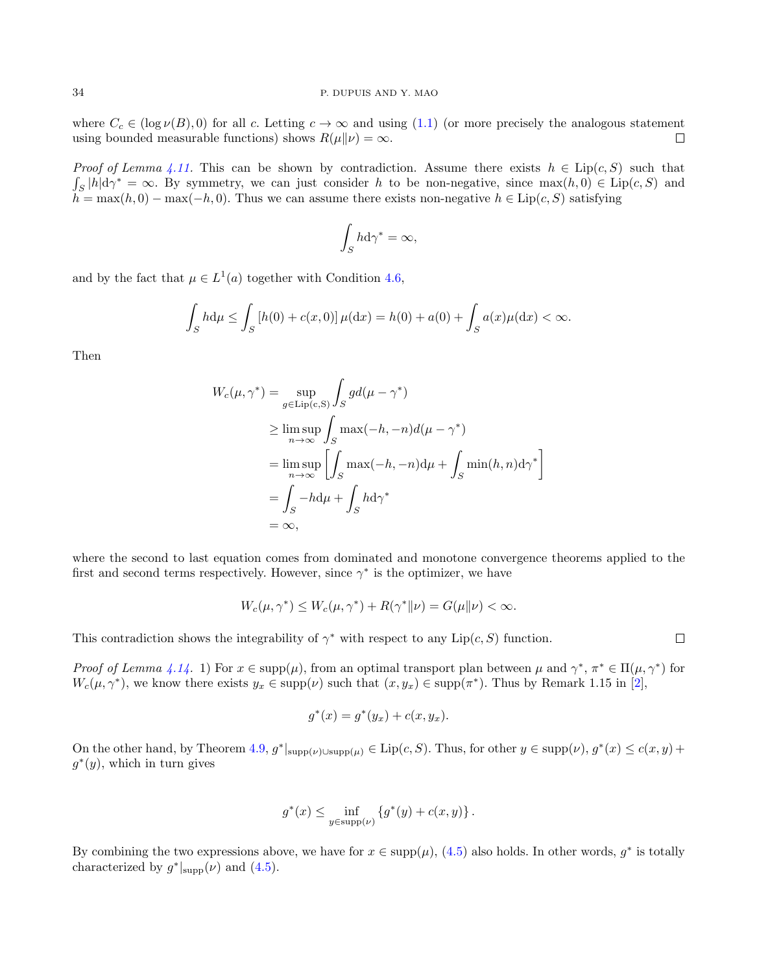where  $C_c \in (\log \nu(B), 0)$  for all c. Letting  $c \to \infty$  and using [\(1.1\)](#page-1-1) (or more precisely the analogous statement using bounded measurable functions) shows  $R(\mu||\nu) = \infty$ .  $\Box$ 

*Proof of Lemma [4.11.](#page-15-0)* This can be shown by contradiction. Assume there exists  $h \in \text{Lip}(c, S)$  such that  $\int_S |h|d\gamma^* = \infty$ . By symmetry, we can just consider h to be non-negative, since  $\max(h, 0) \in \text{Lip}(c, S)$  and  $h = \max(h, 0) - \max(-h, 0)$ . Thus we can assume there exists non-negative  $h \in Lip(c, S)$  satisfying

$$
\int_{S} h \mathrm{d} \gamma^* = \infty,
$$

and by the fact that  $\mu \in L^1(a)$  together with Condition [4.6,](#page-13-1)

$$
\int_{S} h d\mu \le \int_{S} [h(0) + c(x, 0)] \mu(dx) = h(0) + a(0) + \int_{S} a(x) \mu(dx) < \infty.
$$

Then

$$
W_c(\mu, \gamma^*) = \sup_{g \in \text{Lip}(c, S)} \int_S g d(\mu - \gamma^*)
$$
  
\n
$$
\geq \limsup_{n \to \infty} \int_S \max(-h, -n) d(\mu - \gamma^*)
$$
  
\n
$$
= \limsup_{n \to \infty} \left[ \int_S \max(-h, -n) d\mu + \int_S \min(h, n) d\gamma^* \right]
$$
  
\n
$$
= \int_S -h d\mu + \int_S h d\gamma^*
$$
  
\n
$$
= \infty,
$$

where the second to last equation comes from dominated and monotone convergence theorems applied to the first and second terms respectively. However, since  $\gamma^*$  is the optimizer, we have

$$
W_c(\mu, \gamma^*) \le W_c(\mu, \gamma^*) + R(\gamma^* \| \nu) = G(\mu \| \nu) < \infty.
$$

This contradiction shows the integrability of  $\gamma^*$  with respect to any Lip $(c, S)$  function.

Proof of Lemma [4.14.](#page-19-4) 1) For  $x \in \text{supp}(\mu)$ , from an optimal transport plan between  $\mu$  and  $\gamma^*, \pi^* \in \Pi(\mu, \gamma^*)$  for  $W_c(\mu, \gamma^*)$ , we know there exists  $y_x \in \text{supp}(\nu)$  such that  $(x, y_x) \in \text{supp}(\pi^*)$ . Thus by Remark 1.15 in [\[2\]](#page-36-18),

$$
g^*(x) = g^*(y_x) + c(x, y_x).
$$

On the other hand, by Theorem [4.9,](#page-14-0)  $g^*|_{\text{supp}(\nu)\cup\text{supp}(\mu)} \in \text{Lip}(c, S)$ . Thus, for other  $y \in \text{supp}(\nu)$ ,  $g^*(x) \leq c(x, y) + c$  $g^*(y)$ , which in turn gives

$$
g^*(x) \le \inf_{y \in \text{supp}(\nu)} \{g^*(y) + c(x, y)\}.
$$

By combining the two expressions above, we have for  $x \in \text{supp}(\mu)$ , [\(4.5\)](#page-19-1) also holds. In other words,  $g^*$  is totally characterized by  $g^*|_{\text{supp}}(\nu)$  and  $(4.5)$ .

 $\Box$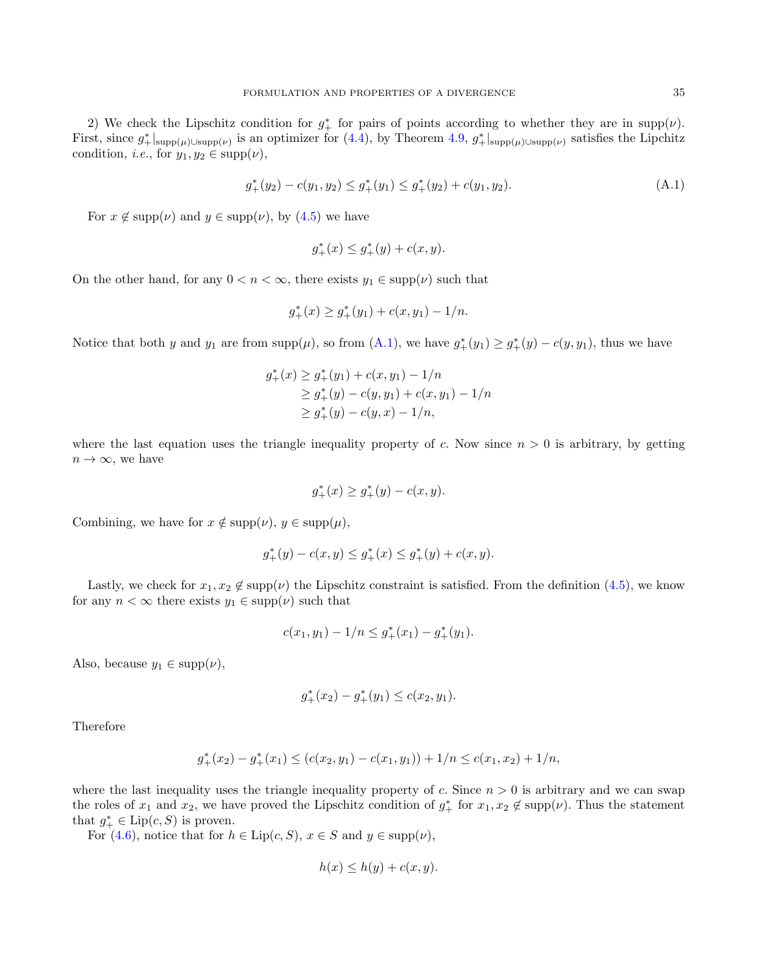2) We check the Lipschitz condition for  $g^*_{+}$  for pairs of points according to whether they are in supp( $\nu$ ). First, since  $g^*_{+}|_{\text{supp}(\mu)\cup\text{supp}(\nu)}$  is an optimizer for  $(4.4)$ , by Theorem [4.9,](#page-14-0)  $g^*_{+}|_{\text{supp}(\mu)\cup\text{supp}(\nu)}$  satisfies the Lipchitz condition, *i.e.*, for  $y_1, y_2 \in \text{supp}(\nu)$ ,

$$
g_{+}^{*}(y_2) - c(y_1, y_2) \le g_{+}^{*}(y_1) \le g_{+}^{*}(y_2) + c(y_1, y_2). \tag{A.1}
$$

For  $x \notin \text{supp}(\nu)$  and  $y \in \text{supp}(\nu)$ , by  $(4.5)$  we have

<span id="page-34-0"></span>
$$
g_{+}^{*}(x) \le g_{+}^{*}(y) + c(x, y).
$$

On the other hand, for any  $0 < n < \infty$ , there exists  $y_1 \in \text{supp}(\nu)$  such that

$$
g_{+}^{*}(x) \ge g_{+}^{*}(y_{1}) + c(x, y_{1}) - 1/n.
$$

Notice that both y and  $y_1$  are from supp $(\mu)$ , so from  $(A.1)$ , we have  $g^*_{+}(y_1) \geq g^*_{+}(y) - c(y, y_1)$ , thus we have

$$
g_{+}^{*}(x) \ge g_{+}^{*}(y_{1}) + c(x, y_{1}) - 1/n
$$
  
\n
$$
\ge g_{+}^{*}(y) - c(y, y_{1}) + c(x, y_{1}) - 1/n
$$
  
\n
$$
\ge g_{+}^{*}(y) - c(y, x) - 1/n,
$$

where the last equation uses the triangle inequality property of c. Now since  $n > 0$  is arbitrary, by getting  $n \to \infty$ , we have

$$
g^*_+(x) \geq g^*_+(y) - c(x,y).
$$

Combining, we have for  $x \notin \text{supp}(\nu)$ ,  $y \in \text{supp}(\mu)$ ,

$$
g_{+}^{*}(y) - c(x, y) \le g_{+}^{*}(x) \le g_{+}^{*}(y) + c(x, y).
$$

Lastly, we check for  $x_1, x_2 \notin \text{supp}(\nu)$  the Lipschitz constraint is satisfied. From the definition [\(4.5\)](#page-19-1), we know for any  $n < \infty$  there exists  $y_1 \in \text{supp}(\nu)$  such that

$$
c(x_1, y_1) - 1/n \le g_+^*(x_1) - g_+^*(y_1).
$$

Also, because  $y_1 \in \text{supp}(\nu)$ ,

$$
g_{+}^{*}(x_2) - g_{+}^{*}(y_1) \le c(x_2, y_1).
$$

Therefore

$$
g_+^*(x_2) - g_+^*(x_1) \le (c(x_2, y_1) - c(x_1, y_1)) + 1/n \le c(x_1, x_2) + 1/n,
$$

where the last inequality uses the triangle inequality property of c. Since  $n > 0$  is arbitrary and we can swap the roles of  $x_1$  and  $x_2$ , we have proved the Lipschitz condition of  $g^*_{+}$  for  $x_1, x_2 \notin \text{supp}(\nu)$ . Thus the statement that  $g^*_{+} \in \text{Lip}(c, S)$  is proven.

For [\(4.6\)](#page-19-2), notice that for  $h \in \text{Lip}(c, S)$ ,  $x \in S$  and  $y \in \text{supp}(\nu)$ ,

$$
h(x) \le h(y) + c(x, y).
$$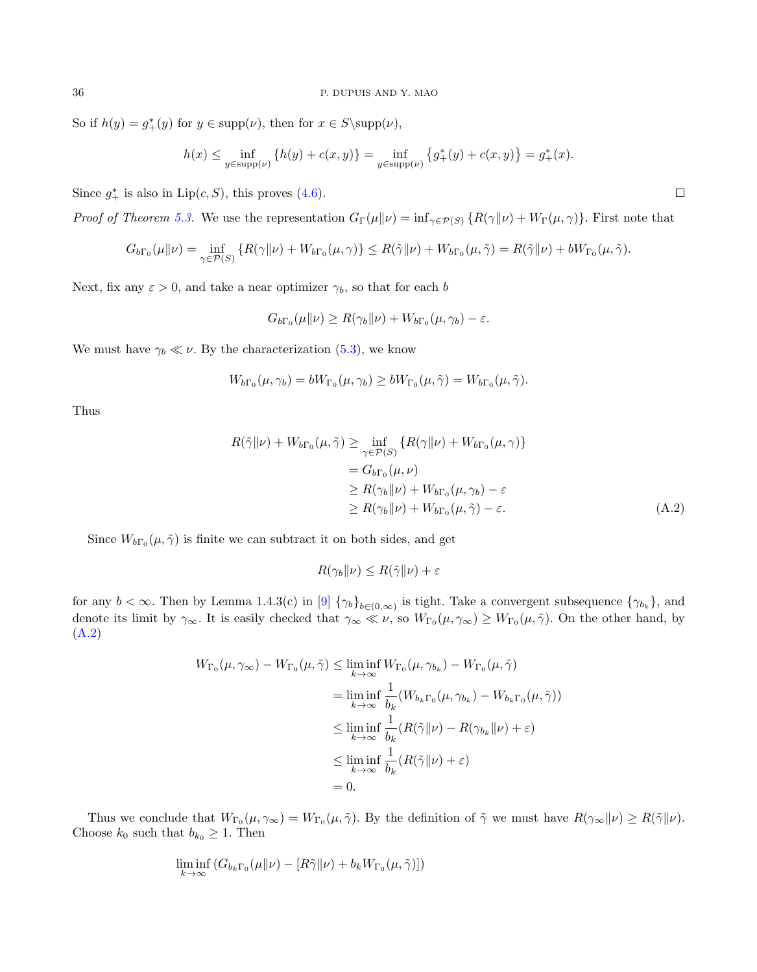So if  $h(y) = g^*(y)$  for  $y \in \text{supp}(\nu)$ , then for  $x \in S \supp(\nu)$ ,

$$
h(x) \le \inf_{y \in \text{supp}(\nu)} \{ h(y) + c(x, y) \} = \inf_{y \in \text{supp}(\nu)} \{ g^*_+(y) + c(x, y) \} = g^*_+(x).
$$

Since  $g^*$  is also in  $Lip(c, S)$ , this proves [\(4.6\)](#page-19-2).

*Proof of Theorem [5.3.](#page-27-1)* We use the representation  $G_{\Gamma}(\mu\|\nu) = \inf_{\gamma \in \mathcal{P}(S)} \{R(\gamma\|\nu) + W_{\Gamma}(\mu, \gamma)\}\.$  First note that

$$
G_{b\Gamma_0}(\mu\|\nu) = \inf_{\gamma \in \mathcal{P}(S)} \left\{ R(\gamma\|\nu) + W_{b\Gamma_0}(\mu, \gamma) \right\} \le R(\tilde{\gamma}\|\nu) + W_{b\Gamma_0}(\mu, \tilde{\gamma}) = R(\tilde{\gamma}\|\nu) + bW_{\Gamma_0}(\mu, \tilde{\gamma}).
$$

Next, fix any  $\varepsilon > 0$ , and take a near optimizer  $\gamma_b$ , so that for each b

$$
G_{b\Gamma_0}(\mu\|\nu) \ge R(\gamma_b\|\nu) + W_{b\Gamma_0}(\mu, \gamma_b) - \varepsilon.
$$

We must have  $\gamma_b \ll \nu$ . By the characterization [\(5.3\)](#page-27-0), we know

$$
W_{b\Gamma_0}(\mu, \gamma_b) = bW_{\Gamma_0}(\mu, \gamma_b) \ge bW_{\Gamma_0}(\mu, \tilde{\gamma}) = W_{b\Gamma_0}(\mu, \tilde{\gamma}).
$$

Thus

$$
R(\tilde{\gamma}||\nu) + W_{b\Gamma_0}(\mu, \tilde{\gamma}) \ge \inf_{\gamma \in \mathcal{P}(S)} \{ R(\gamma||\nu) + W_{b\Gamma_0}(\mu, \gamma) \}
$$
  
=  $G_{b\Gamma_0}(\mu, \nu)$   

$$
\ge R(\gamma_b||\nu) + W_{b\Gamma_0}(\mu, \gamma_b) - \varepsilon
$$
  

$$
\ge R(\gamma_b||\nu) + W_{b\Gamma_0}(\mu, \tilde{\gamma}) - \varepsilon.
$$
 (A.2)

Since  $W_{b\Gamma_0}(\mu, \tilde{\gamma})$  is finite we can subtract it on both sides, and get

$$
R(\gamma_b\|\nu) \le R(\tilde{\gamma}\|\nu) + \varepsilon
$$

for any  $b < \infty$ . Then by Lemma 1.4.3(c) in [\[9\]](#page-36-0)  $\{\gamma_b\}_{b \in (0,\infty)}$  is tight. Take a convergent subsequence  $\{\gamma_{b_k}\}\$ , and denote its limit by  $\gamma_{\infty}$ . It is easily checked that  $\gamma_{\infty} \ll \nu$ , so  $W_{\Gamma_0}(\mu, \gamma_{\infty}) \geq W_{\Gamma_0}(\mu, \tilde{\gamma})$ . On the other hand, by [\(A.2\)](#page-35-0)

$$
W_{\Gamma_0}(\mu, \gamma_\infty) - W_{\Gamma_0}(\mu, \tilde{\gamma}) \le \liminf_{k \to \infty} W_{\Gamma_0}(\mu, \gamma_{b_k}) - W_{\Gamma_0}(\mu, \tilde{\gamma})
$$
  
\n
$$
= \liminf_{k \to \infty} \frac{1}{b_k} (W_{b_k \Gamma_0}(\mu, \gamma_{b_k}) - W_{b_k \Gamma_0}(\mu, \tilde{\gamma}))
$$
  
\n
$$
\le \liminf_{k \to \infty} \frac{1}{b_k} (R(\tilde{\gamma}||\nu) - R(\gamma_{b_k}||\nu) + \varepsilon)
$$
  
\n
$$
\le \liminf_{k \to \infty} \frac{1}{b_k} (R(\tilde{\gamma}||\nu) + \varepsilon)
$$
  
\n
$$
= 0.
$$

Thus we conclude that  $W_{\Gamma_0}(\mu, \gamma_\infty) = W_{\Gamma_0}(\mu, \tilde{\gamma})$ . By the definition of  $\tilde{\gamma}$  we must have  $R(\gamma_\infty|\nu) \ge R(\tilde{\gamma}|\nu)$ . Choose  $k_0$  such that  $b_{k_0} \geq 1$ . Then

$$
\liminf_{k \to \infty} (G_{b_k \Gamma_0}(\mu \| \nu) - [R \tilde{\gamma} \| \nu) + b_k W_{\Gamma_0}(\mu, \tilde{\gamma})])
$$

<span id="page-35-0"></span>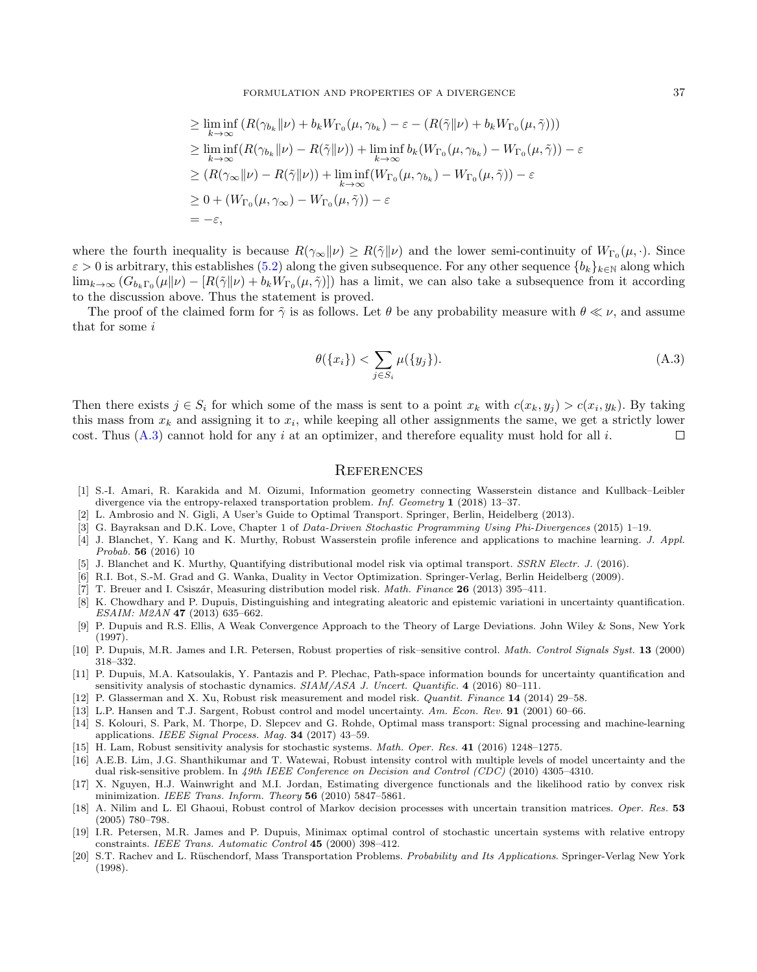FORMULATION AND PROPERTIES OF A DIVERGENCE 37

$$
\geq \liminf_{k \to \infty} (R(\gamma_{b_k} \|\nu) + b_k W_{\Gamma_0}(\mu, \gamma_{b_k}) - \varepsilon - (R(\tilde{\gamma} \|\nu) + b_k W_{\Gamma_0}(\mu, \tilde{\gamma})))
$$
  
\n
$$
\geq \liminf_{k \to \infty} (R(\gamma_{b_k} \|\nu) - R(\tilde{\gamma} \|\nu)) + \liminf_{k \to \infty} b_k (W_{\Gamma_0}(\mu, \gamma_{b_k}) - W_{\Gamma_0}(\mu, \tilde{\gamma})) - \varepsilon
$$
  
\n
$$
\geq (R(\gamma_{\infty} \|\nu) - R(\tilde{\gamma} \|\nu)) + \liminf_{k \to \infty} (W_{\Gamma_0}(\mu, \gamma_{b_k}) - W_{\Gamma_0}(\mu, \tilde{\gamma})) - \varepsilon
$$
  
\n
$$
\geq 0 + (W_{\Gamma_0}(\mu, \gamma_{\infty}) - W_{\Gamma_0}(\mu, \tilde{\gamma})) - \varepsilon
$$
  
\n
$$
= -\varepsilon,
$$

where the fourth inequality is because  $R(\gamma_{\infty}||\nu) \ge R(\tilde{\gamma}||\nu)$  and the lower semi-continuity of  $W_{\Gamma_0}(\mu, \cdot)$ . Since  $\varepsilon > 0$  is arbitrary, this establishes [\(5.2\)](#page-27-2) along the given subsequence. For any other sequence  ${b_k}_{k \in \mathbb{N}}$  along which  $\lim_{k\to\infty} (G_{b_k\Gamma_0}(\mu\|\nu) - [R(\tilde{\gamma}\|\nu) + b_kW_{\Gamma_0}(\mu, \tilde{\gamma})])$  has a limit, we can also take a subsequence from it according to the discussion above. Thus the statement is proved.

The proof of the claimed form for  $\tilde{\gamma}$  is as follows. Let  $\theta$  be any probability measure with  $\theta \ll \nu$ , and assume that for some i

<span id="page-36-19"></span>
$$
\theta(\{x_i\}) < \sum_{j \in S_i} \mu(\{y_j\}).\tag{A.3}
$$

Then there exists  $j \in S_i$  for which some of the mass is sent to a point  $x_k$  with  $c(x_k, y_j) > c(x_i, y_k)$ . By taking this mass from  $x_k$  and assigning it to  $x_i$ , while keeping all other assignments the same, we get a strictly lower cost. Thus  $(A.3)$  cannot hold for any i at an optimizer, and therefore equality must hold for all i.  $\Box$ 

#### **REFERENCES**

- <span id="page-36-16"></span>[1] S.-I. Amari, R. Karakida and M. Oizumi, Information geometry connecting Wasserstein distance and Kullback–Leibler divergence via the entropy-relaxed transportation problem. Inf. Geometry 1 (2018) 13–37.
- <span id="page-36-18"></span>[2] L. Ambrosio and N. Gigli, A User's Guide to Optimal Transport. Springer, Berlin, Heidelberg (2013).
- <span id="page-36-2"></span>[3] G. Bayraksan and D.K. Love, Chapter 1 of *Data-Driven Stochastic Programming Using Phi-Divergences* (2015) 1–19.
- <span id="page-36-11"></span>[4] J. Blanchet, Y. Kang and K. Murthy, Robust Wasserstein profile inference and applications to machine learning. J. Appl. Probab. 56 (2016) 10
- <span id="page-36-12"></span>[5] J. Blanchet and K. Murthy, Quantifying distributional model risk via optimal transport. SSRN Electr. J. (2016).
- <span id="page-36-17"></span>[6] R.I. Bot, S.-M. Grad and G. Wanka, Duality in Vector Optimization. Springer-Verlag, Berlin Heidelberg (2009).
- <span id="page-36-3"></span>[7] T. Breuer and I. Csiszár, Measuring distribution model risk. Math. Finance 26 (2013) 395-411.
- <span id="page-36-4"></span>[8] K. Chowdhary and P. Dupuis, Distinguishing and integrating aleatoric and epistemic variationi in uncertainty quantification. ESAIM: M2AN 47 (2013) 635–662.
- <span id="page-36-0"></span>[9] P. Dupuis and R.S. Ellis, A Weak Convergence Approach to the Theory of Large Deviations. John Wiley & Sons, New York (1997).
- <span id="page-36-5"></span>[10] P. Dupuis, M.R. James and I.R. Petersen, Robust properties of risk–sensitive control. Math. Control Signals Syst. 13 (2000) 318–332.
- <span id="page-36-1"></span>[11] P. Dupuis, M.A. Katsoulakis, Y. Pantazis and P. Plechac, Path-space information bounds for uncertainty quantification and sensitivity analysis of stochastic dynamics. SIAM/ASA J. Uncert. Quantific. 4 (2016) 80-111.
- [12] P. Glasserman and X. Xu, Robust risk measurement and model risk. Quantit. Finance 14 (2014) 29–58.
- <span id="page-36-6"></span>[13] L.P. Hansen and T.J. Sargent, Robust control and model uncertainty. Am. Econ. Rev. 91 (2001) 60-66.
- <span id="page-36-13"></span>[14] S. Kolouri, S. Park, M. Thorpe, D. Slepcev and G. Rohde, Optimal mass transport: Signal processing and machine-learning applications. IEEE Signal Process. Mag. 34 (2017) 43–59.
- <span id="page-36-7"></span>[15] H. Lam, Robust sensitivity analysis for stochastic systems. Math. Oper. Res. 41 (2016) 1248–1275.
- <span id="page-36-8"></span>[16] A.E.B. Lim, J.G. Shanthikumar and T. Watewai, Robust intensity control with multiple levels of model uncertainty and the dual risk-sensitive problem. In 49th IEEE Conference on Decision and Control (CDC) (2010) 4305-4310.
- <span id="page-36-15"></span>[17] X. Nguyen, H.J. Wainwright and M.I. Jordan, Estimating divergence functionals and the likelihood ratio by convex risk minimization. IEEE Trans. Inform. Theory 56 (2010) 5847–5861.
- <span id="page-36-9"></span>[18] A. Nilim and L. El Ghaoui, Robust control of Markov decision processes with uncertain transition matrices. Oper. Res. 53 (2005) 780–798.
- <span id="page-36-10"></span>[19] I.R. Petersen, M.R. James and P. Dupuis, Minimax optimal control of stochastic uncertain systems with relative entropy constraints. IEEE Trans. Automatic Control 45 (2000) 398–412.
- <span id="page-36-14"></span>[20] S.T. Rachev and L. Rüschendorf, Mass Transportation Problems. Probability and Its Applications. Springer-Verlag New York (1998).